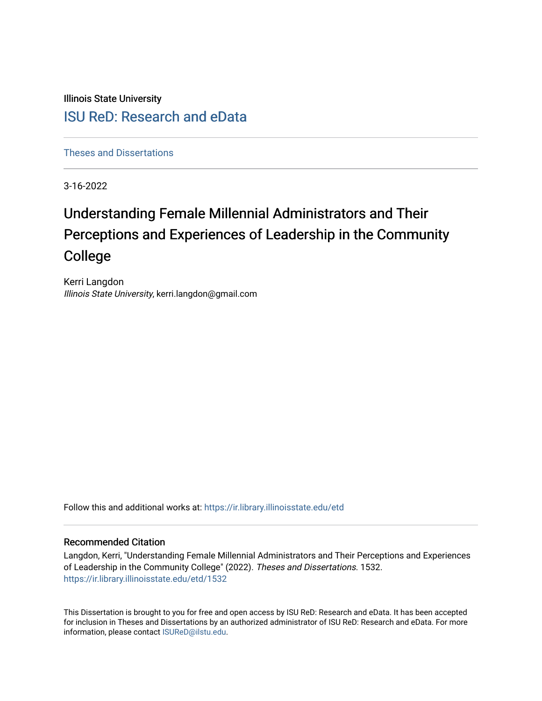Illinois State University

# [ISU ReD: Research and eData](https://ir.library.illinoisstate.edu/)

[Theses and Dissertations](https://ir.library.illinoisstate.edu/etd)

3-16-2022

# Understanding Female Millennial Administrators and Their Perceptions and Experiences of Leadership in the Community College

Kerri Langdon Illinois State University, kerri.langdon@gmail.com

Follow this and additional works at: [https://ir.library.illinoisstate.edu/etd](https://ir.library.illinoisstate.edu/etd?utm_source=ir.library.illinoisstate.edu%2Fetd%2F1532&utm_medium=PDF&utm_campaign=PDFCoverPages) 

#### Recommended Citation

Langdon, Kerri, "Understanding Female Millennial Administrators and Their Perceptions and Experiences of Leadership in the Community College" (2022). Theses and Dissertations. 1532. [https://ir.library.illinoisstate.edu/etd/1532](https://ir.library.illinoisstate.edu/etd/1532?utm_source=ir.library.illinoisstate.edu%2Fetd%2F1532&utm_medium=PDF&utm_campaign=PDFCoverPages) 

This Dissertation is brought to you for free and open access by ISU ReD: Research and eData. It has been accepted for inclusion in Theses and Dissertations by an authorized administrator of ISU ReD: Research and eData. For more information, please contact [ISUReD@ilstu.edu.](mailto:ISUReD@ilstu.edu)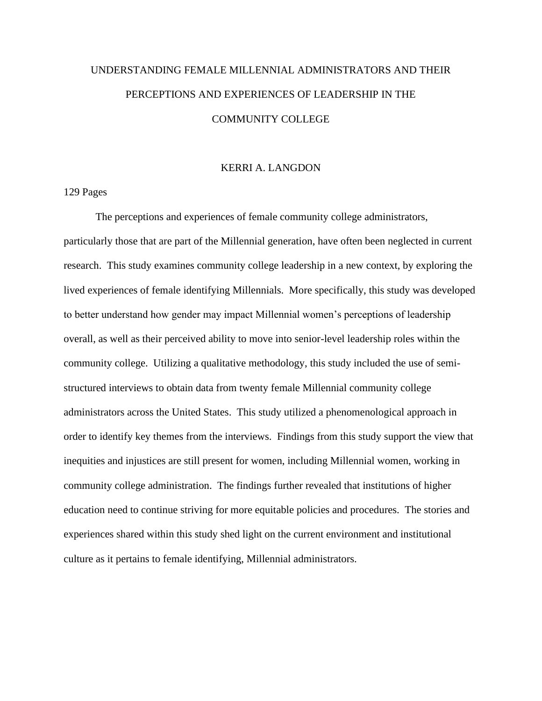# UNDERSTANDING FEMALE MILLENNIAL ADMINISTRATORS AND THEIR PERCEPTIONS AND EXPERIENCES OF LEADERSHIP IN THE COMMUNITY COLLEGE

#### KERRI A. LANGDON

129 Pages

The perceptions and experiences of female community college administrators, particularly those that are part of the Millennial generation, have often been neglected in current research. This study examines community college leadership in a new context, by exploring the lived experiences of female identifying Millennials. More specifically, this study was developed to better understand how gender may impact Millennial women's perceptions of leadership overall, as well as their perceived ability to move into senior-level leadership roles within the community college. Utilizing a qualitative methodology, this study included the use of semistructured interviews to obtain data from twenty female Millennial community college administrators across the United States. This study utilized a phenomenological approach in order to identify key themes from the interviews. Findings from this study support the view that inequities and injustices are still present for women, including Millennial women, working in community college administration. The findings further revealed that institutions of higher education need to continue striving for more equitable policies and procedures. The stories and experiences shared within this study shed light on the current environment and institutional culture as it pertains to female identifying, Millennial administrators.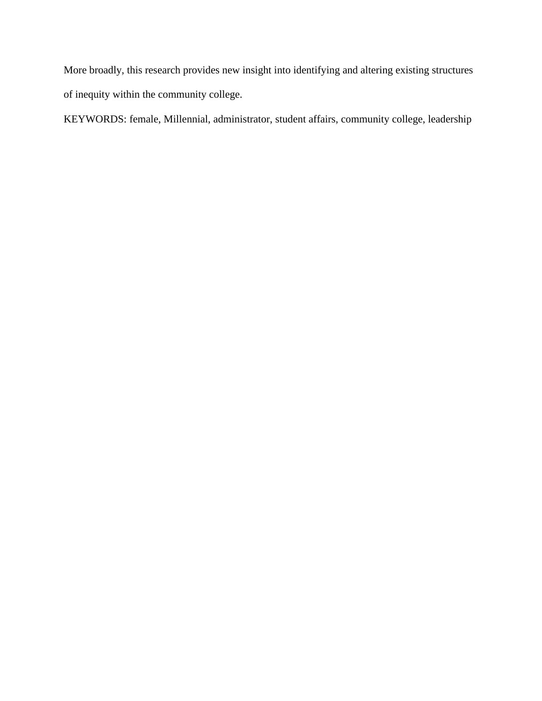More broadly, this research provides new insight into identifying and altering existing structures of inequity within the community college.

KEYWORDS: female, Millennial, administrator, student affairs, community college, leadership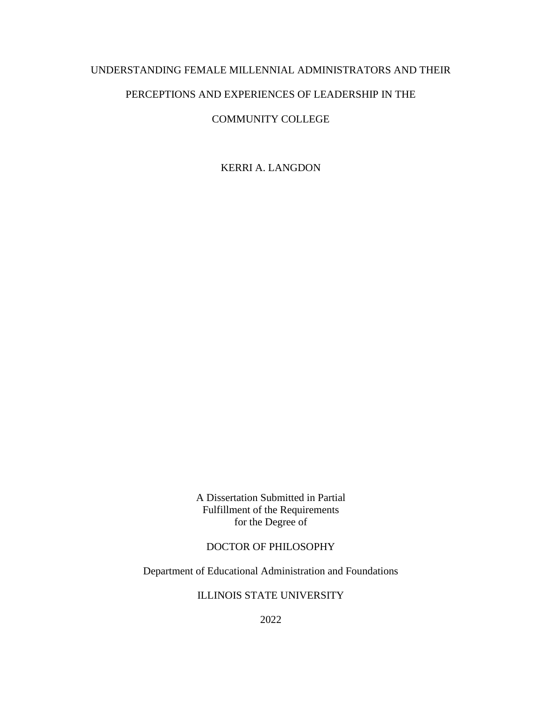## UNDERSTANDING FEMALE MILLENNIAL ADMINISTRATORS AND THEIR

### PERCEPTIONS AND EXPERIENCES OF LEADERSHIP IN THE

### COMMUNITY COLLEGE

KERRI A. LANGDON

A Dissertation Submitted in Partial Fulfillment of the Requirements for the Degree of

## DOCTOR OF PHILOSOPHY

Department of Educational Administration and Foundations

### ILLINOIS STATE UNIVERSITY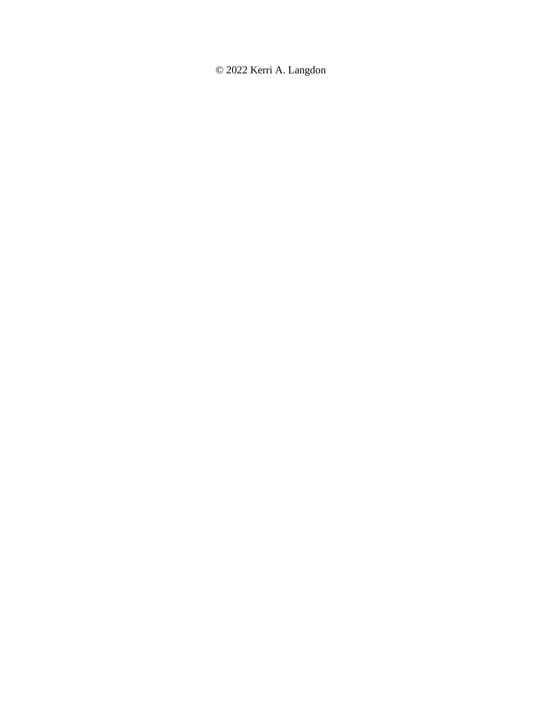© 2022 Kerri A. Langdon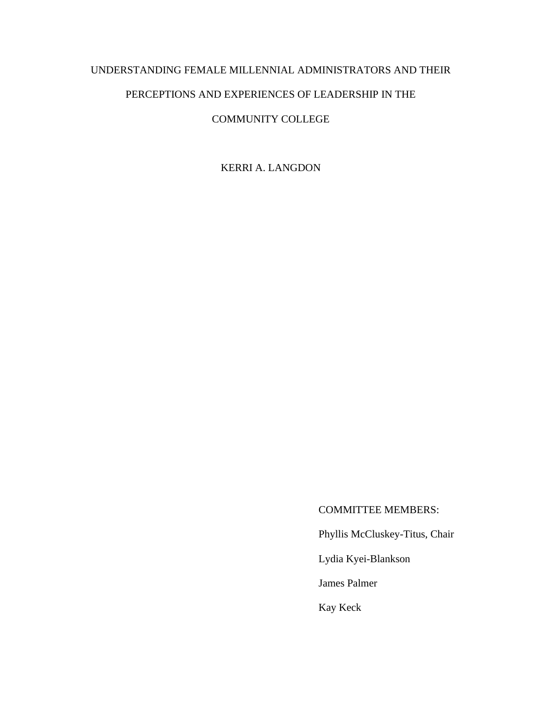# UNDERSTANDING FEMALE MILLENNIAL ADMINISTRATORS AND THEIR

# PERCEPTIONS AND EXPERIENCES OF LEADERSHIP IN THE

## COMMUNITY COLLEGE

KERRI A. LANGDON

## COMMITTEE MEMBERS:

Phyllis McCluskey-Titus, Chair

Lydia Kyei-Blankson

James Palmer

Kay Keck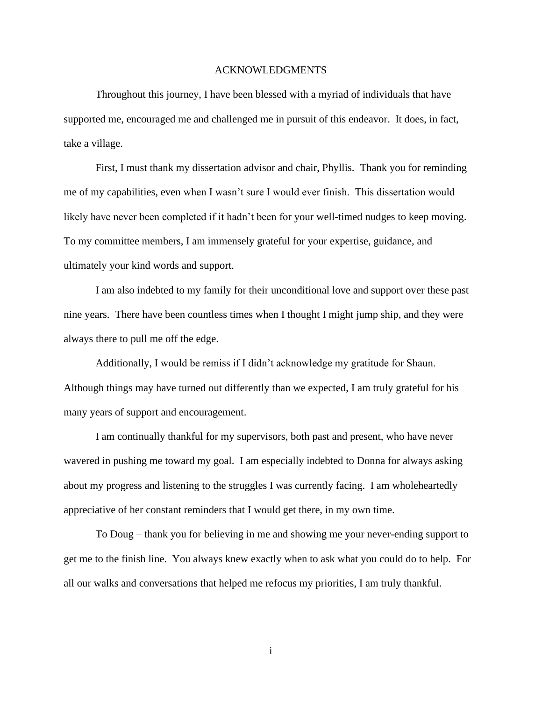#### ACKNOWLEDGMENTS

Throughout this journey, I have been blessed with a myriad of individuals that have supported me, encouraged me and challenged me in pursuit of this endeavor. It does, in fact, take a village.

First, I must thank my dissertation advisor and chair, Phyllis. Thank you for reminding me of my capabilities, even when I wasn't sure I would ever finish. This dissertation would likely have never been completed if it hadn't been for your well-timed nudges to keep moving. To my committee members, I am immensely grateful for your expertise, guidance, and ultimately your kind words and support.

I am also indebted to my family for their unconditional love and support over these past nine years. There have been countless times when I thought I might jump ship, and they were always there to pull me off the edge.

Additionally, I would be remiss if I didn't acknowledge my gratitude for Shaun. Although things may have turned out differently than we expected, I am truly grateful for his many years of support and encouragement.

I am continually thankful for my supervisors, both past and present, who have never wavered in pushing me toward my goal. I am especially indebted to Donna for always asking about my progress and listening to the struggles I was currently facing. I am wholeheartedly appreciative of her constant reminders that I would get there, in my own time.

To Doug – thank you for believing in me and showing me your never-ending support to get me to the finish line. You always knew exactly when to ask what you could do to help. For all our walks and conversations that helped me refocus my priorities, I am truly thankful.

i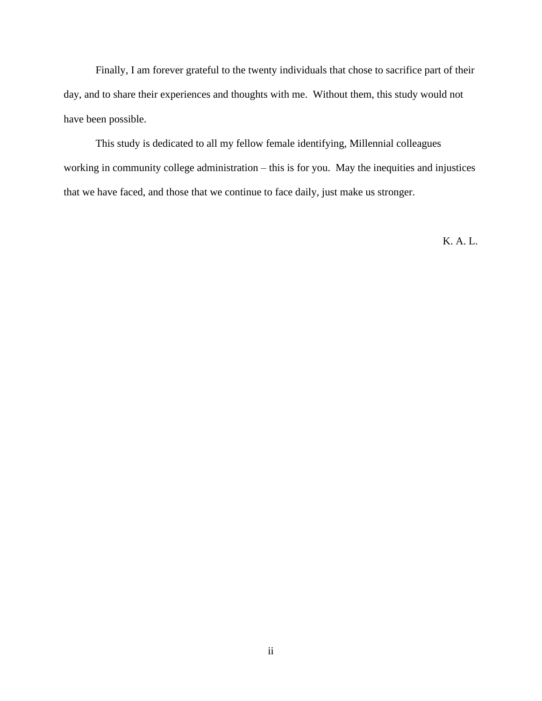Finally, I am forever grateful to the twenty individuals that chose to sacrifice part of their day, and to share their experiences and thoughts with me. Without them, this study would not have been possible.

This study is dedicated to all my fellow female identifying, Millennial colleagues working in community college administration – this is for you. May the inequities and injustices that we have faced, and those that we continue to face daily, just make us stronger.

K. A. L.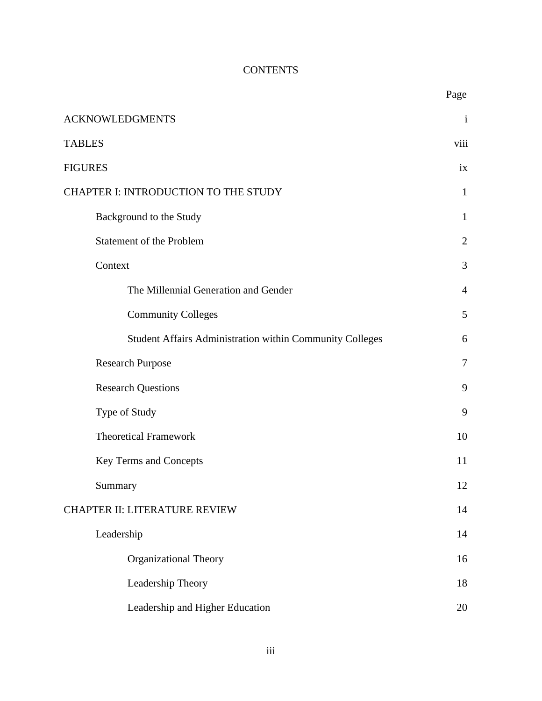# **CONTENTS**

|                                                          | Page           |
|----------------------------------------------------------|----------------|
| <b>ACKNOWLEDGMENTS</b>                                   | $\mathbf{i}$   |
| <b>TABLES</b>                                            | viii           |
| <b>FIGURES</b>                                           | ix             |
| CHAPTER I: INTRODUCTION TO THE STUDY                     | $\mathbf{1}$   |
| Background to the Study                                  | $\mathbf{1}$   |
| Statement of the Problem                                 | $\overline{2}$ |
| Context                                                  | 3              |
| The Millennial Generation and Gender                     | $\overline{4}$ |
| <b>Community Colleges</b>                                | 5              |
| Student Affairs Administration within Community Colleges | 6              |
| <b>Research Purpose</b>                                  | $\tau$         |
| <b>Research Questions</b>                                | 9              |
| Type of Study                                            | 9              |
| <b>Theoretical Framework</b>                             | 10             |
| Key Terms and Concepts                                   | 11             |
| Summary                                                  | 12             |
| <b>CHAPTER II: LITERATURE REVIEW</b>                     | 14             |
| Leadership                                               | 14             |
| <b>Organizational Theory</b>                             | 16             |
| Leadership Theory                                        | 18             |
| Leadership and Higher Education                          | 20             |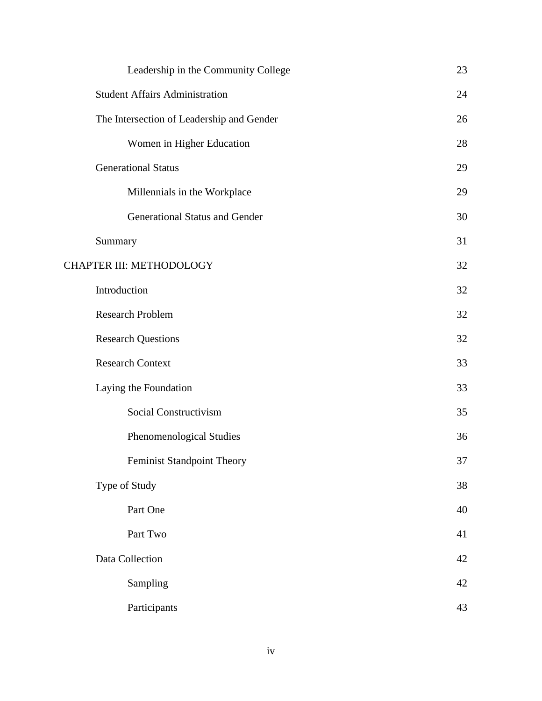| Leadership in the Community College       | 23     |
|-------------------------------------------|--------|
| <b>Student Affairs Administration</b>     | 24     |
| The Intersection of Leadership and Gender | 26     |
| Women in Higher Education                 | 28     |
| <b>Generational Status</b>                | 29     |
| Millennials in the Workplace              | 29     |
| <b>Generational Status and Gender</b>     | 30     |
| Summary                                   | 31     |
| CHAPTER III: METHODOLOGY                  | 32     |
| Introduction                              | 32     |
| <b>Research Problem</b>                   | 32     |
| <b>Research Questions</b>                 | 32     |
| <b>Research Context</b>                   | 33     |
| Laying the Foundation                     | 33     |
| Social Constructivism                     | 35     |
| Phenomenological Studies                  | 36     |
| <b>Feminist Standpoint Theory</b>         | 37     |
| Type of Study                             | 38     |
| Part One                                  | 40     |
| Part Two                                  | 41     |
| Data Collection                           | $42\,$ |
| Sampling                                  | $42\,$ |
| Participants                              | 43     |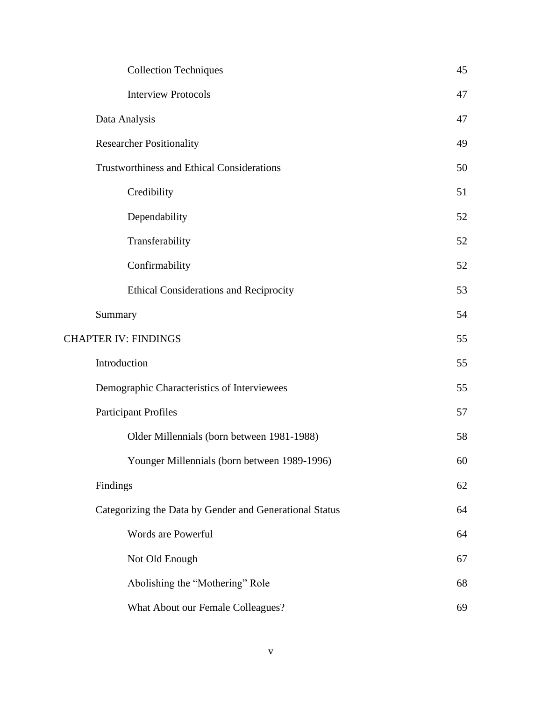| <b>Collection Techniques</b>                            | 45 |
|---------------------------------------------------------|----|
| <b>Interview Protocols</b>                              | 47 |
| Data Analysis                                           | 47 |
| <b>Researcher Positionality</b>                         | 49 |
| <b>Trustworthiness and Ethical Considerations</b>       | 50 |
| Credibility                                             | 51 |
| Dependability                                           | 52 |
| Transferability                                         | 52 |
| Confirmability                                          | 52 |
| <b>Ethical Considerations and Reciprocity</b>           | 53 |
| Summary                                                 | 54 |
| <b>CHAPTER IV: FINDINGS</b>                             | 55 |
| Introduction                                            | 55 |
| Demographic Characteristics of Interviewees             | 55 |
| <b>Participant Profiles</b>                             | 57 |
| Older Millennials (born between 1981-1988)              | 58 |
| Younger Millennials (born between 1989-1996)            | 60 |
| Findings                                                | 62 |
| Categorizing the Data by Gender and Generational Status | 64 |
| Words are Powerful                                      | 64 |
| Not Old Enough                                          | 67 |
| Abolishing the "Mothering" Role                         | 68 |
| What About our Female Colleagues?                       | 69 |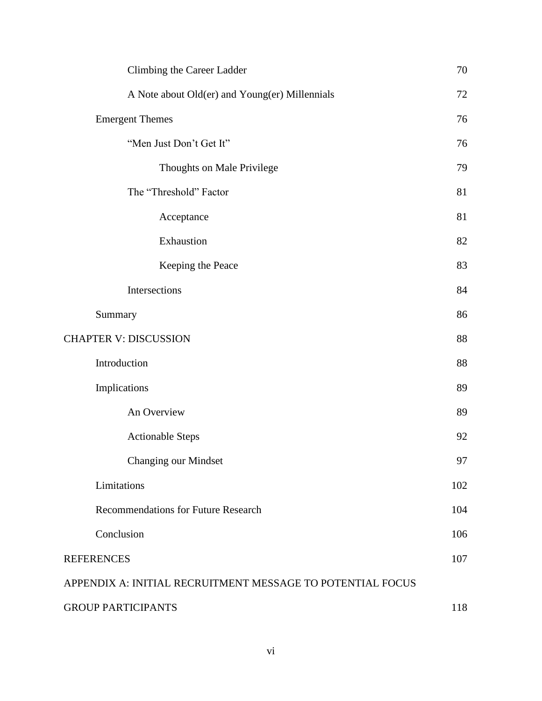| Climbing the Career Ladder                                 | 70  |
|------------------------------------------------------------|-----|
| A Note about Old(er) and Young(er) Millennials             | 72  |
| <b>Emergent Themes</b>                                     | 76  |
| "Men Just Don't Get It"                                    | 76  |
| Thoughts on Male Privilege                                 | 79  |
| The "Threshold" Factor                                     | 81  |
| Acceptance                                                 | 81  |
| Exhaustion                                                 | 82  |
| Keeping the Peace                                          | 83  |
| Intersections                                              | 84  |
| Summary                                                    | 86  |
| <b>CHAPTER V: DISCUSSION</b>                               | 88  |
| Introduction                                               | 88  |
| Implications                                               | 89  |
| An Overview                                                | 89  |
| <b>Actionable Steps</b>                                    | 92  |
| Changing our Mindset                                       | 97  |
| Limitations                                                | 102 |
| <b>Recommendations for Future Research</b>                 | 104 |
| Conclusion                                                 | 106 |
| <b>REFERENCES</b>                                          | 107 |
| APPENDIX A: INITIAL RECRUITMENT MESSAGE TO POTENTIAL FOCUS |     |
| <b>GROUP PARTICIPANTS</b>                                  | 118 |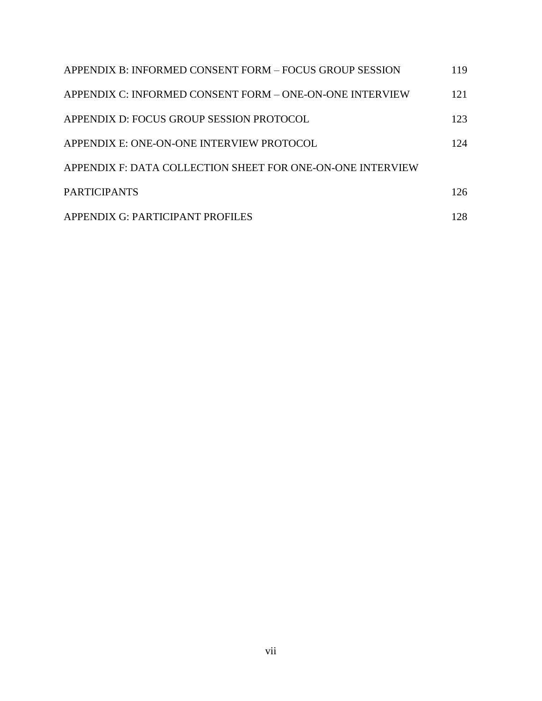| APPENDIX B: INFORMED CONSENT FORM – FOCUS GROUP SESSION    | 119  |
|------------------------------------------------------------|------|
| APPENDIX C: INFORMED CONSENT FORM – ONE-ON-ONE INTERVIEW   | 121  |
| APPENDIX D: FOCUS GROUP SESSION PROTOCOL                   | 123  |
| APPENDIX E: ONE-ON-ONE INTERVIEW PROTOCOL                  | 124  |
| APPENDIX F: DATA COLLECTION SHEET FOR ONE-ON-ONE INTERVIEW |      |
| <b>PARTICIPANTS</b>                                        | 126  |
| APPENDIX G: PARTICIPANT PROFILES                           | 128. |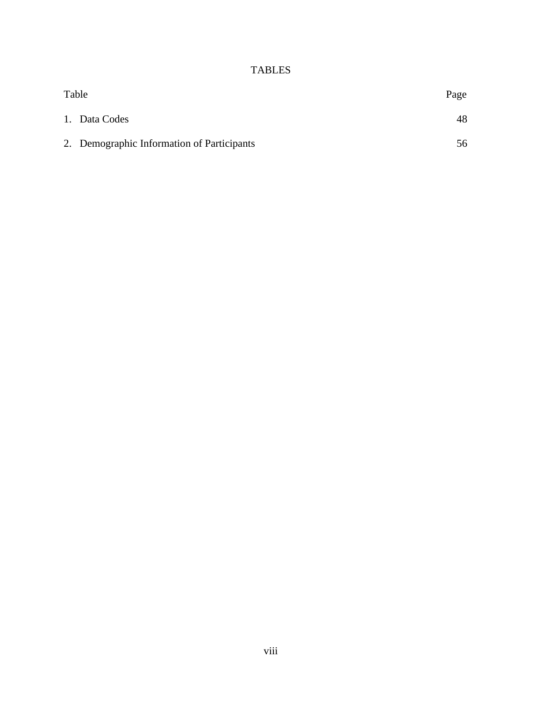# TABLES

| Table |                                            | Page |
|-------|--------------------------------------------|------|
|       | 1. Data Codes                              | 48   |
|       | 2. Demographic Information of Participants | 56   |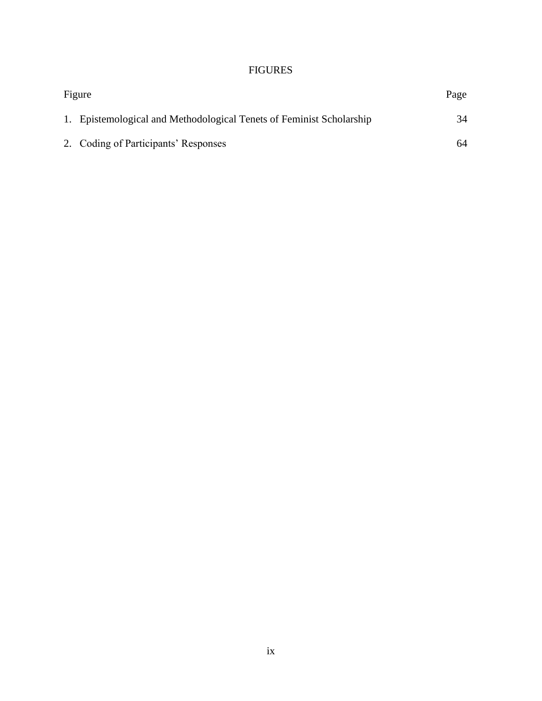## FIGURES

| Figure |                                                                      | Page |  |
|--------|----------------------------------------------------------------------|------|--|
|        | 1. Epistemological and Methodological Tenets of Feminist Scholarship | 34   |  |
|        | 2. Coding of Participants' Responses                                 | 64   |  |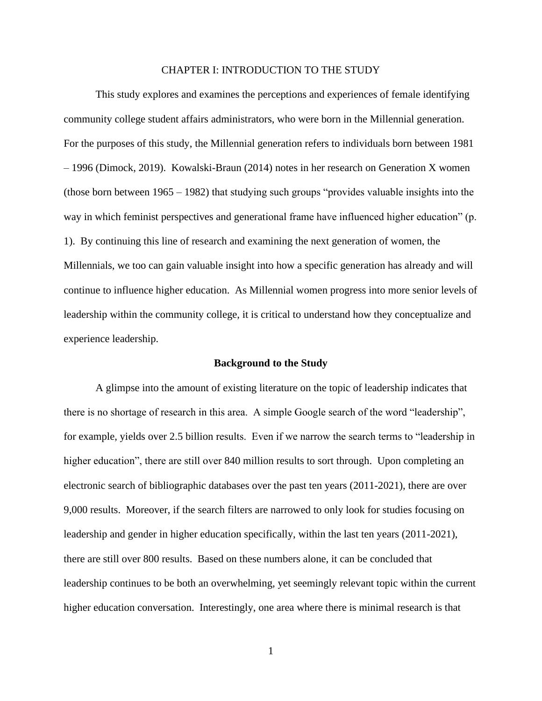#### CHAPTER I: INTRODUCTION TO THE STUDY

This study explores and examines the perceptions and experiences of female identifying community college student affairs administrators, who were born in the Millennial generation. For the purposes of this study, the Millennial generation refers to individuals born between 1981 – 1996 (Dimock, 2019). Kowalski-Braun (2014) notes in her research on Generation X women (those born between 1965 – 1982) that studying such groups "provides valuable insights into the way in which feminist perspectives and generational frame have influenced higher education" (p. 1). By continuing this line of research and examining the next generation of women, the Millennials, we too can gain valuable insight into how a specific generation has already and will continue to influence higher education. As Millennial women progress into more senior levels of leadership within the community college, it is critical to understand how they conceptualize and experience leadership.

#### **Background to the Study**

A glimpse into the amount of existing literature on the topic of leadership indicates that there is no shortage of research in this area. A simple Google search of the word "leadership", for example, yields over 2.5 billion results. Even if we narrow the search terms to "leadership in higher education", there are still over 840 million results to sort through. Upon completing an electronic search of bibliographic databases over the past ten years (2011-2021), there are over 9,000 results. Moreover, if the search filters are narrowed to only look for studies focusing on leadership and gender in higher education specifically, within the last ten years (2011-2021), there are still over 800 results. Based on these numbers alone, it can be concluded that leadership continues to be both an overwhelming, yet seemingly relevant topic within the current higher education conversation. Interestingly, one area where there is minimal research is that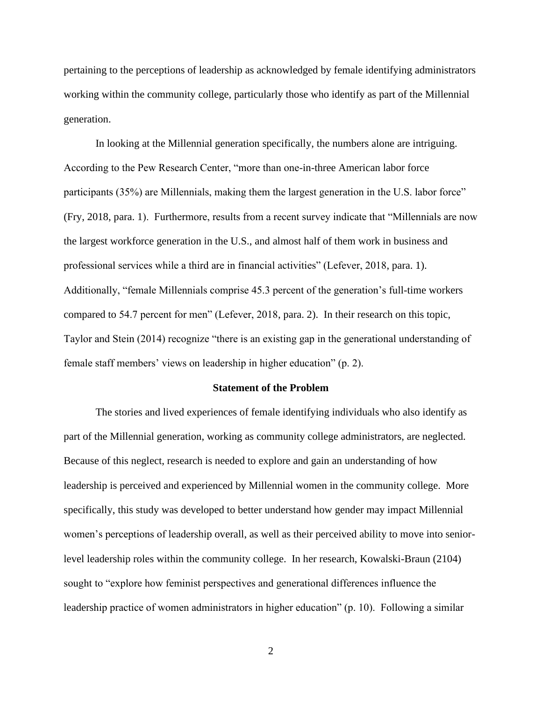pertaining to the perceptions of leadership as acknowledged by female identifying administrators working within the community college, particularly those who identify as part of the Millennial generation.

In looking at the Millennial generation specifically, the numbers alone are intriguing. According to the Pew Research Center, "more than one-in-three American labor force participants (35%) are Millennials, making them the largest generation in the U.S. labor force" (Fry, 2018, para. 1). Furthermore, results from a recent survey indicate that "Millennials are now the largest workforce generation in the U.S., and almost half of them work in business and professional services while a third are in financial activities" (Lefever, 2018, para. 1). Additionally, "female Millennials comprise 45.3 percent of the generation's full-time workers compared to 54.7 percent for men" (Lefever, 2018, para. 2). In their research on this topic, Taylor and Stein (2014) recognize "there is an existing gap in the generational understanding of female staff members' views on leadership in higher education" (p. 2).

#### **Statement of the Problem**

The stories and lived experiences of female identifying individuals who also identify as part of the Millennial generation, working as community college administrators, are neglected. Because of this neglect, research is needed to explore and gain an understanding of how leadership is perceived and experienced by Millennial women in the community college. More specifically, this study was developed to better understand how gender may impact Millennial women's perceptions of leadership overall, as well as their perceived ability to move into seniorlevel leadership roles within the community college. In her research, Kowalski-Braun (2104) sought to "explore how feminist perspectives and generational differences influence the leadership practice of women administrators in higher education" (p. 10). Following a similar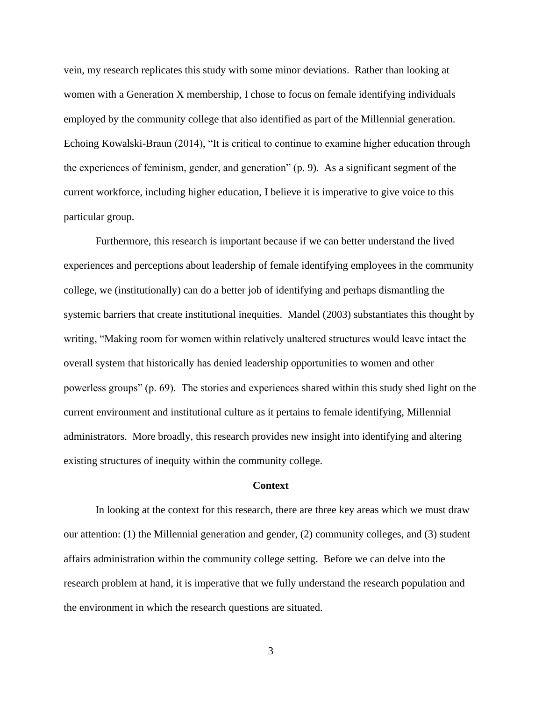vein, my research replicates this study with some minor deviations. Rather than looking at women with a Generation X membership, I chose to focus on female identifying individuals employed by the community college that also identified as part of the Millennial generation. Echoing Kowalski-Braun (2014), "It is critical to continue to examine higher education through the experiences of feminism, gender, and generation" (p. 9). As a significant segment of the current workforce, including higher education, I believe it is imperative to give voice to this particular group.

Furthermore, this research is important because if we can better understand the lived experiences and perceptions about leadership of female identifying employees in the community college, we (institutionally) can do a better job of identifying and perhaps dismantling the systemic barriers that create institutional inequities. Mandel (2003) substantiates this thought by writing, "Making room for women within relatively unaltered structures would leave intact the overall system that historically has denied leadership opportunities to women and other powerless groups" (p. 69). The stories and experiences shared within this study shed light on the current environment and institutional culture as it pertains to female identifying, Millennial administrators. More broadly, this research provides new insight into identifying and altering existing structures of inequity within the community college.

#### **Context**

In looking at the context for this research, there are three key areas which we must draw our attention: (1) the Millennial generation and gender, (2) community colleges, and (3) student affairs administration within the community college setting. Before we can delve into the research problem at hand, it is imperative that we fully understand the research population and the environment in which the research questions are situated.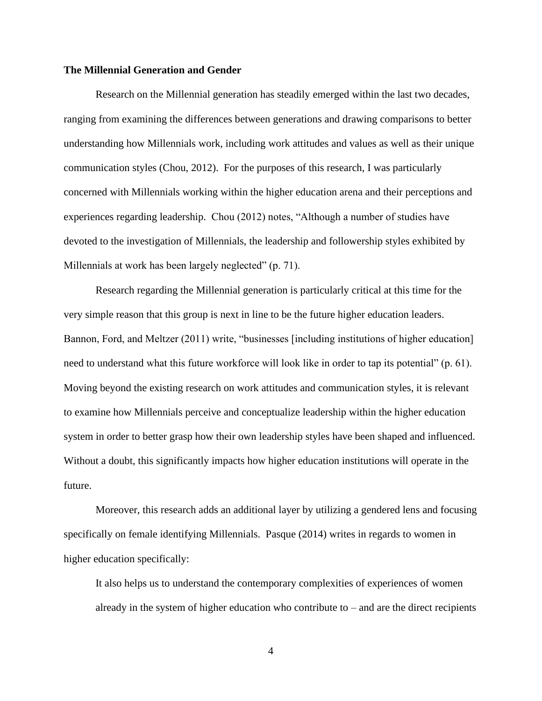#### **The Millennial Generation and Gender**

Research on the Millennial generation has steadily emerged within the last two decades, ranging from examining the differences between generations and drawing comparisons to better understanding how Millennials work, including work attitudes and values as well as their unique communication styles (Chou, 2012). For the purposes of this research, I was particularly concerned with Millennials working within the higher education arena and their perceptions and experiences regarding leadership. Chou (2012) notes, "Although a number of studies have devoted to the investigation of Millennials, the leadership and followership styles exhibited by Millennials at work has been largely neglected" (p. 71).

Research regarding the Millennial generation is particularly critical at this time for the very simple reason that this group is next in line to be the future higher education leaders. Bannon, Ford, and Meltzer (2011) write, "businesses [including institutions of higher education] need to understand what this future workforce will look like in order to tap its potential" (p. 61). Moving beyond the existing research on work attitudes and communication styles, it is relevant to examine how Millennials perceive and conceptualize leadership within the higher education system in order to better grasp how their own leadership styles have been shaped and influenced. Without a doubt, this significantly impacts how higher education institutions will operate in the future.

Moreover, this research adds an additional layer by utilizing a gendered lens and focusing specifically on female identifying Millennials. Pasque (2014) writes in regards to women in higher education specifically:

It also helps us to understand the contemporary complexities of experiences of women already in the system of higher education who contribute to – and are the direct recipients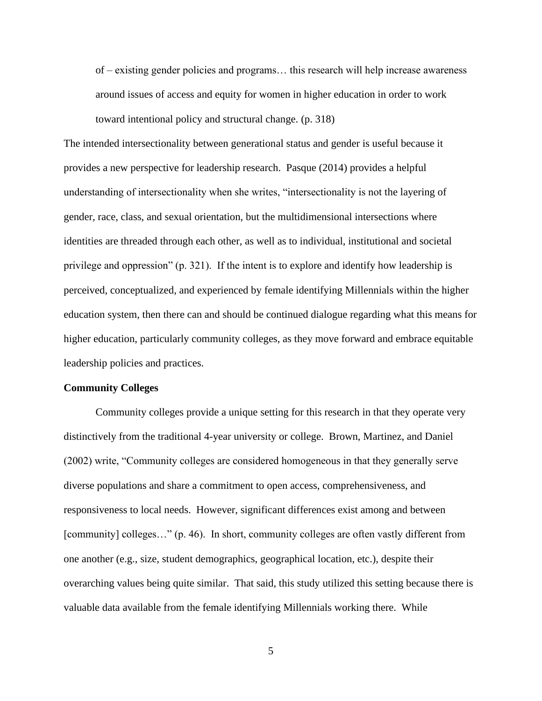of – existing gender policies and programs… this research will help increase awareness around issues of access and equity for women in higher education in order to work

toward intentional policy and structural change. (p. 318)

The intended intersectionality between generational status and gender is useful because it provides a new perspective for leadership research. Pasque (2014) provides a helpful understanding of intersectionality when she writes, "intersectionality is not the layering of gender, race, class, and sexual orientation, but the multidimensional intersections where identities are threaded through each other, as well as to individual, institutional and societal privilege and oppression" (p. 321). If the intent is to explore and identify how leadership is perceived, conceptualized, and experienced by female identifying Millennials within the higher education system, then there can and should be continued dialogue regarding what this means for higher education, particularly community colleges, as they move forward and embrace equitable leadership policies and practices.

#### **Community Colleges**

Community colleges provide a unique setting for this research in that they operate very distinctively from the traditional 4-year university or college. Brown, Martinez, and Daniel (2002) write, "Community colleges are considered homogeneous in that they generally serve diverse populations and share a commitment to open access, comprehensiveness, and responsiveness to local needs. However, significant differences exist among and between [community] colleges…" (p. 46). In short, community colleges are often vastly different from one another (e.g., size, student demographics, geographical location, etc.), despite their overarching values being quite similar. That said, this study utilized this setting because there is valuable data available from the female identifying Millennials working there. While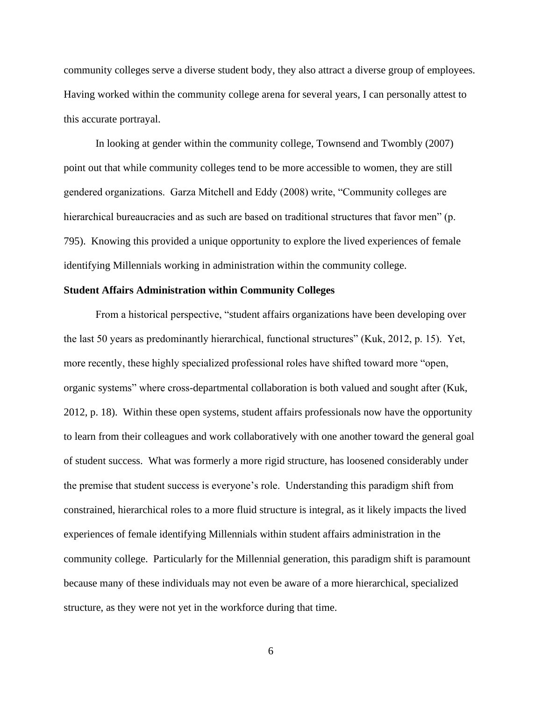community colleges serve a diverse student body, they also attract a diverse group of employees. Having worked within the community college arena for several years, I can personally attest to this accurate portrayal.

In looking at gender within the community college, Townsend and Twombly (2007) point out that while community colleges tend to be more accessible to women, they are still gendered organizations. Garza Mitchell and Eddy (2008) write, "Community colleges are hierarchical bureaucracies and as such are based on traditional structures that favor men" (p. 795). Knowing this provided a unique opportunity to explore the lived experiences of female identifying Millennials working in administration within the community college.

#### **Student Affairs Administration within Community Colleges**

From a historical perspective, "student affairs organizations have been developing over the last 50 years as predominantly hierarchical, functional structures" (Kuk, 2012, p. 15). Yet, more recently, these highly specialized professional roles have shifted toward more "open, organic systems" where cross-departmental collaboration is both valued and sought after (Kuk, 2012, p. 18). Within these open systems, student affairs professionals now have the opportunity to learn from their colleagues and work collaboratively with one another toward the general goal of student success. What was formerly a more rigid structure, has loosened considerably under the premise that student success is everyone's role. Understanding this paradigm shift from constrained, hierarchical roles to a more fluid structure is integral, as it likely impacts the lived experiences of female identifying Millennials within student affairs administration in the community college. Particularly for the Millennial generation, this paradigm shift is paramount because many of these individuals may not even be aware of a more hierarchical, specialized structure, as they were not yet in the workforce during that time.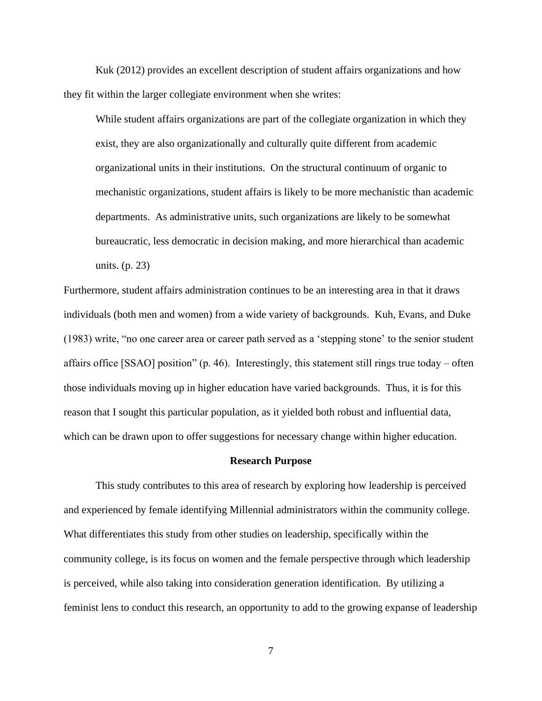Kuk (2012) provides an excellent description of student affairs organizations and how they fit within the larger collegiate environment when she writes:

While student affairs organizations are part of the collegiate organization in which they exist, they are also organizationally and culturally quite different from academic organizational units in their institutions. On the structural continuum of organic to mechanistic organizations, student affairs is likely to be more mechanistic than academic departments. As administrative units, such organizations are likely to be somewhat bureaucratic, less democratic in decision making, and more hierarchical than academic units. (p. 23)

Furthermore, student affairs administration continues to be an interesting area in that it draws individuals (both men and women) from a wide variety of backgrounds. Kuh, Evans, and Duke (1983) write, "no one career area or career path served as a 'stepping stone' to the senior student affairs office [SSAO] position" (p. 46). Interestingly, this statement still rings true today – often those individuals moving up in higher education have varied backgrounds. Thus, it is for this reason that I sought this particular population, as it yielded both robust and influential data, which can be drawn upon to offer suggestions for necessary change within higher education.

#### **Research Purpose**

This study contributes to this area of research by exploring how leadership is perceived and experienced by female identifying Millennial administrators within the community college. What differentiates this study from other studies on leadership, specifically within the community college, is its focus on women and the female perspective through which leadership is perceived, while also taking into consideration generation identification. By utilizing a feminist lens to conduct this research, an opportunity to add to the growing expanse of leadership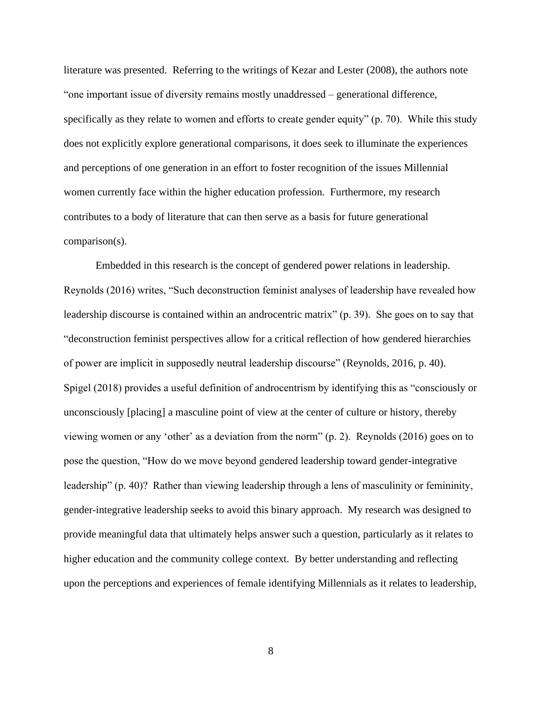literature was presented. Referring to the writings of Kezar and Lester (2008), the authors note "one important issue of diversity remains mostly unaddressed – generational difference, specifically as they relate to women and efforts to create gender equity" (p. 70). While this study does not explicitly explore generational comparisons, it does seek to illuminate the experiences and perceptions of one generation in an effort to foster recognition of the issues Millennial women currently face within the higher education profession. Furthermore, my research contributes to a body of literature that can then serve as a basis for future generational comparison(s).

Embedded in this research is the concept of gendered power relations in leadership. Reynolds (2016) writes, "Such deconstruction feminist analyses of leadership have revealed how leadership discourse is contained within an androcentric matrix" (p. 39). She goes on to say that "deconstruction feminist perspectives allow for a critical reflection of how gendered hierarchies of power are implicit in supposedly neutral leadership discourse" (Reynolds, 2016, p. 40). Spigel (2018) provides a useful definition of androcentrism by identifying this as "consciously or unconsciously [placing] a masculine point of view at the center of culture or history, thereby viewing women or any 'other' as a deviation from the norm" (p. 2). Reynolds (2016) goes on to pose the question, "How do we move beyond gendered leadership toward gender-integrative leadership" (p. 40)? Rather than viewing leadership through a lens of masculinity or femininity, gender-integrative leadership seeks to avoid this binary approach. My research was designed to provide meaningful data that ultimately helps answer such a question, particularly as it relates to higher education and the community college context. By better understanding and reflecting upon the perceptions and experiences of female identifying Millennials as it relates to leadership,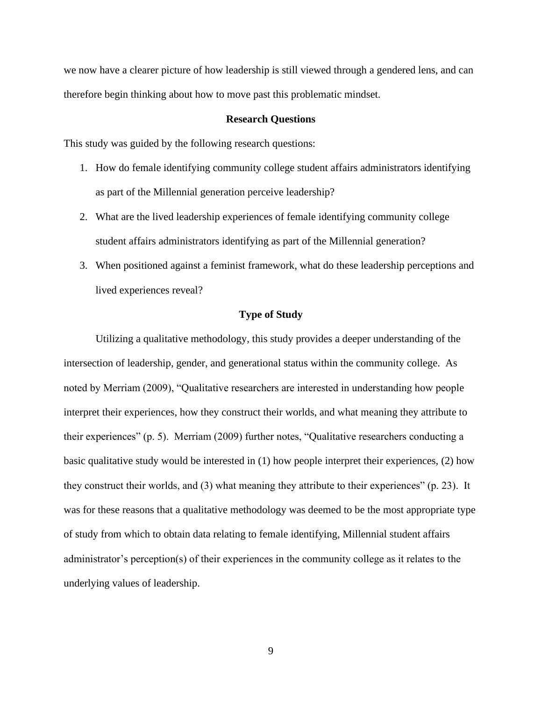we now have a clearer picture of how leadership is still viewed through a gendered lens, and can therefore begin thinking about how to move past this problematic mindset.

#### **Research Questions**

This study was guided by the following research questions:

- 1. How do female identifying community college student affairs administrators identifying as part of the Millennial generation perceive leadership?
- 2. What are the lived leadership experiences of female identifying community college student affairs administrators identifying as part of the Millennial generation?
- 3. When positioned against a feminist framework, what do these leadership perceptions and lived experiences reveal?

#### **Type of Study**

Utilizing a qualitative methodology, this study provides a deeper understanding of the intersection of leadership, gender, and generational status within the community college. As noted by Merriam (2009), "Qualitative researchers are interested in understanding how people interpret their experiences, how they construct their worlds, and what meaning they attribute to their experiences" (p. 5). Merriam (2009) further notes, "Qualitative researchers conducting a basic qualitative study would be interested in (1) how people interpret their experiences, (2) how they construct their worlds, and (3) what meaning they attribute to their experiences" (p. 23). It was for these reasons that a qualitative methodology was deemed to be the most appropriate type of study from which to obtain data relating to female identifying, Millennial student affairs administrator's perception(s) of their experiences in the community college as it relates to the underlying values of leadership.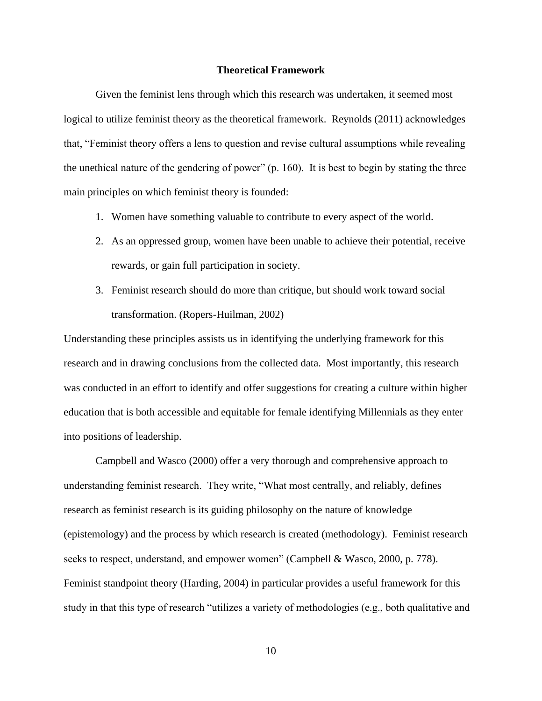#### **Theoretical Framework**

Given the feminist lens through which this research was undertaken, it seemed most logical to utilize feminist theory as the theoretical framework. Reynolds (2011) acknowledges that, "Feminist theory offers a lens to question and revise cultural assumptions while revealing the unethical nature of the gendering of power" (p. 160). It is best to begin by stating the three main principles on which feminist theory is founded:

- 1. Women have something valuable to contribute to every aspect of the world.
- 2. As an oppressed group, women have been unable to achieve their potential, receive rewards, or gain full participation in society.
- 3. Feminist research should do more than critique, but should work toward social transformation. (Ropers-Huilman, 2002)

Understanding these principles assists us in identifying the underlying framework for this research and in drawing conclusions from the collected data. Most importantly, this research was conducted in an effort to identify and offer suggestions for creating a culture within higher education that is both accessible and equitable for female identifying Millennials as they enter into positions of leadership.

Campbell and Wasco (2000) offer a very thorough and comprehensive approach to understanding feminist research. They write, "What most centrally, and reliably, defines research as feminist research is its guiding philosophy on the nature of knowledge (epistemology) and the process by which research is created (methodology). Feminist research seeks to respect, understand, and empower women" (Campbell & Wasco, 2000, p. 778). Feminist standpoint theory (Harding, 2004) in particular provides a useful framework for this study in that this type of research "utilizes a variety of methodologies (e.g., both qualitative and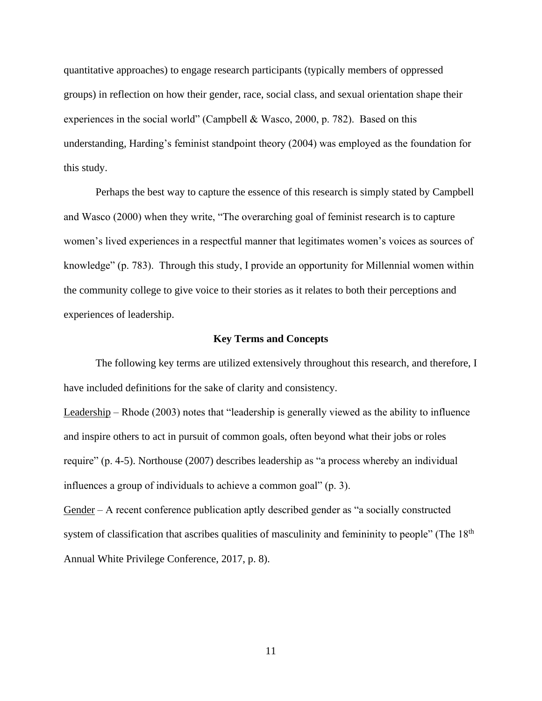quantitative approaches) to engage research participants (typically members of oppressed groups) in reflection on how their gender, race, social class, and sexual orientation shape their experiences in the social world" (Campbell & Wasco, 2000, p. 782). Based on this understanding, Harding's feminist standpoint theory (2004) was employed as the foundation for this study.

Perhaps the best way to capture the essence of this research is simply stated by Campbell and Wasco (2000) when they write, "The overarching goal of feminist research is to capture women's lived experiences in a respectful manner that legitimates women's voices as sources of knowledge" (p. 783). Through this study, I provide an opportunity for Millennial women within the community college to give voice to their stories as it relates to both their perceptions and experiences of leadership.

#### **Key Terms and Concepts**

The following key terms are utilized extensively throughout this research, and therefore, I have included definitions for the sake of clarity and consistency.

Leadership – Rhode (2003) notes that "leadership is generally viewed as the ability to influence and inspire others to act in pursuit of common goals, often beyond what their jobs or roles require" (p. 4-5). Northouse (2007) describes leadership as "a process whereby an individual influences a group of individuals to achieve a common goal" (p. 3).

Gender – A recent conference publication aptly described gender as "a socially constructed system of classification that ascribes qualities of masculinity and femininity to people" (The 18<sup>th</sup>) Annual White Privilege Conference, 2017, p. 8).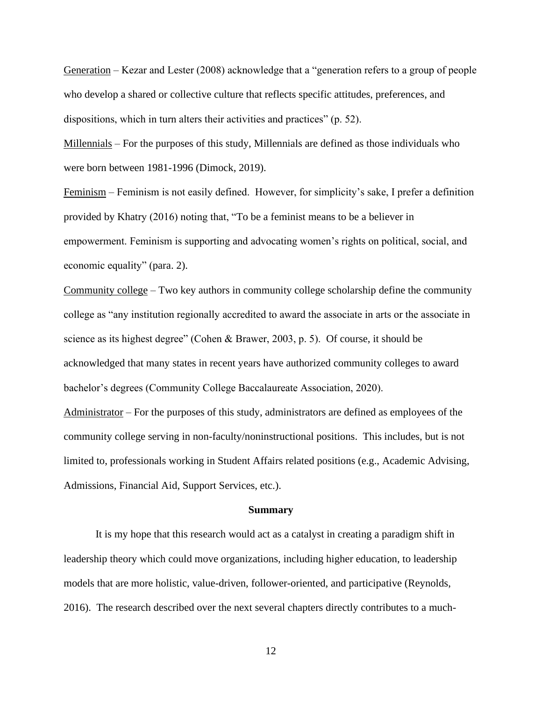Generation – Kezar and Lester (2008) acknowledge that a "generation refers to a group of people who develop a shared or collective culture that reflects specific attitudes, preferences, and dispositions, which in turn alters their activities and practices" (p. 52).

Millennials – For the purposes of this study, Millennials are defined as those individuals who were born between 1981-1996 (Dimock, 2019).

Feminism – Feminism is not easily defined. However, for simplicity's sake, I prefer a definition provided by Khatry (2016) noting that, "To be a feminist means to be a believer in empowerment. Feminism is supporting and advocating women's rights on political, social, and economic equality" (para. 2).

Community college – Two key authors in community college scholarship define the community college as "any institution regionally accredited to award the associate in arts or the associate in science as its highest degree" (Cohen & Brawer, 2003, p. 5). Of course, it should be acknowledged that many states in recent years have authorized community colleges to award bachelor's degrees (Community College Baccalaureate Association, 2020).

Administrator – For the purposes of this study, administrators are defined as employees of the community college serving in non-faculty/noninstructional positions. This includes, but is not limited to, professionals working in Student Affairs related positions (e.g., Academic Advising, Admissions, Financial Aid, Support Services, etc.).

#### **Summary**

It is my hope that this research would act as a catalyst in creating a paradigm shift in leadership theory which could move organizations, including higher education, to leadership models that are more holistic, value-driven, follower-oriented, and participative (Reynolds, 2016). The research described over the next several chapters directly contributes to a much-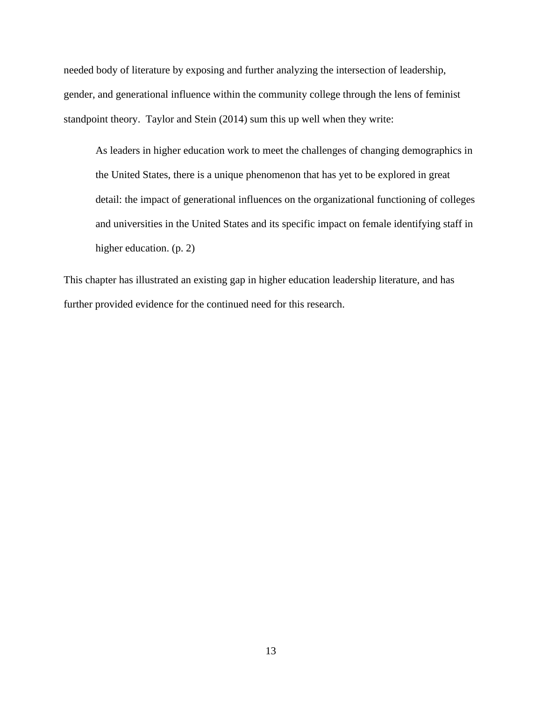needed body of literature by exposing and further analyzing the intersection of leadership, gender, and generational influence within the community college through the lens of feminist standpoint theory. Taylor and Stein (2014) sum this up well when they write:

As leaders in higher education work to meet the challenges of changing demographics in the United States, there is a unique phenomenon that has yet to be explored in great detail: the impact of generational influences on the organizational functioning of colleges and universities in the United States and its specific impact on female identifying staff in higher education. (p. 2)

This chapter has illustrated an existing gap in higher education leadership literature, and has further provided evidence for the continued need for this research.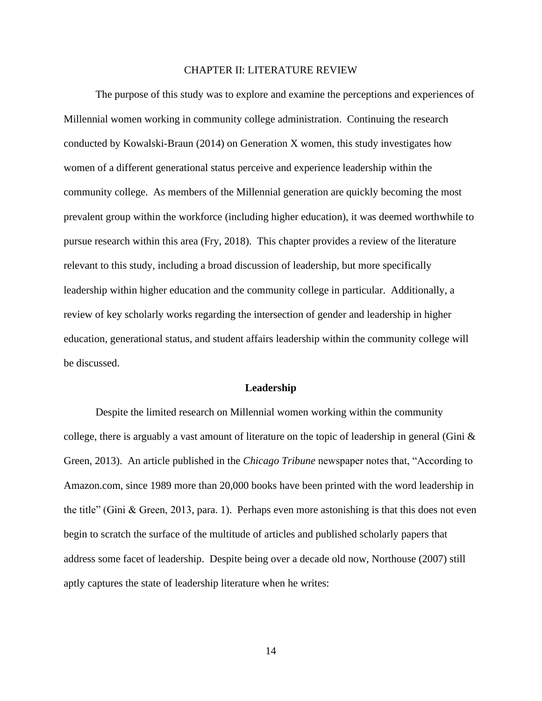#### CHAPTER II: LITERATURE REVIEW

The purpose of this study was to explore and examine the perceptions and experiences of Millennial women working in community college administration. Continuing the research conducted by Kowalski-Braun (2014) on Generation X women, this study investigates how women of a different generational status perceive and experience leadership within the community college. As members of the Millennial generation are quickly becoming the most prevalent group within the workforce (including higher education), it was deemed worthwhile to pursue research within this area (Fry, 2018). This chapter provides a review of the literature relevant to this study, including a broad discussion of leadership, but more specifically leadership within higher education and the community college in particular. Additionally, a review of key scholarly works regarding the intersection of gender and leadership in higher education, generational status, and student affairs leadership within the community college will be discussed.

#### **Leadership**

Despite the limited research on Millennial women working within the community college, there is arguably a vast amount of literature on the topic of leadership in general (Gini  $\&$ Green, 2013). An article published in the *Chicago Tribune* newspaper notes that, "According to Amazon.com, since 1989 more than 20,000 books have been printed with the word leadership in the title" (Gini & Green, 2013, para. 1). Perhaps even more astonishing is that this does not even begin to scratch the surface of the multitude of articles and published scholarly papers that address some facet of leadership. Despite being over a decade old now, Northouse (2007) still aptly captures the state of leadership literature when he writes: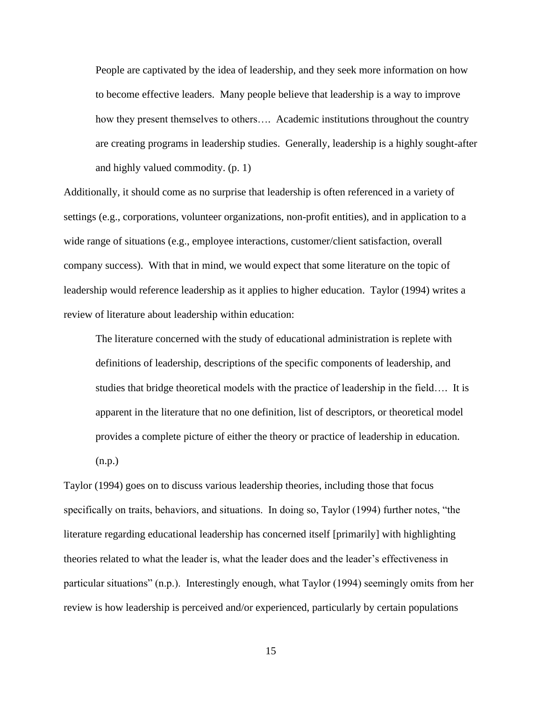People are captivated by the idea of leadership, and they seek more information on how to become effective leaders. Many people believe that leadership is a way to improve how they present themselves to others…. Academic institutions throughout the country are creating programs in leadership studies. Generally, leadership is a highly sought-after and highly valued commodity. (p. 1)

Additionally, it should come as no surprise that leadership is often referenced in a variety of settings (e.g., corporations, volunteer organizations, non-profit entities), and in application to a wide range of situations (e.g., employee interactions, customer/client satisfaction, overall company success). With that in mind, we would expect that some literature on the topic of leadership would reference leadership as it applies to higher education. Taylor (1994) writes a review of literature about leadership within education:

The literature concerned with the study of educational administration is replete with definitions of leadership, descriptions of the specific components of leadership, and studies that bridge theoretical models with the practice of leadership in the field…. It is apparent in the literature that no one definition, list of descriptors, or theoretical model provides a complete picture of either the theory or practice of leadership in education. (n.p.)

Taylor (1994) goes on to discuss various leadership theories, including those that focus specifically on traits, behaviors, and situations. In doing so, Taylor (1994) further notes, "the literature regarding educational leadership has concerned itself [primarily] with highlighting theories related to what the leader is, what the leader does and the leader's effectiveness in particular situations" (n.p.). Interestingly enough, what Taylor (1994) seemingly omits from her review is how leadership is perceived and/or experienced, particularly by certain populations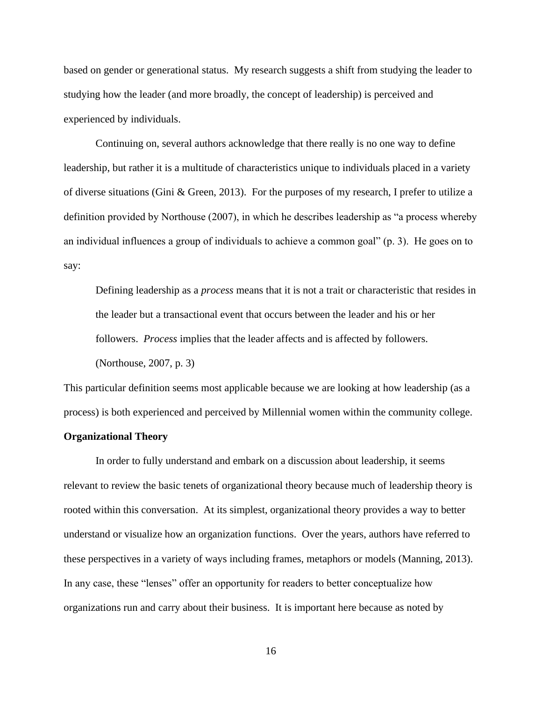based on gender or generational status. My research suggests a shift from studying the leader to studying how the leader (and more broadly, the concept of leadership) is perceived and experienced by individuals.

Continuing on, several authors acknowledge that there really is no one way to define leadership, but rather it is a multitude of characteristics unique to individuals placed in a variety of diverse situations (Gini & Green, 2013). For the purposes of my research, I prefer to utilize a definition provided by Northouse (2007), in which he describes leadership as "a process whereby an individual influences a group of individuals to achieve a common goal" (p. 3). He goes on to say:

Defining leadership as a *process* means that it is not a trait or characteristic that resides in the leader but a transactional event that occurs between the leader and his or her followers. *Process* implies that the leader affects and is affected by followers. (Northouse, 2007, p. 3)

This particular definition seems most applicable because we are looking at how leadership (as a process) is both experienced and perceived by Millennial women within the community college.

#### **Organizational Theory**

In order to fully understand and embark on a discussion about leadership, it seems relevant to review the basic tenets of organizational theory because much of leadership theory is rooted within this conversation. At its simplest, organizational theory provides a way to better understand or visualize how an organization functions. Over the years, authors have referred to these perspectives in a variety of ways including frames, metaphors or models (Manning, 2013). In any case, these "lenses" offer an opportunity for readers to better conceptualize how organizations run and carry about their business. It is important here because as noted by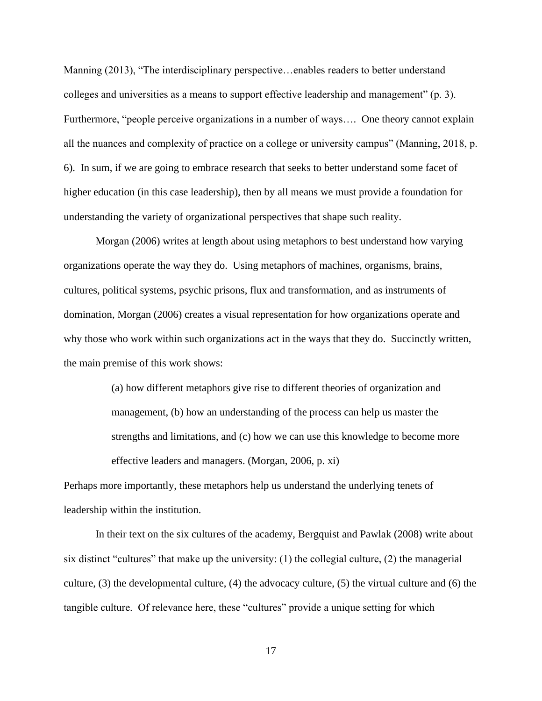Manning (2013), "The interdisciplinary perspective...enables readers to better understand colleges and universities as a means to support effective leadership and management" (p. 3). Furthermore, "people perceive organizations in a number of ways…. One theory cannot explain all the nuances and complexity of practice on a college or university campus" (Manning, 2018, p. 6). In sum, if we are going to embrace research that seeks to better understand some facet of higher education (in this case leadership), then by all means we must provide a foundation for understanding the variety of organizational perspectives that shape such reality.

Morgan (2006) writes at length about using metaphors to best understand how varying organizations operate the way they do. Using metaphors of machines, organisms, brains, cultures, political systems, psychic prisons, flux and transformation, and as instruments of domination, Morgan (2006) creates a visual representation for how organizations operate and why those who work within such organizations act in the ways that they do. Succinctly written, the main premise of this work shows:

> (a) how different metaphors give rise to different theories of organization and management, (b) how an understanding of the process can help us master the strengths and limitations, and (c) how we can use this knowledge to become more effective leaders and managers. (Morgan, 2006, p. xi)

Perhaps more importantly, these metaphors help us understand the underlying tenets of leadership within the institution.

In their text on the six cultures of the academy, Bergquist and Pawlak (2008) write about six distinct "cultures" that make up the university:  $(1)$  the collegial culture,  $(2)$  the managerial culture, (3) the developmental culture, (4) the advocacy culture, (5) the virtual culture and (6) the tangible culture. Of relevance here, these "cultures" provide a unique setting for which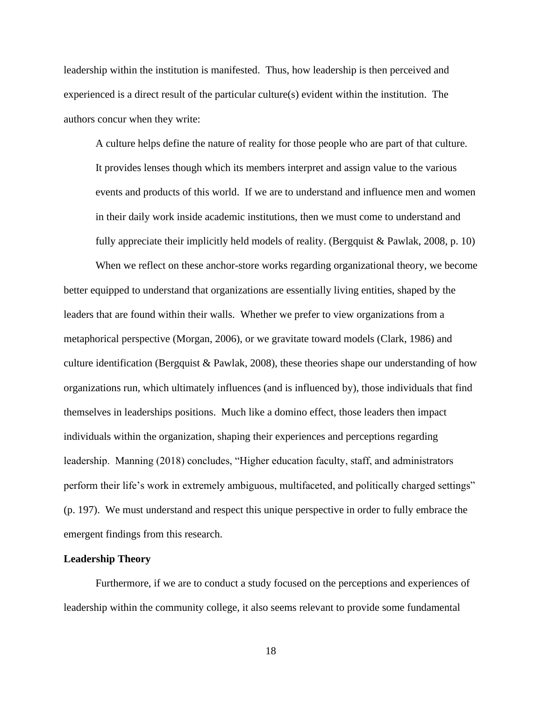leadership within the institution is manifested. Thus, how leadership is then perceived and experienced is a direct result of the particular culture(s) evident within the institution. The authors concur when they write:

A culture helps define the nature of reality for those people who are part of that culture. It provides lenses though which its members interpret and assign value to the various events and products of this world. If we are to understand and influence men and women in their daily work inside academic institutions, then we must come to understand and fully appreciate their implicitly held models of reality. (Bergquist & Pawlak, 2008, p. 10)

When we reflect on these anchor-store works regarding organizational theory, we become better equipped to understand that organizations are essentially living entities, shaped by the leaders that are found within their walls. Whether we prefer to view organizations from a metaphorical perspective (Morgan, 2006), or we gravitate toward models (Clark, 1986) and culture identification (Bergquist & Pawlak, 2008), these theories shape our understanding of how organizations run, which ultimately influences (and is influenced by), those individuals that find themselves in leaderships positions. Much like a domino effect, those leaders then impact individuals within the organization, shaping their experiences and perceptions regarding leadership. Manning (2018) concludes, "Higher education faculty, staff, and administrators perform their life's work in extremely ambiguous, multifaceted, and politically charged settings" (p. 197). We must understand and respect this unique perspective in order to fully embrace the emergent findings from this research.

#### **Leadership Theory**

Furthermore, if we are to conduct a study focused on the perceptions and experiences of leadership within the community college, it also seems relevant to provide some fundamental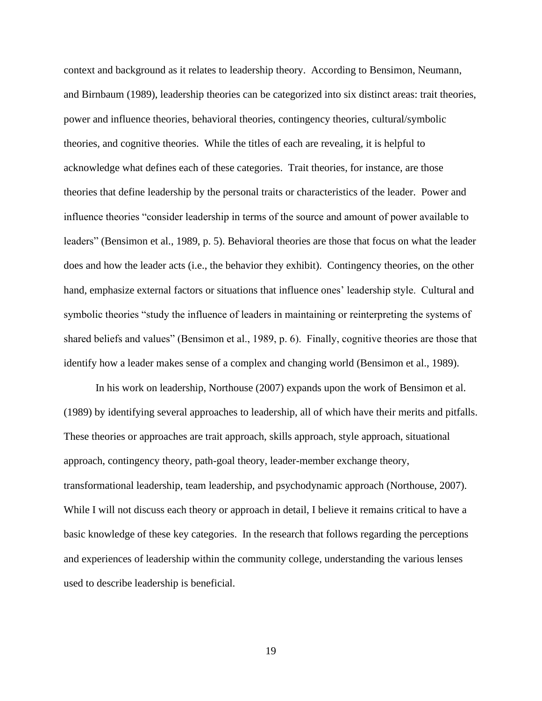context and background as it relates to leadership theory. According to Bensimon, Neumann, and Birnbaum (1989), leadership theories can be categorized into six distinct areas: trait theories, power and influence theories, behavioral theories, contingency theories, cultural/symbolic theories, and cognitive theories. While the titles of each are revealing, it is helpful to acknowledge what defines each of these categories. Trait theories, for instance, are those theories that define leadership by the personal traits or characteristics of the leader. Power and influence theories "consider leadership in terms of the source and amount of power available to leaders" (Bensimon et al., 1989, p. 5). Behavioral theories are those that focus on what the leader does and how the leader acts (i.e., the behavior they exhibit). Contingency theories, on the other hand, emphasize external factors or situations that influence ones' leadership style. Cultural and symbolic theories "study the influence of leaders in maintaining or reinterpreting the systems of shared beliefs and values" (Bensimon et al., 1989, p. 6). Finally, cognitive theories are those that identify how a leader makes sense of a complex and changing world (Bensimon et al., 1989).

In his work on leadership, Northouse (2007) expands upon the work of Bensimon et al. (1989) by identifying several approaches to leadership, all of which have their merits and pitfalls. These theories or approaches are trait approach, skills approach, style approach, situational approach, contingency theory, path-goal theory, leader-member exchange theory, transformational leadership, team leadership, and psychodynamic approach (Northouse, 2007). While I will not discuss each theory or approach in detail, I believe it remains critical to have a basic knowledge of these key categories. In the research that follows regarding the perceptions and experiences of leadership within the community college, understanding the various lenses used to describe leadership is beneficial.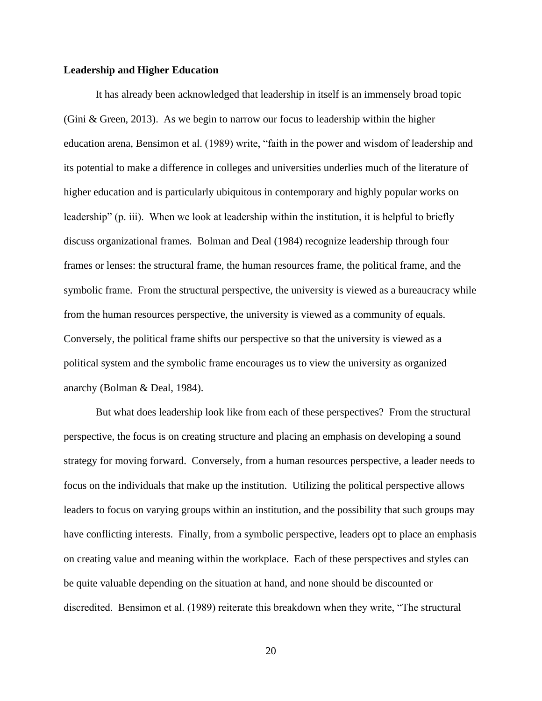#### **Leadership and Higher Education**

It has already been acknowledged that leadership in itself is an immensely broad topic (Gini & Green, 2013). As we begin to narrow our focus to leadership within the higher education arena, Bensimon et al. (1989) write, "faith in the power and wisdom of leadership and its potential to make a difference in colleges and universities underlies much of the literature of higher education and is particularly ubiquitous in contemporary and highly popular works on leadership" (p. iii). When we look at leadership within the institution, it is helpful to briefly discuss organizational frames. Bolman and Deal (1984) recognize leadership through four frames or lenses: the structural frame, the human resources frame, the political frame, and the symbolic frame. From the structural perspective, the university is viewed as a bureaucracy while from the human resources perspective, the university is viewed as a community of equals. Conversely, the political frame shifts our perspective so that the university is viewed as a political system and the symbolic frame encourages us to view the university as organized anarchy (Bolman & Deal, 1984).

But what does leadership look like from each of these perspectives? From the structural perspective, the focus is on creating structure and placing an emphasis on developing a sound strategy for moving forward. Conversely, from a human resources perspective, a leader needs to focus on the individuals that make up the institution. Utilizing the political perspective allows leaders to focus on varying groups within an institution, and the possibility that such groups may have conflicting interests. Finally, from a symbolic perspective, leaders opt to place an emphasis on creating value and meaning within the workplace. Each of these perspectives and styles can be quite valuable depending on the situation at hand, and none should be discounted or discredited. Bensimon et al. (1989) reiterate this breakdown when they write, "The structural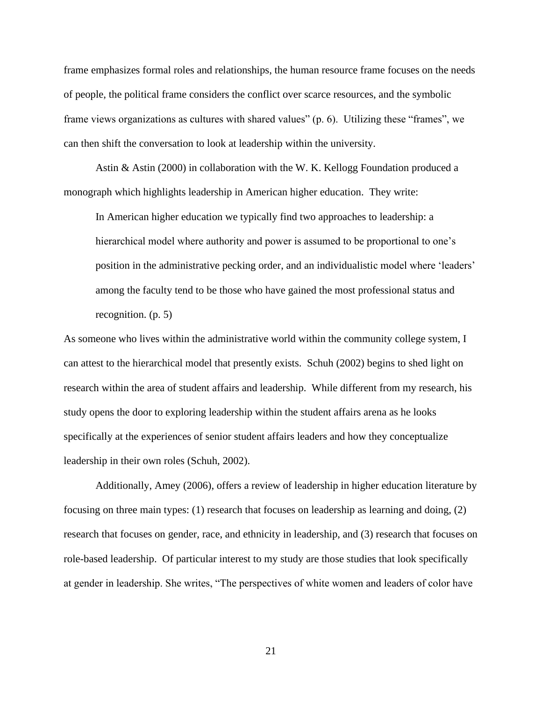frame emphasizes formal roles and relationships, the human resource frame focuses on the needs of people, the political frame considers the conflict over scarce resources, and the symbolic frame views organizations as cultures with shared values" (p. 6). Utilizing these "frames", we can then shift the conversation to look at leadership within the university.

Astin & Astin (2000) in collaboration with the W. K. Kellogg Foundation produced a monograph which highlights leadership in American higher education. They write:

In American higher education we typically find two approaches to leadership: a hierarchical model where authority and power is assumed to be proportional to one's position in the administrative pecking order, and an individualistic model where 'leaders' among the faculty tend to be those who have gained the most professional status and recognition. (p. 5)

As someone who lives within the administrative world within the community college system, I can attest to the hierarchical model that presently exists. Schuh (2002) begins to shed light on research within the area of student affairs and leadership. While different from my research, his study opens the door to exploring leadership within the student affairs arena as he looks specifically at the experiences of senior student affairs leaders and how they conceptualize leadership in their own roles (Schuh, 2002).

Additionally, Amey (2006), offers a review of leadership in higher education literature by focusing on three main types: (1) research that focuses on leadership as learning and doing, (2) research that focuses on gender, race, and ethnicity in leadership, and (3) research that focuses on role-based leadership. Of particular interest to my study are those studies that look specifically at gender in leadership. She writes, "The perspectives of white women and leaders of color have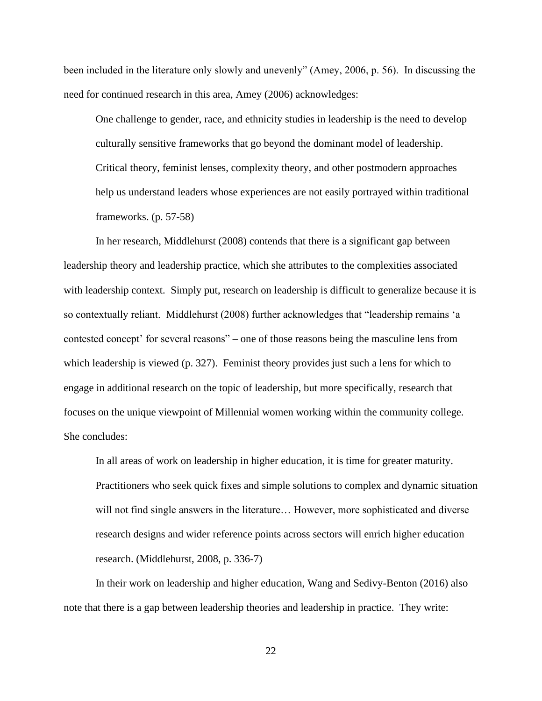been included in the literature only slowly and unevenly" (Amey, 2006, p. 56). In discussing the need for continued research in this area, Amey (2006) acknowledges:

One challenge to gender, race, and ethnicity studies in leadership is the need to develop culturally sensitive frameworks that go beyond the dominant model of leadership. Critical theory, feminist lenses, complexity theory, and other postmodern approaches help us understand leaders whose experiences are not easily portrayed within traditional frameworks. (p. 57-58)

In her research, Middlehurst (2008) contends that there is a significant gap between leadership theory and leadership practice, which she attributes to the complexities associated with leadership context. Simply put, research on leadership is difficult to generalize because it is so contextually reliant. Middlehurst (2008) further acknowledges that "leadership remains 'a contested concept' for several reasons" – one of those reasons being the masculine lens from which leadership is viewed (p. 327). Feminist theory provides just such a lens for which to engage in additional research on the topic of leadership, but more specifically, research that focuses on the unique viewpoint of Millennial women working within the community college. She concludes:

In all areas of work on leadership in higher education, it is time for greater maturity. Practitioners who seek quick fixes and simple solutions to complex and dynamic situation will not find single answers in the literature… However, more sophisticated and diverse research designs and wider reference points across sectors will enrich higher education research. (Middlehurst, 2008, p. 336-7)

In their work on leadership and higher education, Wang and Sedivy-Benton (2016) also note that there is a gap between leadership theories and leadership in practice. They write: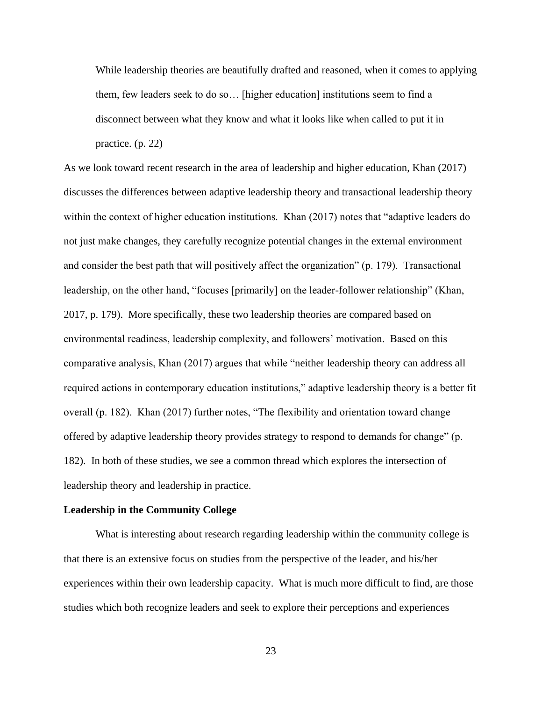While leadership theories are beautifully drafted and reasoned, when it comes to applying them, few leaders seek to do so… [higher education] institutions seem to find a disconnect between what they know and what it looks like when called to put it in practice. (p. 22)

As we look toward recent research in the area of leadership and higher education, Khan (2017) discusses the differences between adaptive leadership theory and transactional leadership theory within the context of higher education institutions. Khan (2017) notes that "adaptive leaders do not just make changes, they carefully recognize potential changes in the external environment and consider the best path that will positively affect the organization" (p. 179). Transactional leadership, on the other hand, "focuses [primarily] on the leader-follower relationship" (Khan, 2017, p. 179). More specifically, these two leadership theories are compared based on environmental readiness, leadership complexity, and followers' motivation. Based on this comparative analysis, Khan (2017) argues that while "neither leadership theory can address all required actions in contemporary education institutions," adaptive leadership theory is a better fit overall (p. 182). Khan (2017) further notes, "The flexibility and orientation toward change offered by adaptive leadership theory provides strategy to respond to demands for change" (p. 182). In both of these studies, we see a common thread which explores the intersection of leadership theory and leadership in practice.

#### **Leadership in the Community College**

What is interesting about research regarding leadership within the community college is that there is an extensive focus on studies from the perspective of the leader, and his/her experiences within their own leadership capacity. What is much more difficult to find, are those studies which both recognize leaders and seek to explore their perceptions and experiences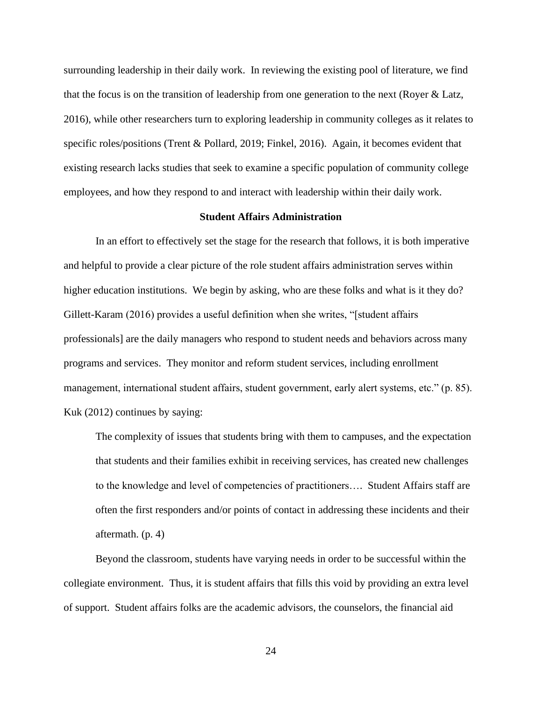surrounding leadership in their daily work. In reviewing the existing pool of literature, we find that the focus is on the transition of leadership from one generation to the next (Royer & Latz, 2016), while other researchers turn to exploring leadership in community colleges as it relates to specific roles/positions (Trent & Pollard, 2019; Finkel, 2016). Again, it becomes evident that existing research lacks studies that seek to examine a specific population of community college employees, and how they respond to and interact with leadership within their daily work.

## **Student Affairs Administration**

In an effort to effectively set the stage for the research that follows, it is both imperative and helpful to provide a clear picture of the role student affairs administration serves within higher education institutions. We begin by asking, who are these folks and what is it they do? Gillett-Karam (2016) provides a useful definition when she writes, "[student affairs professionals] are the daily managers who respond to student needs and behaviors across many programs and services. They monitor and reform student services, including enrollment management, international student affairs, student government, early alert systems, etc." (p. 85). Kuk (2012) continues by saying:

The complexity of issues that students bring with them to campuses, and the expectation that students and their families exhibit in receiving services, has created new challenges to the knowledge and level of competencies of practitioners…. Student Affairs staff are often the first responders and/or points of contact in addressing these incidents and their aftermath. (p. 4)

Beyond the classroom, students have varying needs in order to be successful within the collegiate environment. Thus, it is student affairs that fills this void by providing an extra level of support. Student affairs folks are the academic advisors, the counselors, the financial aid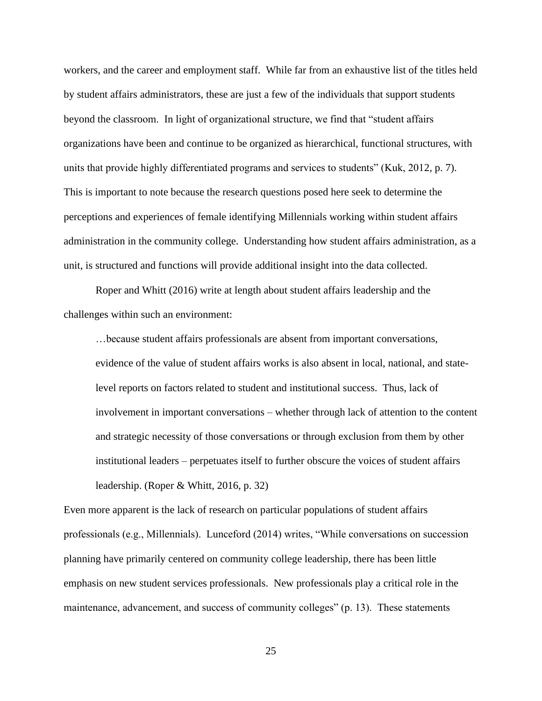workers, and the career and employment staff. While far from an exhaustive list of the titles held by student affairs administrators, these are just a few of the individuals that support students beyond the classroom. In light of organizational structure, we find that "student affairs organizations have been and continue to be organized as hierarchical, functional structures, with units that provide highly differentiated programs and services to students" (Kuk, 2012, p. 7). This is important to note because the research questions posed here seek to determine the perceptions and experiences of female identifying Millennials working within student affairs administration in the community college. Understanding how student affairs administration, as a unit, is structured and functions will provide additional insight into the data collected.

Roper and Whitt (2016) write at length about student affairs leadership and the challenges within such an environment:

…because student affairs professionals are absent from important conversations, evidence of the value of student affairs works is also absent in local, national, and statelevel reports on factors related to student and institutional success. Thus, lack of involvement in important conversations – whether through lack of attention to the content and strategic necessity of those conversations or through exclusion from them by other institutional leaders – perpetuates itself to further obscure the voices of student affairs leadership. (Roper & Whitt, 2016, p. 32)

Even more apparent is the lack of research on particular populations of student affairs professionals (e.g., Millennials). Lunceford (2014) writes, "While conversations on succession planning have primarily centered on community college leadership, there has been little emphasis on new student services professionals. New professionals play a critical role in the maintenance, advancement, and success of community colleges" (p. 13). These statements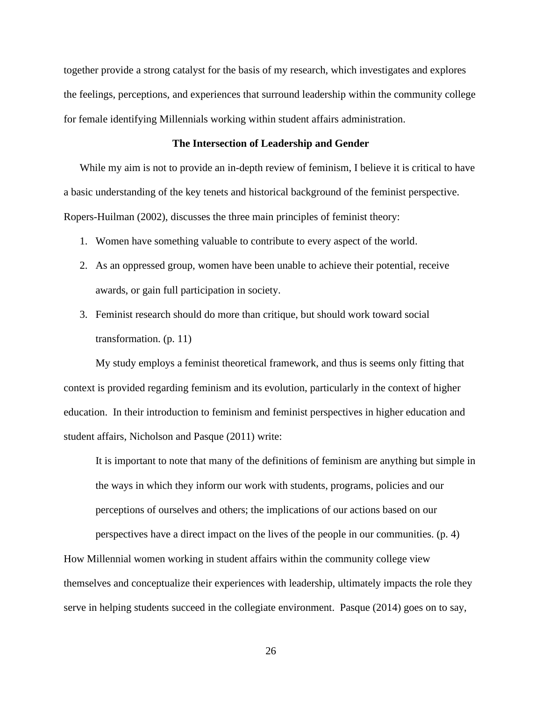together provide a strong catalyst for the basis of my research, which investigates and explores the feelings, perceptions, and experiences that surround leadership within the community college for female identifying Millennials working within student affairs administration.

# **The Intersection of Leadership and Gender**

While my aim is not to provide an in-depth review of feminism, I believe it is critical to have a basic understanding of the key tenets and historical background of the feminist perspective. Ropers-Huilman (2002), discusses the three main principles of feminist theory:

- 1. Women have something valuable to contribute to every aspect of the world.
- 2. As an oppressed group, women have been unable to achieve their potential, receive awards, or gain full participation in society.
- 3. Feminist research should do more than critique, but should work toward social transformation. (p. 11)

My study employs a feminist theoretical framework, and thus is seems only fitting that context is provided regarding feminism and its evolution, particularly in the context of higher education. In their introduction to feminism and feminist perspectives in higher education and student affairs, Nicholson and Pasque (2011) write:

It is important to note that many of the definitions of feminism are anything but simple in the ways in which they inform our work with students, programs, policies and our perceptions of ourselves and others; the implications of our actions based on our

perspectives have a direct impact on the lives of the people in our communities. (p. 4)

How Millennial women working in student affairs within the community college view themselves and conceptualize their experiences with leadership, ultimately impacts the role they serve in helping students succeed in the collegiate environment. Pasque (2014) goes on to say,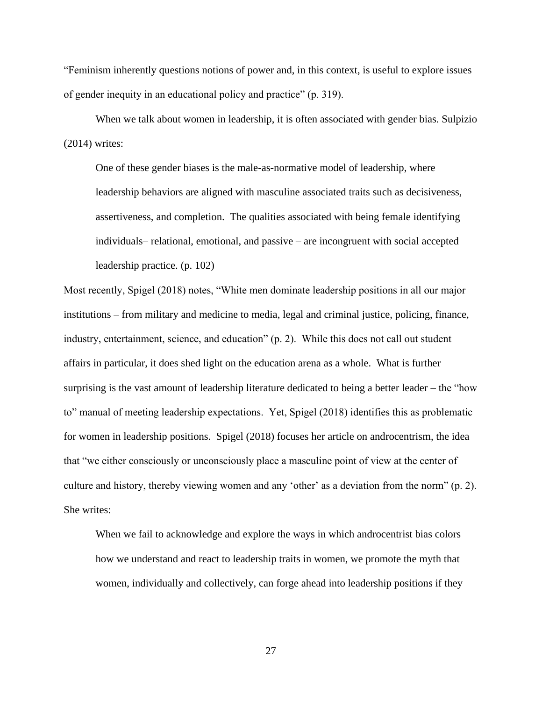"Feminism inherently questions notions of power and, in this context, is useful to explore issues of gender inequity in an educational policy and practice" (p. 319).

When we talk about women in leadership, it is often associated with gender bias. Sulpizio (2014) writes:

One of these gender biases is the male-as-normative model of leadership, where leadership behaviors are aligned with masculine associated traits such as decisiveness, assertiveness, and completion. The qualities associated with being female identifying individuals– relational, emotional, and passive – are incongruent with social accepted leadership practice. (p. 102)

Most recently, Spigel (2018) notes, "White men dominate leadership positions in all our major institutions – from military and medicine to media, legal and criminal justice, policing, finance, industry, entertainment, science, and education" (p. 2). While this does not call out student affairs in particular, it does shed light on the education arena as a whole. What is further surprising is the vast amount of leadership literature dedicated to being a better leader – the "how to" manual of meeting leadership expectations. Yet, Spigel (2018) identifies this as problematic for women in leadership positions. Spigel (2018) focuses her article on androcentrism, the idea that "we either consciously or unconsciously place a masculine point of view at the center of culture and history, thereby viewing women and any 'other' as a deviation from the norm" (p. 2). She writes:

When we fail to acknowledge and explore the ways in which androcentrist bias colors how we understand and react to leadership traits in women, we promote the myth that women, individually and collectively, can forge ahead into leadership positions if they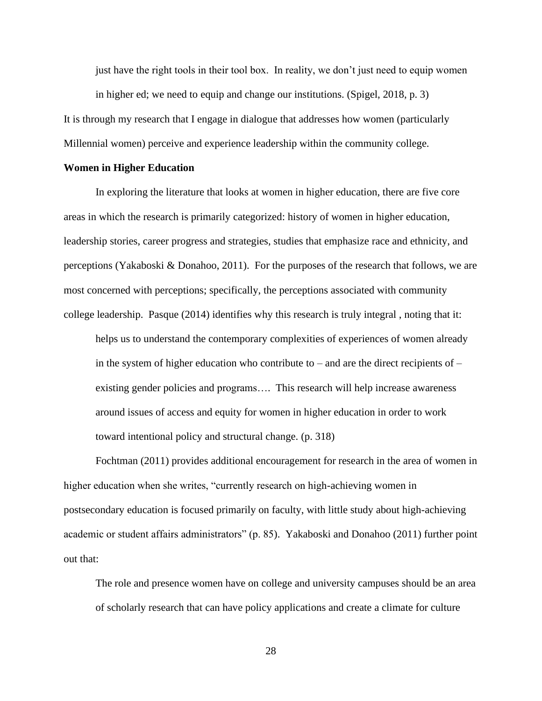just have the right tools in their tool box. In reality, we don't just need to equip women in higher ed; we need to equip and change our institutions. (Spigel, 2018, p. 3)

It is through my research that I engage in dialogue that addresses how women (particularly Millennial women) perceive and experience leadership within the community college.

#### **Women in Higher Education**

In exploring the literature that looks at women in higher education, there are five core areas in which the research is primarily categorized: history of women in higher education, leadership stories, career progress and strategies, studies that emphasize race and ethnicity, and perceptions (Yakaboski & Donahoo, 2011). For the purposes of the research that follows, we are most concerned with perceptions; specifically, the perceptions associated with community college leadership. Pasque (2014) identifies why this research is truly integral , noting that it:

helps us to understand the contemporary complexities of experiences of women already in the system of higher education who contribute to – and are the direct recipients of – existing gender policies and programs…. This research will help increase awareness around issues of access and equity for women in higher education in order to work toward intentional policy and structural change. (p. 318)

Fochtman (2011) provides additional encouragement for research in the area of women in higher education when she writes, "currently research on high-achieving women in postsecondary education is focused primarily on faculty, with little study about high-achieving academic or student affairs administrators" (p. 85). Yakaboski and Donahoo (2011) further point out that:

The role and presence women have on college and university campuses should be an area of scholarly research that can have policy applications and create a climate for culture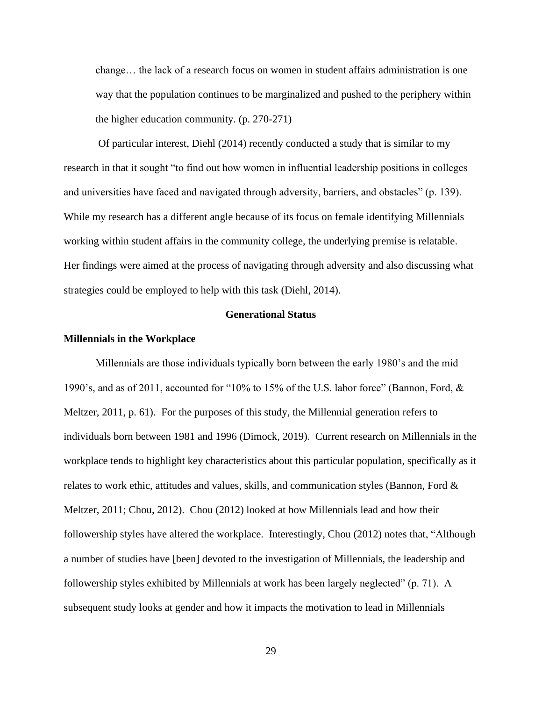change… the lack of a research focus on women in student affairs administration is one way that the population continues to be marginalized and pushed to the periphery within the higher education community. (p. 270-271)

Of particular interest, Diehl (2014) recently conducted a study that is similar to my research in that it sought "to find out how women in influential leadership positions in colleges and universities have faced and navigated through adversity, barriers, and obstacles" (p. 139). While my research has a different angle because of its focus on female identifying Millennials working within student affairs in the community college, the underlying premise is relatable. Her findings were aimed at the process of navigating through adversity and also discussing what strategies could be employed to help with this task (Diehl, 2014).

# **Generational Status**

# **Millennials in the Workplace**

Millennials are those individuals typically born between the early 1980's and the mid 1990's, and as of 2011, accounted for "10% to 15% of the U.S. labor force" (Bannon, Ford, & Meltzer, 2011, p. 61). For the purposes of this study, the Millennial generation refers to individuals born between 1981 and 1996 (Dimock, 2019). Current research on Millennials in the workplace tends to highlight key characteristics about this particular population, specifically as it relates to work ethic, attitudes and values, skills, and communication styles (Bannon, Ford & Meltzer, 2011; Chou, 2012). Chou (2012) looked at how Millennials lead and how their followership styles have altered the workplace. Interestingly, Chou (2012) notes that, "Although a number of studies have [been] devoted to the investigation of Millennials, the leadership and followership styles exhibited by Millennials at work has been largely neglected" (p. 71). A subsequent study looks at gender and how it impacts the motivation to lead in Millennials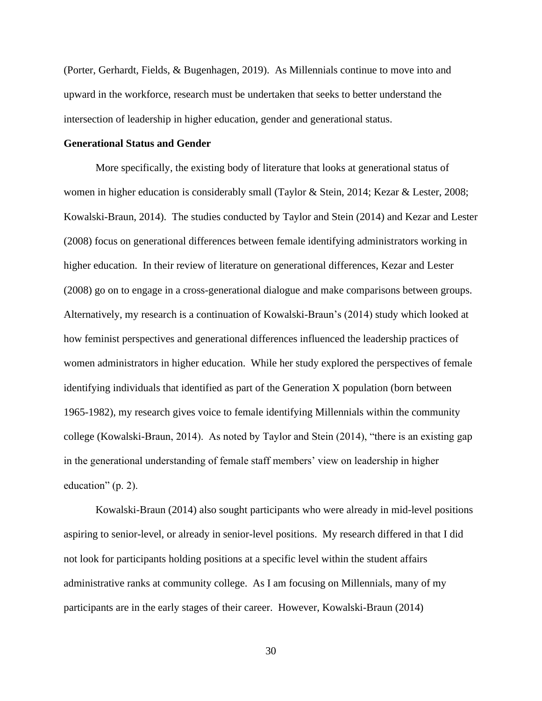(Porter, Gerhardt, Fields, & Bugenhagen, 2019). As Millennials continue to move into and upward in the workforce, research must be undertaken that seeks to better understand the intersection of leadership in higher education, gender and generational status.

## **Generational Status and Gender**

More specifically, the existing body of literature that looks at generational status of women in higher education is considerably small (Taylor & Stein, 2014; Kezar & Lester, 2008; Kowalski-Braun, 2014). The studies conducted by Taylor and Stein (2014) and Kezar and Lester (2008) focus on generational differences between female identifying administrators working in higher education. In their review of literature on generational differences, Kezar and Lester (2008) go on to engage in a cross-generational dialogue and make comparisons between groups. Alternatively, my research is a continuation of Kowalski-Braun's (2014) study which looked at how feminist perspectives and generational differences influenced the leadership practices of women administrators in higher education. While her study explored the perspectives of female identifying individuals that identified as part of the Generation X population (born between 1965-1982), my research gives voice to female identifying Millennials within the community college (Kowalski-Braun, 2014). As noted by Taylor and Stein (2014), "there is an existing gap in the generational understanding of female staff members' view on leadership in higher education" (p. 2).

Kowalski-Braun (2014) also sought participants who were already in mid-level positions aspiring to senior-level, or already in senior-level positions. My research differed in that I did not look for participants holding positions at a specific level within the student affairs administrative ranks at community college. As I am focusing on Millennials, many of my participants are in the early stages of their career. However, Kowalski-Braun (2014)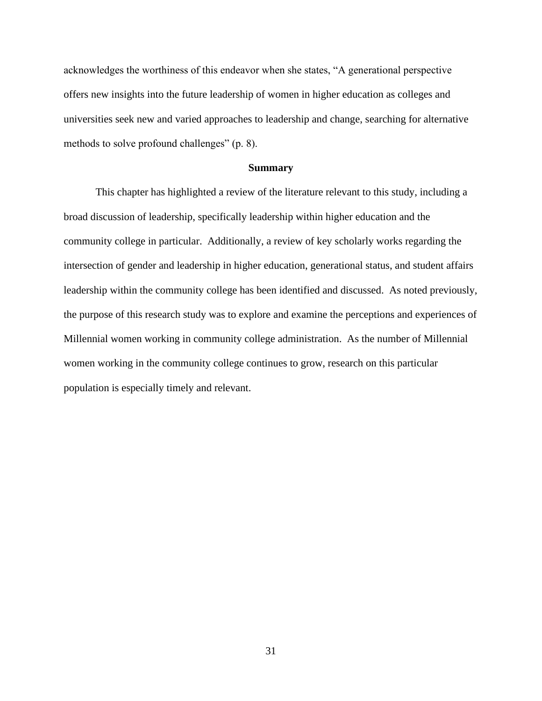acknowledges the worthiness of this endeavor when she states, "A generational perspective offers new insights into the future leadership of women in higher education as colleges and universities seek new and varied approaches to leadership and change, searching for alternative methods to solve profound challenges" (p. 8).

#### **Summary**

This chapter has highlighted a review of the literature relevant to this study, including a broad discussion of leadership, specifically leadership within higher education and the community college in particular. Additionally, a review of key scholarly works regarding the intersection of gender and leadership in higher education, generational status, and student affairs leadership within the community college has been identified and discussed. As noted previously, the purpose of this research study was to explore and examine the perceptions and experiences of Millennial women working in community college administration. As the number of Millennial women working in the community college continues to grow, research on this particular population is especially timely and relevant.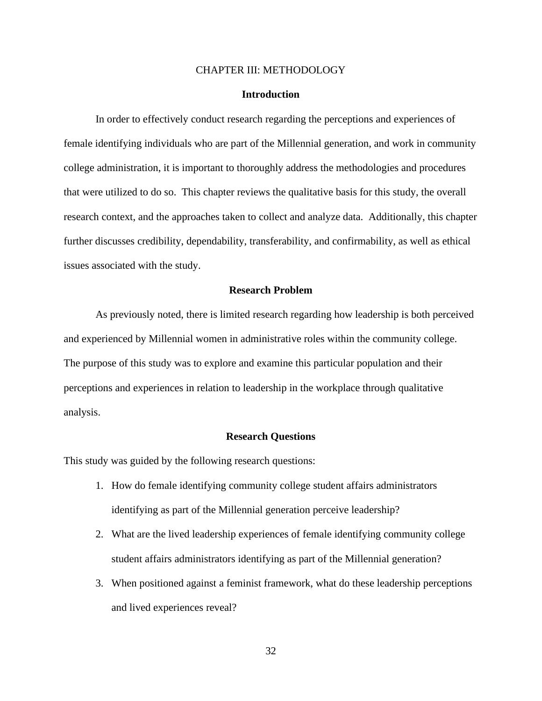## CHAPTER III: METHODOLOGY

# **Introduction**

In order to effectively conduct research regarding the perceptions and experiences of female identifying individuals who are part of the Millennial generation, and work in community college administration, it is important to thoroughly address the methodologies and procedures that were utilized to do so. This chapter reviews the qualitative basis for this study, the overall research context, and the approaches taken to collect and analyze data. Additionally, this chapter further discusses credibility, dependability, transferability, and confirmability, as well as ethical issues associated with the study.

# **Research Problem**

As previously noted, there is limited research regarding how leadership is both perceived and experienced by Millennial women in administrative roles within the community college. The purpose of this study was to explore and examine this particular population and their perceptions and experiences in relation to leadership in the workplace through qualitative analysis.

#### **Research Questions**

This study was guided by the following research questions:

- 1. How do female identifying community college student affairs administrators identifying as part of the Millennial generation perceive leadership?
- 2. What are the lived leadership experiences of female identifying community college student affairs administrators identifying as part of the Millennial generation?
- 3. When positioned against a feminist framework, what do these leadership perceptions and lived experiences reveal?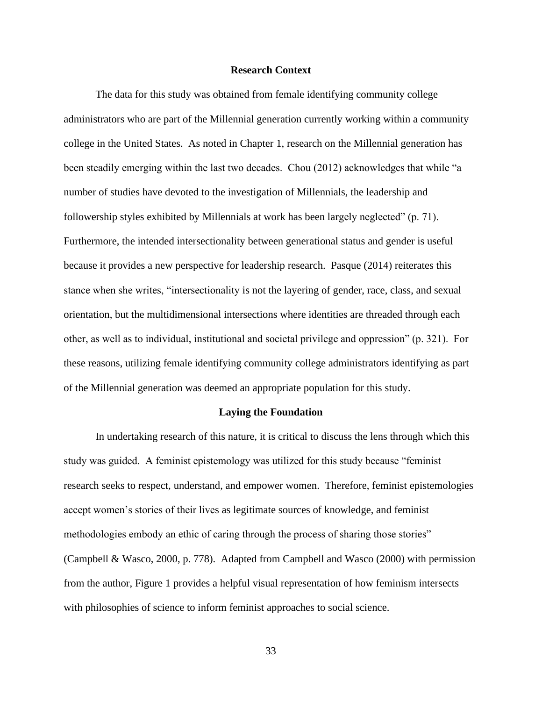# **Research Context**

The data for this study was obtained from female identifying community college administrators who are part of the Millennial generation currently working within a community college in the United States. As noted in Chapter 1, research on the Millennial generation has been steadily emerging within the last two decades. Chou (2012) acknowledges that while "a number of studies have devoted to the investigation of Millennials, the leadership and followership styles exhibited by Millennials at work has been largely neglected" (p. 71). Furthermore, the intended intersectionality between generational status and gender is useful because it provides a new perspective for leadership research. Pasque (2014) reiterates this stance when she writes, "intersectionality is not the layering of gender, race, class, and sexual orientation, but the multidimensional intersections where identities are threaded through each other, as well as to individual, institutional and societal privilege and oppression" (p. 321). For these reasons, utilizing female identifying community college administrators identifying as part of the Millennial generation was deemed an appropriate population for this study.

#### **Laying the Foundation**

In undertaking research of this nature, it is critical to discuss the lens through which this study was guided. A feminist epistemology was utilized for this study because "feminist research seeks to respect, understand, and empower women. Therefore, feminist epistemologies accept women's stories of their lives as legitimate sources of knowledge, and feminist methodologies embody an ethic of caring through the process of sharing those stories" (Campbell & Wasco, 2000, p. 778). Adapted from Campbell and Wasco (2000) with permission from the author, Figure 1 provides a helpful visual representation of how feminism intersects with philosophies of science to inform feminist approaches to social science.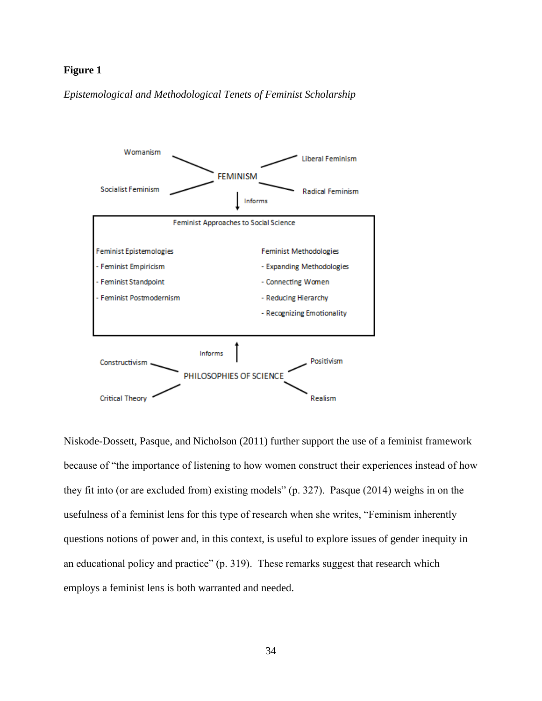# **Figure 1**

*Epistemological and Methodological Tenets of Feminist Scholarship*



Niskode-Dossett, Pasque, and Nicholson (2011) further support the use of a feminist framework because of "the importance of listening to how women construct their experiences instead of how they fit into (or are excluded from) existing models" (p. 327). Pasque (2014) weighs in on the usefulness of a feminist lens for this type of research when she writes, "Feminism inherently questions notions of power and, in this context, is useful to explore issues of gender inequity in an educational policy and practice" (p. 319). These remarks suggest that research which employs a feminist lens is both warranted and needed.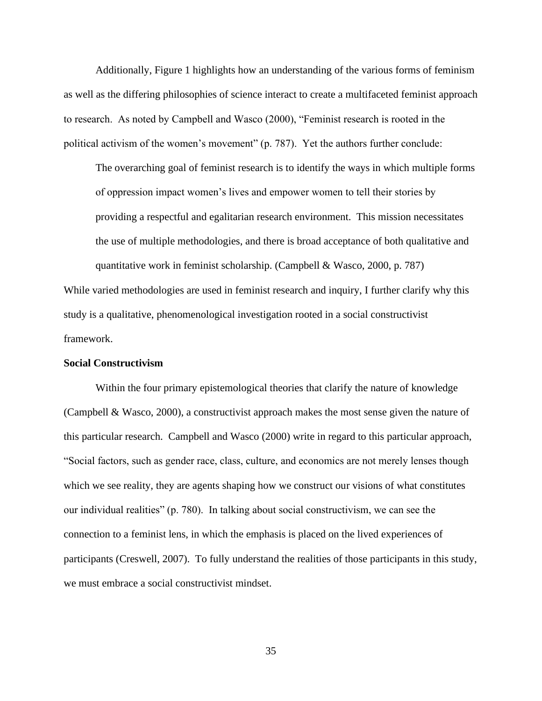Additionally, Figure 1 highlights how an understanding of the various forms of feminism as well as the differing philosophies of science interact to create a multifaceted feminist approach to research. As noted by Campbell and Wasco (2000), "Feminist research is rooted in the political activism of the women's movement" (p. 787). Yet the authors further conclude:

The overarching goal of feminist research is to identify the ways in which multiple forms of oppression impact women's lives and empower women to tell their stories by providing a respectful and egalitarian research environment. This mission necessitates the use of multiple methodologies, and there is broad acceptance of both qualitative and quantitative work in feminist scholarship. (Campbell & Wasco, 2000, p. 787)

While varied methodologies are used in feminist research and inquiry, I further clarify why this study is a qualitative, phenomenological investigation rooted in a social constructivist framework.

#### **Social Constructivism**

Within the four primary epistemological theories that clarify the nature of knowledge (Campbell & Wasco, 2000), a constructivist approach makes the most sense given the nature of this particular research. Campbell and Wasco (2000) write in regard to this particular approach, "Social factors, such as gender race, class, culture, and economics are not merely lenses though which we see reality, they are agents shaping how we construct our visions of what constitutes our individual realities" (p. 780). In talking about social constructivism, we can see the connection to a feminist lens, in which the emphasis is placed on the lived experiences of participants (Creswell, 2007). To fully understand the realities of those participants in this study, we must embrace a social constructivist mindset.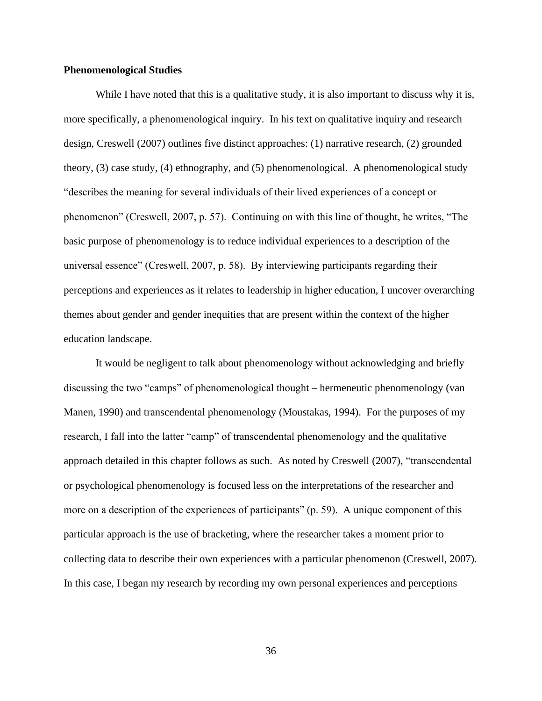# **Phenomenological Studies**

While I have noted that this is a qualitative study, it is also important to discuss why it is, more specifically, a phenomenological inquiry. In his text on qualitative inquiry and research design, Creswell (2007) outlines five distinct approaches: (1) narrative research, (2) grounded theory, (3) case study, (4) ethnography, and (5) phenomenological. A phenomenological study "describes the meaning for several individuals of their lived experiences of a concept or phenomenon" (Creswell, 2007, p. 57). Continuing on with this line of thought, he writes, "The basic purpose of phenomenology is to reduce individual experiences to a description of the universal essence" (Creswell, 2007, p. 58). By interviewing participants regarding their perceptions and experiences as it relates to leadership in higher education, I uncover overarching themes about gender and gender inequities that are present within the context of the higher education landscape.

It would be negligent to talk about phenomenology without acknowledging and briefly discussing the two "camps" of phenomenological thought – hermeneutic phenomenology (van Manen, 1990) and transcendental phenomenology (Moustakas, 1994). For the purposes of my research, I fall into the latter "camp" of transcendental phenomenology and the qualitative approach detailed in this chapter follows as such. As noted by Creswell (2007), "transcendental or psychological phenomenology is focused less on the interpretations of the researcher and more on a description of the experiences of participants" (p. 59). A unique component of this particular approach is the use of bracketing, where the researcher takes a moment prior to collecting data to describe their own experiences with a particular phenomenon (Creswell, 2007). In this case, I began my research by recording my own personal experiences and perceptions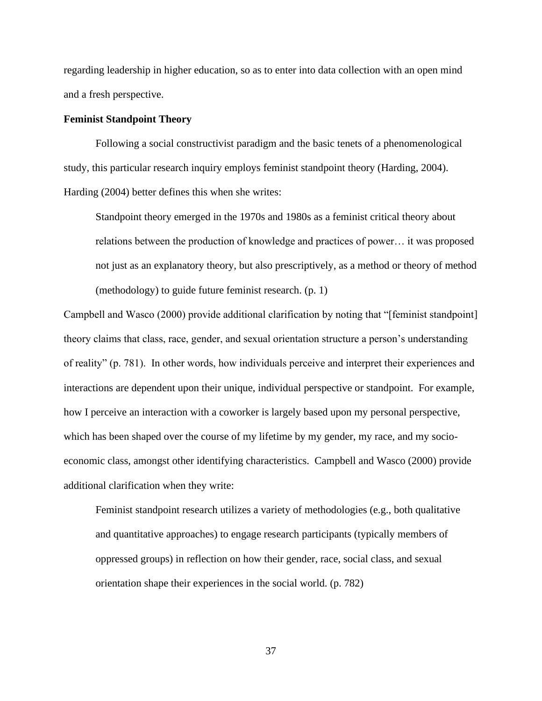regarding leadership in higher education, so as to enter into data collection with an open mind and a fresh perspective.

# **Feminist Standpoint Theory**

Following a social constructivist paradigm and the basic tenets of a phenomenological study, this particular research inquiry employs feminist standpoint theory (Harding, 2004). Harding (2004) better defines this when she writes:

Standpoint theory emerged in the 1970s and 1980s as a feminist critical theory about relations between the production of knowledge and practices of power… it was proposed not just as an explanatory theory, but also prescriptively, as a method or theory of method (methodology) to guide future feminist research. (p. 1)

Campbell and Wasco (2000) provide additional clarification by noting that "[feminist standpoint] theory claims that class, race, gender, and sexual orientation structure a person's understanding of reality" (p. 781). In other words, how individuals perceive and interpret their experiences and interactions are dependent upon their unique, individual perspective or standpoint. For example, how I perceive an interaction with a coworker is largely based upon my personal perspective, which has been shaped over the course of my lifetime by my gender, my race, and my socioeconomic class, amongst other identifying characteristics. Campbell and Wasco (2000) provide additional clarification when they write:

Feminist standpoint research utilizes a variety of methodologies (e.g., both qualitative and quantitative approaches) to engage research participants (typically members of oppressed groups) in reflection on how their gender, race, social class, and sexual orientation shape their experiences in the social world. (p. 782)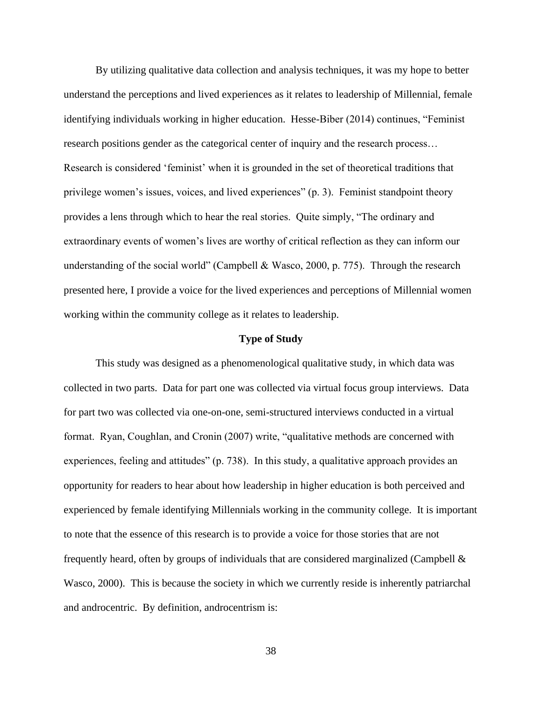By utilizing qualitative data collection and analysis techniques, it was my hope to better understand the perceptions and lived experiences as it relates to leadership of Millennial, female identifying individuals working in higher education. Hesse-Biber (2014) continues, "Feminist research positions gender as the categorical center of inquiry and the research process… Research is considered 'feminist' when it is grounded in the set of theoretical traditions that privilege women's issues, voices, and lived experiences" (p. 3). Feminist standpoint theory provides a lens through which to hear the real stories. Quite simply, "The ordinary and extraordinary events of women's lives are worthy of critical reflection as they can inform our understanding of the social world" (Campbell & Wasco, 2000, p. 775). Through the research presented here, I provide a voice for the lived experiences and perceptions of Millennial women working within the community college as it relates to leadership.

### **Type of Study**

This study was designed as a phenomenological qualitative study, in which data was collected in two parts. Data for part one was collected via virtual focus group interviews. Data for part two was collected via one-on-one, semi-structured interviews conducted in a virtual format. Ryan, Coughlan, and Cronin (2007) write, "qualitative methods are concerned with experiences, feeling and attitudes" (p. 738). In this study, a qualitative approach provides an opportunity for readers to hear about how leadership in higher education is both perceived and experienced by female identifying Millennials working in the community college. It is important to note that the essence of this research is to provide a voice for those stories that are not frequently heard, often by groups of individuals that are considered marginalized (Campbell  $\&$ Wasco, 2000). This is because the society in which we currently reside is inherently patriarchal and androcentric. By definition, androcentrism is: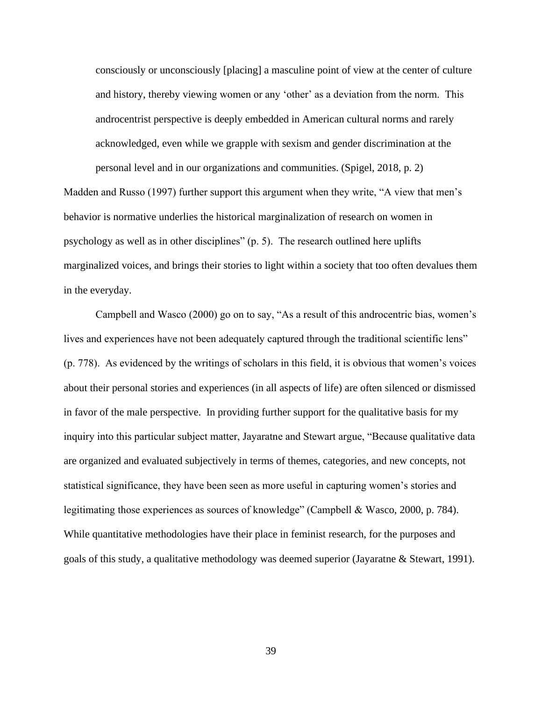consciously or unconsciously [placing] a masculine point of view at the center of culture and history, thereby viewing women or any 'other' as a deviation from the norm. This androcentrist perspective is deeply embedded in American cultural norms and rarely acknowledged, even while we grapple with sexism and gender discrimination at the personal level and in our organizations and communities. (Spigel, 2018, p. 2)

Madden and Russo (1997) further support this argument when they write, "A view that men's behavior is normative underlies the historical marginalization of research on women in psychology as well as in other disciplines" (p. 5). The research outlined here uplifts marginalized voices, and brings their stories to light within a society that too often devalues them in the everyday.

Campbell and Wasco (2000) go on to say, "As a result of this androcentric bias, women's lives and experiences have not been adequately captured through the traditional scientific lens" (p. 778). As evidenced by the writings of scholars in this field, it is obvious that women's voices about their personal stories and experiences (in all aspects of life) are often silenced or dismissed in favor of the male perspective. In providing further support for the qualitative basis for my inquiry into this particular subject matter, Jayaratne and Stewart argue, "Because qualitative data are organized and evaluated subjectively in terms of themes, categories, and new concepts, not statistical significance, they have been seen as more useful in capturing women's stories and legitimating those experiences as sources of knowledge" (Campbell & Wasco, 2000, p. 784). While quantitative methodologies have their place in feminist research, for the purposes and goals of this study, a qualitative methodology was deemed superior (Jayaratne & Stewart, 1991).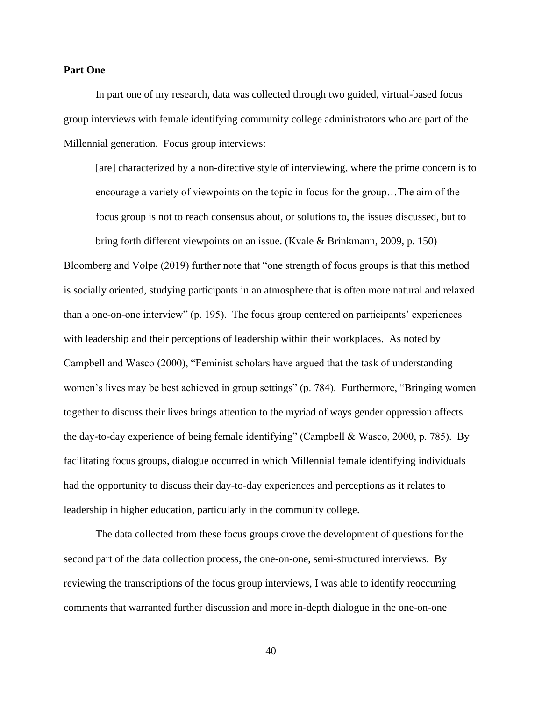# **Part One**

In part one of my research, data was collected through two guided, virtual-based focus group interviews with female identifying community college administrators who are part of the Millennial generation. Focus group interviews:

[are] characterized by a non-directive style of interviewing, where the prime concern is to encourage a variety of viewpoints on the topic in focus for the group…The aim of the focus group is not to reach consensus about, or solutions to, the issues discussed, but to

bring forth different viewpoints on an issue. (Kvale & Brinkmann, 2009, p. 150) Bloomberg and Volpe (2019) further note that "one strength of focus groups is that this method is socially oriented, studying participants in an atmosphere that is often more natural and relaxed than a one-on-one interview" (p. 195). The focus group centered on participants' experiences with leadership and their perceptions of leadership within their workplaces. As noted by Campbell and Wasco (2000), "Feminist scholars have argued that the task of understanding women's lives may be best achieved in group settings" (p. 784). Furthermore, "Bringing women together to discuss their lives brings attention to the myriad of ways gender oppression affects the day-to-day experience of being female identifying" (Campbell & Wasco, 2000, p. 785). By facilitating focus groups, dialogue occurred in which Millennial female identifying individuals had the opportunity to discuss their day-to-day experiences and perceptions as it relates to leadership in higher education, particularly in the community college.

The data collected from these focus groups drove the development of questions for the second part of the data collection process, the one-on-one, semi-structured interviews. By reviewing the transcriptions of the focus group interviews, I was able to identify reoccurring comments that warranted further discussion and more in-depth dialogue in the one-on-one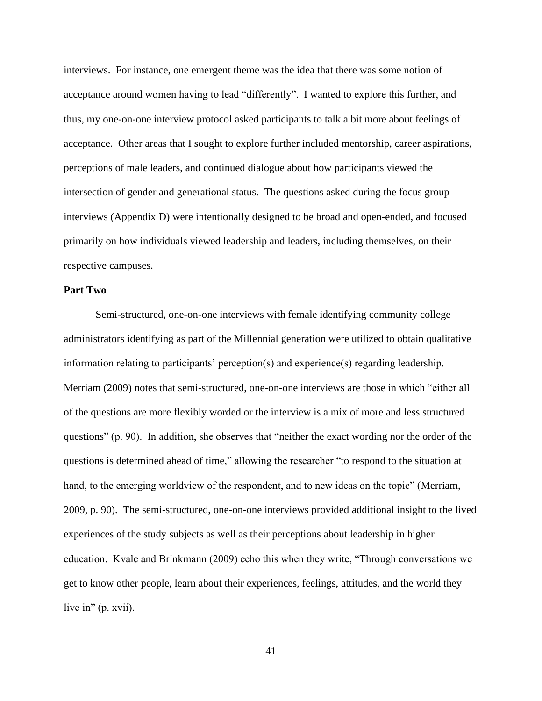interviews. For instance, one emergent theme was the idea that there was some notion of acceptance around women having to lead "differently". I wanted to explore this further, and thus, my one-on-one interview protocol asked participants to talk a bit more about feelings of acceptance. Other areas that I sought to explore further included mentorship, career aspirations, perceptions of male leaders, and continued dialogue about how participants viewed the intersection of gender and generational status. The questions asked during the focus group interviews (Appendix D) were intentionally designed to be broad and open-ended, and focused primarily on how individuals viewed leadership and leaders, including themselves, on their respective campuses.

# **Part Two**

Semi-structured, one-on-one interviews with female identifying community college administrators identifying as part of the Millennial generation were utilized to obtain qualitative information relating to participants' perception(s) and experience(s) regarding leadership. Merriam (2009) notes that semi-structured, one-on-one interviews are those in which "either all of the questions are more flexibly worded or the interview is a mix of more and less structured questions" (p. 90). In addition, she observes that "neither the exact wording nor the order of the questions is determined ahead of time," allowing the researcher "to respond to the situation at hand, to the emerging worldview of the respondent, and to new ideas on the topic" (Merriam, 2009, p. 90). The semi-structured, one-on-one interviews provided additional insight to the lived experiences of the study subjects as well as their perceptions about leadership in higher education. Kvale and Brinkmann (2009) echo this when they write, "Through conversations we get to know other people, learn about their experiences, feelings, attitudes, and the world they live in" (p. xvii).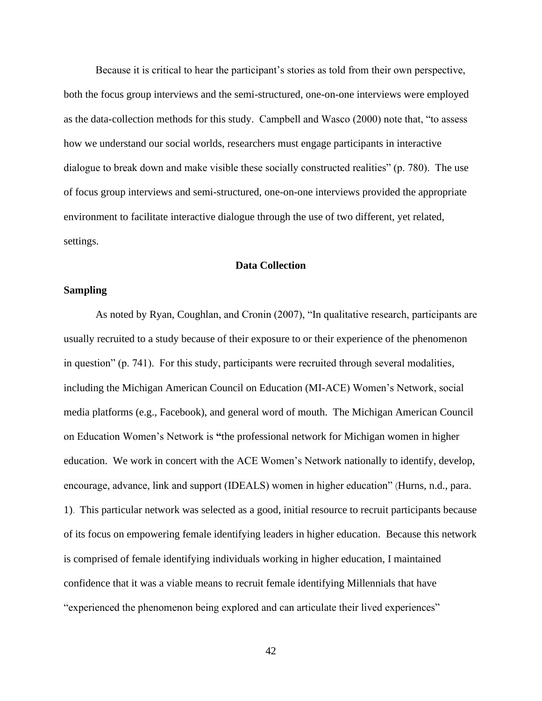Because it is critical to hear the participant's stories as told from their own perspective, both the focus group interviews and the semi-structured, one-on-one interviews were employed as the data-collection methods for this study. Campbell and Wasco (2000) note that, "to assess how we understand our social worlds, researchers must engage participants in interactive dialogue to break down and make visible these socially constructed realities" (p. 780). The use of focus group interviews and semi-structured, one-on-one interviews provided the appropriate environment to facilitate interactive dialogue through the use of two different, yet related, settings.

# **Data Collection**

### **Sampling**

As noted by Ryan, Coughlan, and Cronin (2007), "In qualitative research, participants are usually recruited to a study because of their exposure to or their experience of the phenomenon in question" (p. 741). For this study, participants were recruited through several modalities, including the Michigan American Council on Education (MI-ACE) Women's Network, social media platforms (e.g., Facebook), and general word of mouth. The Michigan American Council on Education Women's Network is **"**the professional network for Michigan women in higher education. We work in concert with the ACE Women's Network nationally to identify, develop, encourage, advance, link and support (IDEALS) women in higher education" (Hurns, n.d., para. 1). This particular network was selected as a good, initial resource to recruit participants because of its focus on empowering female identifying leaders in higher education. Because this network is comprised of female identifying individuals working in higher education, I maintained confidence that it was a viable means to recruit female identifying Millennials that have "experienced the phenomenon being explored and can articulate their lived experiences"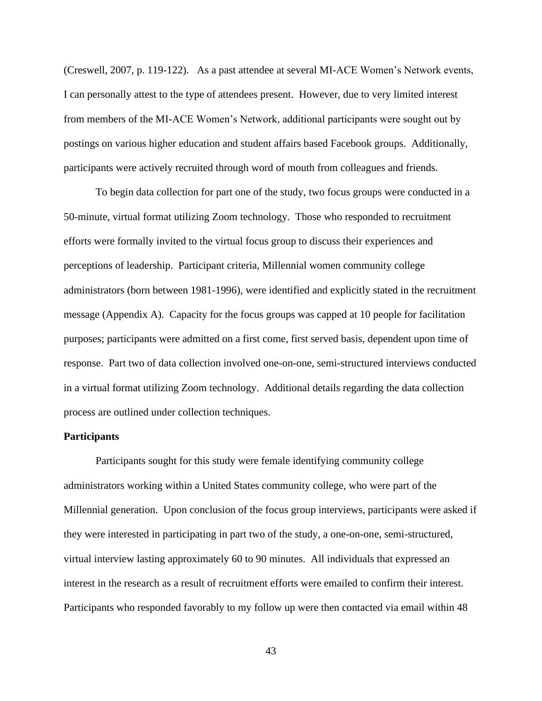(Creswell, 2007, p. 119-122). As a past attendee at several MI-ACE Women's Network events, I can personally attest to the type of attendees present. However, due to very limited interest from members of the MI-ACE Women's Network, additional participants were sought out by postings on various higher education and student affairs based Facebook groups. Additionally, participants were actively recruited through word of mouth from colleagues and friends.

To begin data collection for part one of the study, two focus groups were conducted in a 50-minute, virtual format utilizing Zoom technology. Those who responded to recruitment efforts were formally invited to the virtual focus group to discuss their experiences and perceptions of leadership. Participant criteria, Millennial women community college administrators (born between 1981-1996), were identified and explicitly stated in the recruitment message (Appendix A). Capacity for the focus groups was capped at 10 people for facilitation purposes; participants were admitted on a first come, first served basis, dependent upon time of response. Part two of data collection involved one-on-one, semi-structured interviews conducted in a virtual format utilizing Zoom technology. Additional details regarding the data collection process are outlined under collection techniques.

## **Participants**

Participants sought for this study were female identifying community college administrators working within a United States community college, who were part of the Millennial generation. Upon conclusion of the focus group interviews, participants were asked if they were interested in participating in part two of the study, a one-on-one, semi-structured, virtual interview lasting approximately 60 to 90 minutes. All individuals that expressed an interest in the research as a result of recruitment efforts were emailed to confirm their interest. Participants who responded favorably to my follow up were then contacted via email within 48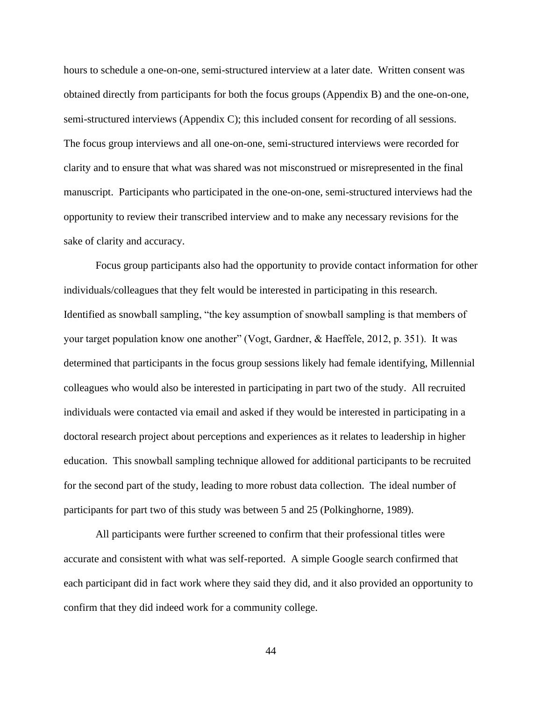hours to schedule a one-on-one, semi-structured interview at a later date. Written consent was obtained directly from participants for both the focus groups (Appendix B) and the one-on-one, semi-structured interviews (Appendix C); this included consent for recording of all sessions. The focus group interviews and all one-on-one, semi-structured interviews were recorded for clarity and to ensure that what was shared was not misconstrued or misrepresented in the final manuscript. Participants who participated in the one-on-one, semi-structured interviews had the opportunity to review their transcribed interview and to make any necessary revisions for the sake of clarity and accuracy.

Focus group participants also had the opportunity to provide contact information for other individuals/colleagues that they felt would be interested in participating in this research. Identified as snowball sampling, "the key assumption of snowball sampling is that members of your target population know one another" (Vogt, Gardner, & Haeffele, 2012, p. 351). It was determined that participants in the focus group sessions likely had female identifying, Millennial colleagues who would also be interested in participating in part two of the study. All recruited individuals were contacted via email and asked if they would be interested in participating in a doctoral research project about perceptions and experiences as it relates to leadership in higher education. This snowball sampling technique allowed for additional participants to be recruited for the second part of the study, leading to more robust data collection. The ideal number of participants for part two of this study was between 5 and 25 (Polkinghorne, 1989).

All participants were further screened to confirm that their professional titles were accurate and consistent with what was self-reported. A simple Google search confirmed that each participant did in fact work where they said they did, and it also provided an opportunity to confirm that they did indeed work for a community college.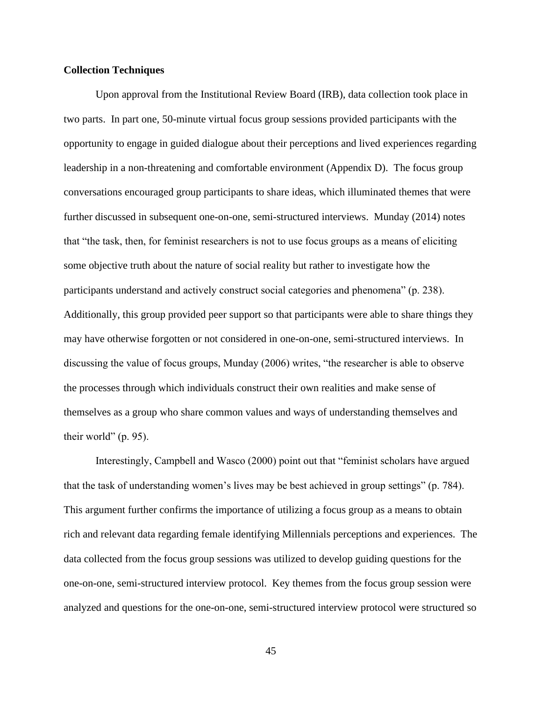# **Collection Techniques**

Upon approval from the Institutional Review Board (IRB), data collection took place in two parts. In part one, 50-minute virtual focus group sessions provided participants with the opportunity to engage in guided dialogue about their perceptions and lived experiences regarding leadership in a non-threatening and comfortable environment (Appendix D). The focus group conversations encouraged group participants to share ideas, which illuminated themes that were further discussed in subsequent one-on-one, semi-structured interviews. Munday (2014) notes that "the task, then, for feminist researchers is not to use focus groups as a means of eliciting some objective truth about the nature of social reality but rather to investigate how the participants understand and actively construct social categories and phenomena" (p. 238). Additionally, this group provided peer support so that participants were able to share things they may have otherwise forgotten or not considered in one-on-one, semi-structured interviews. In discussing the value of focus groups, Munday (2006) writes, "the researcher is able to observe the processes through which individuals construct their own realities and make sense of themselves as a group who share common values and ways of understanding themselves and their world" (p. 95).

Interestingly, Campbell and Wasco (2000) point out that "feminist scholars have argued that the task of understanding women's lives may be best achieved in group settings" (p. 784). This argument further confirms the importance of utilizing a focus group as a means to obtain rich and relevant data regarding female identifying Millennials perceptions and experiences. The data collected from the focus group sessions was utilized to develop guiding questions for the one-on-one, semi-structured interview protocol. Key themes from the focus group session were analyzed and questions for the one-on-one, semi-structured interview protocol were structured so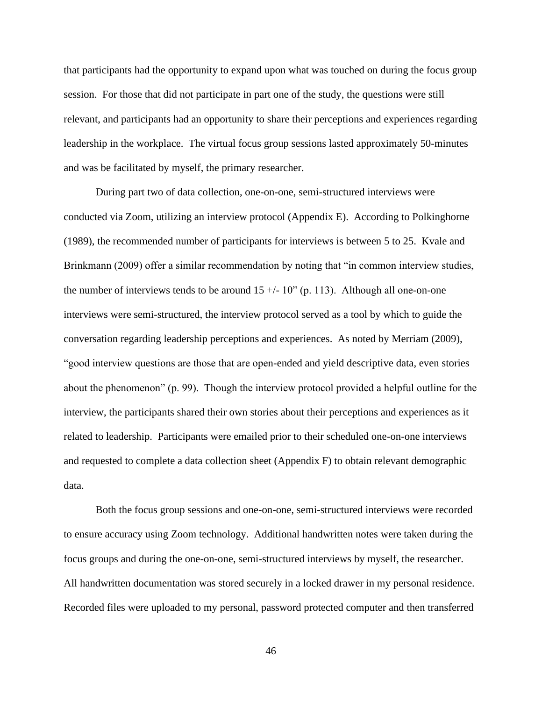that participants had the opportunity to expand upon what was touched on during the focus group session. For those that did not participate in part one of the study, the questions were still relevant, and participants had an opportunity to share their perceptions and experiences regarding leadership in the workplace. The virtual focus group sessions lasted approximately 50-minutes and was be facilitated by myself, the primary researcher.

During part two of data collection, one-on-one, semi-structured interviews were conducted via Zoom, utilizing an interview protocol (Appendix E). According to Polkinghorne (1989), the recommended number of participants for interviews is between 5 to 25. Kvale and Brinkmann (2009) offer a similar recommendation by noting that "in common interview studies, the number of interviews tends to be around  $15 +/- 10$ " (p. 113). Although all one-on-one interviews were semi-structured, the interview protocol served as a tool by which to guide the conversation regarding leadership perceptions and experiences. As noted by Merriam (2009), "good interview questions are those that are open-ended and yield descriptive data, even stories about the phenomenon" (p. 99). Though the interview protocol provided a helpful outline for the interview, the participants shared their own stories about their perceptions and experiences as it related to leadership. Participants were emailed prior to their scheduled one-on-one interviews and requested to complete a data collection sheet (Appendix F) to obtain relevant demographic data.

Both the focus group sessions and one-on-one, semi-structured interviews were recorded to ensure accuracy using Zoom technology. Additional handwritten notes were taken during the focus groups and during the one-on-one, semi-structured interviews by myself, the researcher. All handwritten documentation was stored securely in a locked drawer in my personal residence. Recorded files were uploaded to my personal, password protected computer and then transferred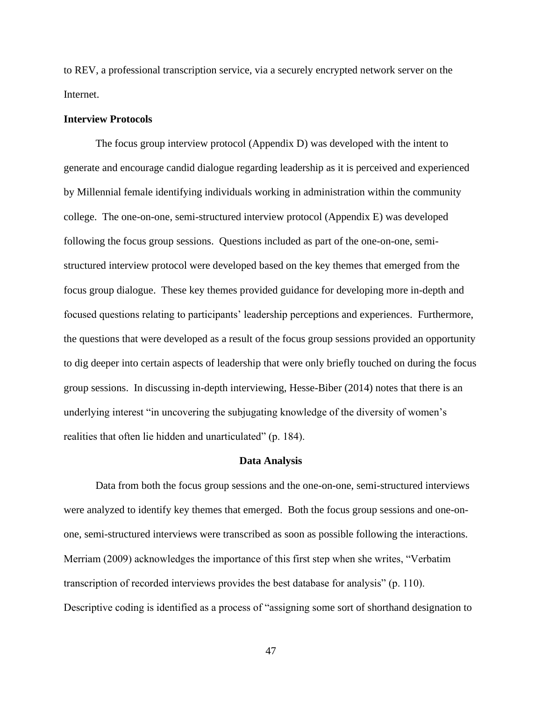to REV, a professional transcription service, via a securely encrypted network server on the Internet.

# **Interview Protocols**

The focus group interview protocol (Appendix D) was developed with the intent to generate and encourage candid dialogue regarding leadership as it is perceived and experienced by Millennial female identifying individuals working in administration within the community college. The one-on-one, semi-structured interview protocol (Appendix E) was developed following the focus group sessions. Questions included as part of the one-on-one, semistructured interview protocol were developed based on the key themes that emerged from the focus group dialogue. These key themes provided guidance for developing more in-depth and focused questions relating to participants' leadership perceptions and experiences. Furthermore, the questions that were developed as a result of the focus group sessions provided an opportunity to dig deeper into certain aspects of leadership that were only briefly touched on during the focus group sessions. In discussing in-depth interviewing, Hesse-Biber (2014) notes that there is an underlying interest "in uncovering the subjugating knowledge of the diversity of women's realities that often lie hidden and unarticulated" (p. 184).

#### **Data Analysis**

Data from both the focus group sessions and the one-on-one, semi-structured interviews were analyzed to identify key themes that emerged. Both the focus group sessions and one-onone, semi-structured interviews were transcribed as soon as possible following the interactions. Merriam (2009) acknowledges the importance of this first step when she writes, "Verbatim transcription of recorded interviews provides the best database for analysis" (p. 110). Descriptive coding is identified as a process of "assigning some sort of shorthand designation to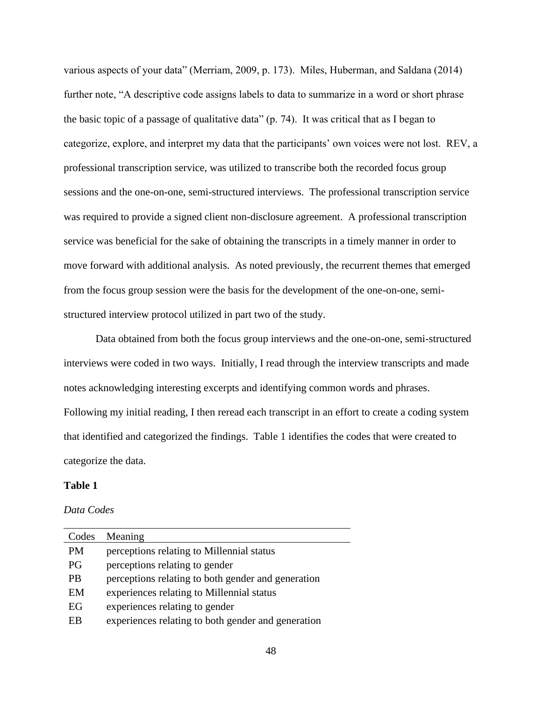various aspects of your data" (Merriam, 2009, p. 173). Miles, Huberman, and Saldana (2014) further note, "A descriptive code assigns labels to data to summarize in a word or short phrase the basic topic of a passage of qualitative data" (p. 74). It was critical that as I began to categorize, explore, and interpret my data that the participants' own voices were not lost. REV, a professional transcription service, was utilized to transcribe both the recorded focus group sessions and the one-on-one, semi-structured interviews. The professional transcription service was required to provide a signed client non-disclosure agreement. A professional transcription service was beneficial for the sake of obtaining the transcripts in a timely manner in order to move forward with additional analysis. As noted previously, the recurrent themes that emerged from the focus group session were the basis for the development of the one-on-one, semistructured interview protocol utilized in part two of the study.

Data obtained from both the focus group interviews and the one-on-one, semi-structured interviews were coded in two ways. Initially, I read through the interview transcripts and made notes acknowledging interesting excerpts and identifying common words and phrases. Following my initial reading, I then reread each transcript in an effort to create a coding system that identified and categorized the findings. Table 1 identifies the codes that were created to categorize the data.

# **Table 1**

# *Data Codes*

| Codes     | Meaning                                            |
|-----------|----------------------------------------------------|
| <b>PM</b> | perceptions relating to Millennial status          |
| PG        | perceptions relating to gender                     |
| <b>PB</b> | perceptions relating to both gender and generation |
| EM        | experiences relating to Millennial status          |
| EG        | experiences relating to gender                     |
| EB        | experiences relating to both gender and generation |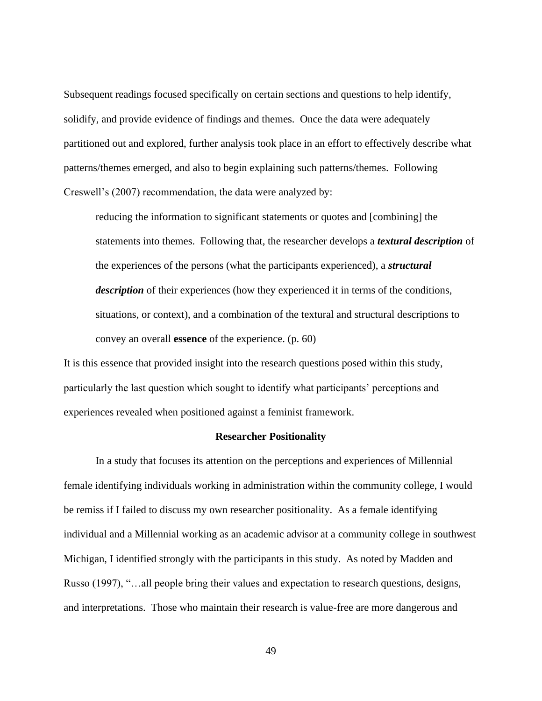Subsequent readings focused specifically on certain sections and questions to help identify, solidify, and provide evidence of findings and themes. Once the data were adequately partitioned out and explored, further analysis took place in an effort to effectively describe what patterns/themes emerged, and also to begin explaining such patterns/themes. Following Creswell's (2007) recommendation, the data were analyzed by:

reducing the information to significant statements or quotes and [combining] the statements into themes. Following that, the researcher develops a *textural description* of the experiences of the persons (what the participants experienced), a *structural description* of their experiences (how they experienced it in terms of the conditions, situations, or context), and a combination of the textural and structural descriptions to convey an overall **essence** of the experience. (p. 60)

It is this essence that provided insight into the research questions posed within this study, particularly the last question which sought to identify what participants' perceptions and experiences revealed when positioned against a feminist framework.

#### **Researcher Positionality**

In a study that focuses its attention on the perceptions and experiences of Millennial female identifying individuals working in administration within the community college, I would be remiss if I failed to discuss my own researcher positionality. As a female identifying individual and a Millennial working as an academic advisor at a community college in southwest Michigan, I identified strongly with the participants in this study. As noted by Madden and Russo (1997), "…all people bring their values and expectation to research questions, designs, and interpretations. Those who maintain their research is value-free are more dangerous and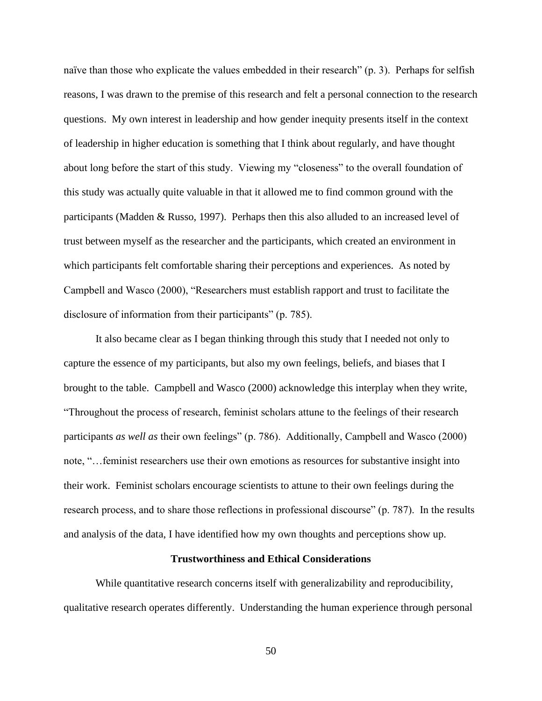naïve than those who explicate the values embedded in their research" (p. 3). Perhaps for selfish reasons, I was drawn to the premise of this research and felt a personal connection to the research questions. My own interest in leadership and how gender inequity presents itself in the context of leadership in higher education is something that I think about regularly, and have thought about long before the start of this study. Viewing my "closeness" to the overall foundation of this study was actually quite valuable in that it allowed me to find common ground with the participants (Madden & Russo, 1997). Perhaps then this also alluded to an increased level of trust between myself as the researcher and the participants, which created an environment in which participants felt comfortable sharing their perceptions and experiences. As noted by Campbell and Wasco (2000), "Researchers must establish rapport and trust to facilitate the disclosure of information from their participants" (p. 785).

It also became clear as I began thinking through this study that I needed not only to capture the essence of my participants, but also my own feelings, beliefs, and biases that I brought to the table. Campbell and Wasco (2000) acknowledge this interplay when they write, "Throughout the process of research, feminist scholars attune to the feelings of their research participants *as well as* their own feelings" (p. 786). Additionally, Campbell and Wasco (2000) note, "…feminist researchers use their own emotions as resources for substantive insight into their work. Feminist scholars encourage scientists to attune to their own feelings during the research process, and to share those reflections in professional discourse" (p. 787). In the results and analysis of the data, I have identified how my own thoughts and perceptions show up.

#### **Trustworthiness and Ethical Considerations**

While quantitative research concerns itself with generalizability and reproducibility, qualitative research operates differently. Understanding the human experience through personal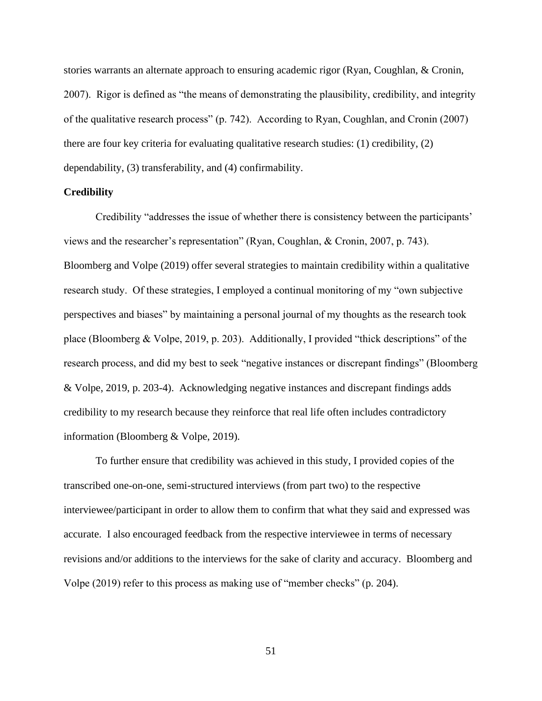stories warrants an alternate approach to ensuring academic rigor (Ryan, Coughlan, & Cronin, 2007). Rigor is defined as "the means of demonstrating the plausibility, credibility, and integrity of the qualitative research process" (p. 742). According to Ryan, Coughlan, and Cronin (2007) there are four key criteria for evaluating qualitative research studies: (1) credibility, (2) dependability, (3) transferability, and (4) confirmability.

# **Credibility**

Credibility "addresses the issue of whether there is consistency between the participants' views and the researcher's representation" (Ryan, Coughlan, & Cronin, 2007, p. 743). Bloomberg and Volpe (2019) offer several strategies to maintain credibility within a qualitative research study. Of these strategies, I employed a continual monitoring of my "own subjective perspectives and biases" by maintaining a personal journal of my thoughts as the research took place (Bloomberg & Volpe, 2019, p. 203). Additionally, I provided "thick descriptions" of the research process, and did my best to seek "negative instances or discrepant findings" (Bloomberg & Volpe, 2019, p. 203-4). Acknowledging negative instances and discrepant findings adds credibility to my research because they reinforce that real life often includes contradictory information (Bloomberg & Volpe, 2019).

To further ensure that credibility was achieved in this study, I provided copies of the transcribed one-on-one, semi-structured interviews (from part two) to the respective interviewee/participant in order to allow them to confirm that what they said and expressed was accurate. I also encouraged feedback from the respective interviewee in terms of necessary revisions and/or additions to the interviews for the sake of clarity and accuracy. Bloomberg and Volpe (2019) refer to this process as making use of "member checks" (p. 204).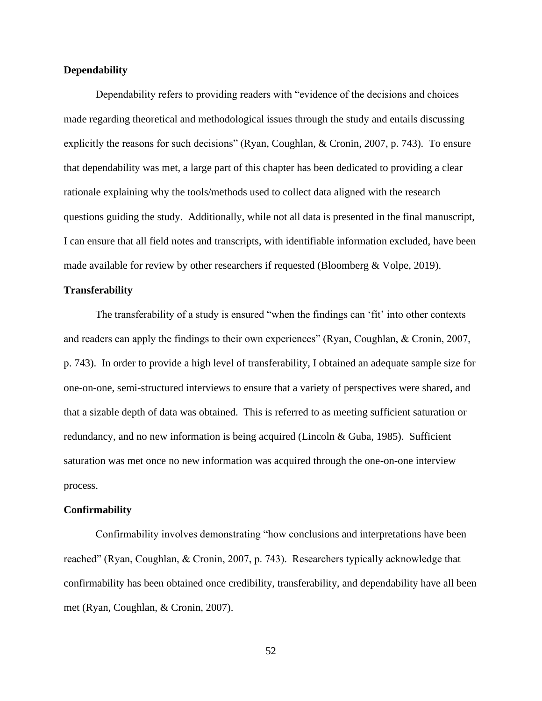# **Dependability**

Dependability refers to providing readers with "evidence of the decisions and choices made regarding theoretical and methodological issues through the study and entails discussing explicitly the reasons for such decisions" (Ryan, Coughlan, & Cronin, 2007, p. 743). To ensure that dependability was met, a large part of this chapter has been dedicated to providing a clear rationale explaining why the tools/methods used to collect data aligned with the research questions guiding the study. Additionally, while not all data is presented in the final manuscript, I can ensure that all field notes and transcripts, with identifiable information excluded, have been made available for review by other researchers if requested (Bloomberg & Volpe, 2019).

# **Transferability**

The transferability of a study is ensured "when the findings can 'fit' into other contexts and readers can apply the findings to their own experiences" (Ryan, Coughlan, & Cronin, 2007, p. 743). In order to provide a high level of transferability, I obtained an adequate sample size for one-on-one, semi-structured interviews to ensure that a variety of perspectives were shared, and that a sizable depth of data was obtained. This is referred to as meeting sufficient saturation or redundancy, and no new information is being acquired (Lincoln & Guba, 1985). Sufficient saturation was met once no new information was acquired through the one-on-one interview process.

#### **Confirmability**

Confirmability involves demonstrating "how conclusions and interpretations have been reached" (Ryan, Coughlan, & Cronin, 2007, p. 743). Researchers typically acknowledge that confirmability has been obtained once credibility, transferability, and dependability have all been met (Ryan, Coughlan, & Cronin, 2007).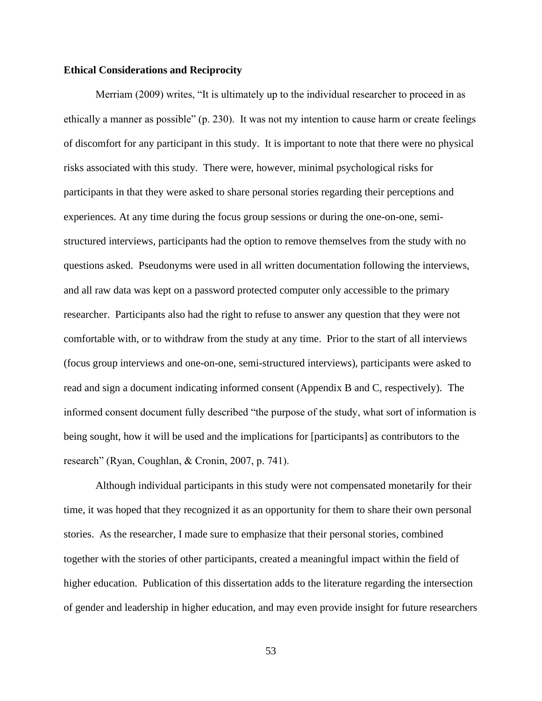#### **Ethical Considerations and Reciprocity**

Merriam (2009) writes, "It is ultimately up to the individual researcher to proceed in as ethically a manner as possible" (p. 230). It was not my intention to cause harm or create feelings of discomfort for any participant in this study. It is important to note that there were no physical risks associated with this study. There were, however, minimal psychological risks for participants in that they were asked to share personal stories regarding their perceptions and experiences. At any time during the focus group sessions or during the one-on-one, semistructured interviews, participants had the option to remove themselves from the study with no questions asked. Pseudonyms were used in all written documentation following the interviews, and all raw data was kept on a password protected computer only accessible to the primary researcher. Participants also had the right to refuse to answer any question that they were not comfortable with, or to withdraw from the study at any time. Prior to the start of all interviews (focus group interviews and one-on-one, semi-structured interviews), participants were asked to read and sign a document indicating informed consent (Appendix B and C, respectively). The informed consent document fully described "the purpose of the study, what sort of information is being sought, how it will be used and the implications for [participants] as contributors to the research" (Ryan, Coughlan, & Cronin, 2007, p. 741).

Although individual participants in this study were not compensated monetarily for their time, it was hoped that they recognized it as an opportunity for them to share their own personal stories. As the researcher, I made sure to emphasize that their personal stories, combined together with the stories of other participants, created a meaningful impact within the field of higher education. Publication of this dissertation adds to the literature regarding the intersection of gender and leadership in higher education, and may even provide insight for future researchers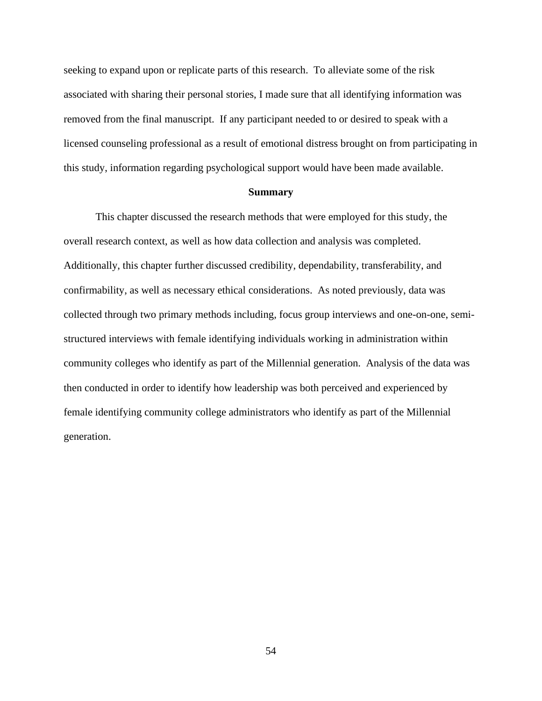seeking to expand upon or replicate parts of this research. To alleviate some of the risk associated with sharing their personal stories, I made sure that all identifying information was removed from the final manuscript. If any participant needed to or desired to speak with a licensed counseling professional as a result of emotional distress brought on from participating in this study, information regarding psychological support would have been made available.

## **Summary**

This chapter discussed the research methods that were employed for this study, the overall research context, as well as how data collection and analysis was completed. Additionally, this chapter further discussed credibility, dependability, transferability, and confirmability, as well as necessary ethical considerations. As noted previously, data was collected through two primary methods including, focus group interviews and one-on-one, semistructured interviews with female identifying individuals working in administration within community colleges who identify as part of the Millennial generation. Analysis of the data was then conducted in order to identify how leadership was both perceived and experienced by female identifying community college administrators who identify as part of the Millennial generation.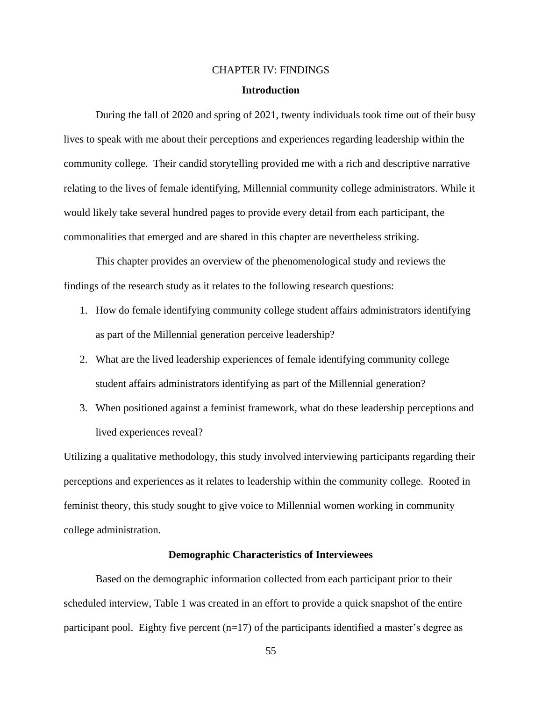# CHAPTER IV: FINDINGS **Introduction**

During the fall of 2020 and spring of 2021, twenty individuals took time out of their busy lives to speak with me about their perceptions and experiences regarding leadership within the community college. Their candid storytelling provided me with a rich and descriptive narrative relating to the lives of female identifying, Millennial community college administrators. While it would likely take several hundred pages to provide every detail from each participant, the commonalities that emerged and are shared in this chapter are nevertheless striking.

This chapter provides an overview of the phenomenological study and reviews the findings of the research study as it relates to the following research questions:

- 1. How do female identifying community college student affairs administrators identifying as part of the Millennial generation perceive leadership?
- 2. What are the lived leadership experiences of female identifying community college student affairs administrators identifying as part of the Millennial generation?
- 3. When positioned against a feminist framework, what do these leadership perceptions and lived experiences reveal?

Utilizing a qualitative methodology, this study involved interviewing participants regarding their perceptions and experiences as it relates to leadership within the community college. Rooted in feminist theory, this study sought to give voice to Millennial women working in community college administration.

# **Demographic Characteristics of Interviewees**

Based on the demographic information collected from each participant prior to their scheduled interview, Table 1 was created in an effort to provide a quick snapshot of the entire participant pool. Eighty five percent  $(n=17)$  of the participants identified a master's degree as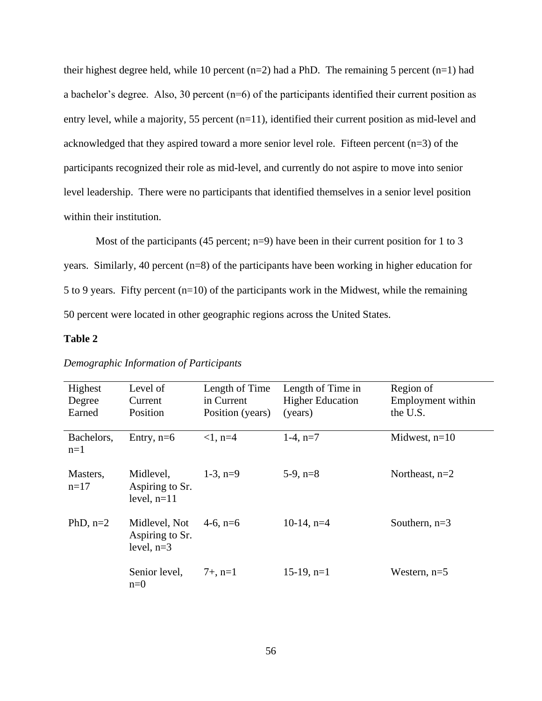their highest degree held, while 10 percent  $(n=2)$  had a PhD. The remaining 5 percent  $(n=1)$  had a bachelor's degree. Also, 30 percent (n=6) of the participants identified their current position as entry level, while a majority, 55 percent (n=11), identified their current position as mid-level and acknowledged that they aspired toward a more senior level role. Fifteen percent (n=3) of the participants recognized their role as mid-level, and currently do not aspire to move into senior level leadership. There were no participants that identified themselves in a senior level position within their institution.

Most of the participants (45 percent; n=9) have been in their current position for 1 to 3 years. Similarly, 40 percent (n=8) of the participants have been working in higher education for 5 to 9 years. Fifty percent (n=10) of the participants work in the Midwest, while the remaining 50 percent were located in other geographic regions across the United States.

# **Table 2**

| Highest<br>Degree<br>Earned | Level of<br>Current<br>Position                  | Length of Time<br>in Current<br>Position (years) | Length of Time in<br><b>Higher Education</b><br>(years) | Region of<br>Employment within<br>the U.S. |
|-----------------------------|--------------------------------------------------|--------------------------------------------------|---------------------------------------------------------|--------------------------------------------|
| Bachelors,<br>$n=1$         | Entry, $n=6$                                     | $<1$ , n=4                                       | $1-4$ , $n=7$                                           | Midwest, $n=10$                            |
| Masters,<br>$n=17$          | Midlevel,<br>Aspiring to Sr.<br>level, $n=11$    | $1-3$ , $n=9$                                    | $5-9$ , $n=8$                                           | Northeast, $n=2$                           |
| PhD, $n=2$                  | Midlevel, Not<br>Aspiring to Sr.<br>level, $n=3$ | 4-6, $n=6$                                       | $10-14$ , n=4                                           | Southern, $n=3$                            |
|                             | Senior level,<br>$n=0$                           | $7+$ , n=1                                       | $15-19$ , n=1                                           | Western, $n=5$                             |

## *Demographic Information of Participants*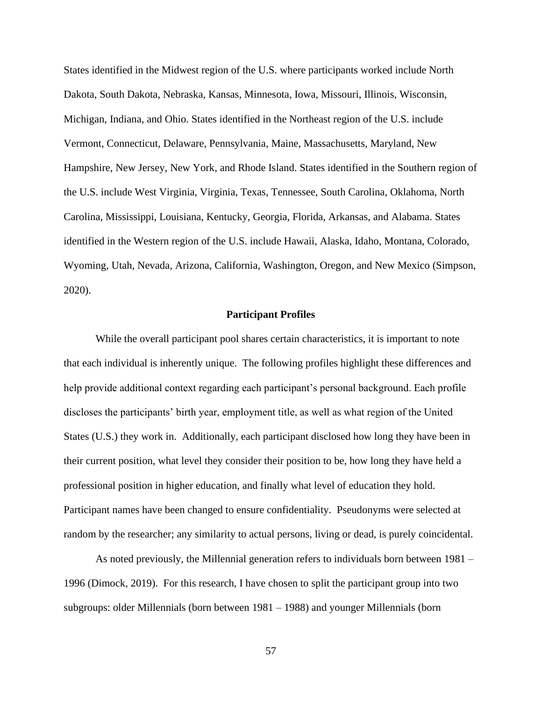States identified in the Midwest region of the U.S. where participants worked include North Dakota, South Dakota, Nebraska, Kansas, Minnesota, Iowa, Missouri, Illinois, Wisconsin, Michigan, Indiana, and Ohio. States identified in the Northeast region of the U.S. include Vermont, Connecticut, Delaware, Pennsylvania, Maine, Massachusetts, Maryland, New Hampshire, New Jersey, New York, and Rhode Island. States identified in the Southern region of the U.S. include West Virginia, Virginia, Texas, Tennessee, South Carolina, Oklahoma, North Carolina, Mississippi, Louisiana, Kentucky, Georgia, Florida, Arkansas, and Alabama. States identified in the Western region of the U.S. include Hawaii, Alaska, Idaho, Montana, Colorado, Wyoming, Utah, Nevada, Arizona, California, Washington, Oregon, and New Mexico (Simpson, 2020).

## **Participant Profiles**

While the overall participant pool shares certain characteristics, it is important to note that each individual is inherently unique. The following profiles highlight these differences and help provide additional context regarding each participant's personal background. Each profile discloses the participants' birth year, employment title, as well as what region of the United States (U.S.) they work in. Additionally, each participant disclosed how long they have been in their current position, what level they consider their position to be, how long they have held a professional position in higher education, and finally what level of education they hold. Participant names have been changed to ensure confidentiality. Pseudonyms were selected at random by the researcher; any similarity to actual persons, living or dead, is purely coincidental.

As noted previously, the Millennial generation refers to individuals born between 1981 – 1996 (Dimock, 2019). For this research, I have chosen to split the participant group into two subgroups: older Millennials (born between 1981 – 1988) and younger Millennials (born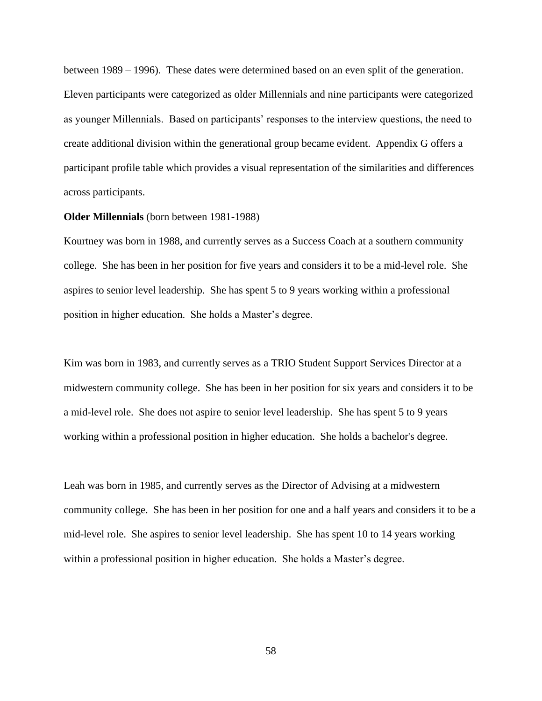between 1989 – 1996). These dates were determined based on an even split of the generation. Eleven participants were categorized as older Millennials and nine participants were categorized as younger Millennials. Based on participants' responses to the interview questions, the need to create additional division within the generational group became evident. Appendix G offers a participant profile table which provides a visual representation of the similarities and differences across participants.

## **Older Millennials** (born between 1981-1988)

Kourtney was born in 1988, and currently serves as a Success Coach at a southern community college. She has been in her position for five years and considers it to be a mid-level role. She aspires to senior level leadership. She has spent 5 to 9 years working within a professional position in higher education. She holds a Master's degree.

Kim was born in 1983, and currently serves as a TRIO Student Support Services Director at a midwestern community college. She has been in her position for six years and considers it to be a mid-level role. She does not aspire to senior level leadership. She has spent 5 to 9 years working within a professional position in higher education. She holds a bachelor's degree.

Leah was born in 1985, and currently serves as the Director of Advising at a midwestern community college. She has been in her position for one and a half years and considers it to be a mid-level role. She aspires to senior level leadership. She has spent 10 to 14 years working within a professional position in higher education. She holds a Master's degree.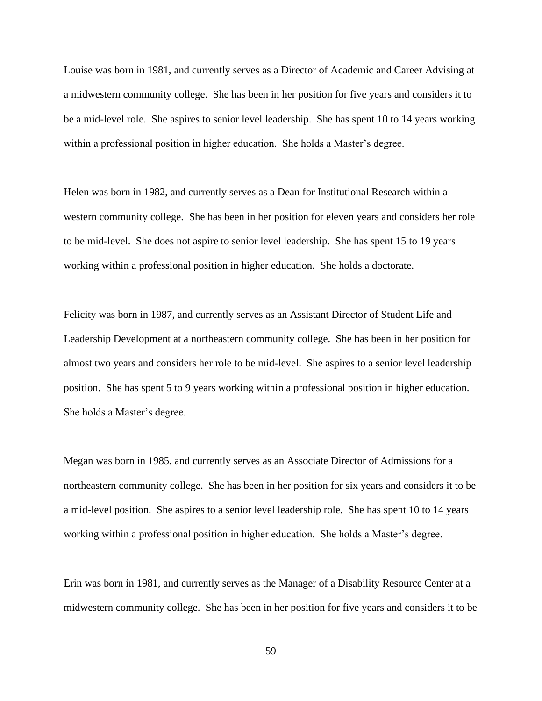Louise was born in 1981, and currently serves as a Director of Academic and Career Advising at a midwestern community college. She has been in her position for five years and considers it to be a mid-level role. She aspires to senior level leadership. She has spent 10 to 14 years working within a professional position in higher education. She holds a Master's degree.

Helen was born in 1982, and currently serves as a Dean for Institutional Research within a western community college. She has been in her position for eleven years and considers her role to be mid-level. She does not aspire to senior level leadership. She has spent 15 to 19 years working within a professional position in higher education. She holds a doctorate.

Felicity was born in 1987, and currently serves as an Assistant Director of Student Life and Leadership Development at a northeastern community college. She has been in her position for almost two years and considers her role to be mid-level. She aspires to a senior level leadership position. She has spent 5 to 9 years working within a professional position in higher education. She holds a Master's degree.

Megan was born in 1985, and currently serves as an Associate Director of Admissions for a northeastern community college. She has been in her position for six years and considers it to be a mid-level position. She aspires to a senior level leadership role. She has spent 10 to 14 years working within a professional position in higher education. She holds a Master's degree.

Erin was born in 1981, and currently serves as the Manager of a Disability Resource Center at a midwestern community college. She has been in her position for five years and considers it to be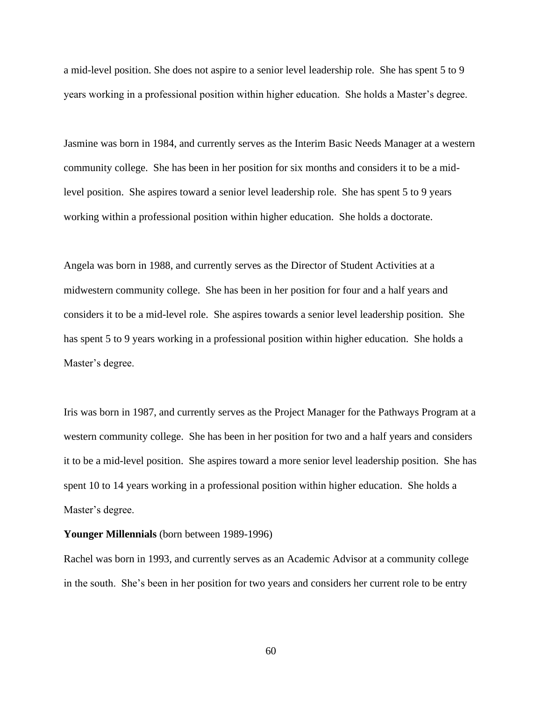a mid-level position. She does not aspire to a senior level leadership role. She has spent 5 to 9 years working in a professional position within higher education. She holds a Master's degree.

Jasmine was born in 1984, and currently serves as the Interim Basic Needs Manager at a western community college. She has been in her position for six months and considers it to be a midlevel position. She aspires toward a senior level leadership role. She has spent 5 to 9 years working within a professional position within higher education. She holds a doctorate.

Angela was born in 1988, and currently serves as the Director of Student Activities at a midwestern community college. She has been in her position for four and a half years and considers it to be a mid-level role. She aspires towards a senior level leadership position. She has spent 5 to 9 years working in a professional position within higher education. She holds a Master's degree.

Iris was born in 1987, and currently serves as the Project Manager for the Pathways Program at a western community college. She has been in her position for two and a half years and considers it to be a mid-level position. She aspires toward a more senior level leadership position. She has spent 10 to 14 years working in a professional position within higher education. She holds a Master's degree.

#### **Younger Millennials** (born between 1989-1996)

Rachel was born in 1993, and currently serves as an Academic Advisor at a community college in the south. She's been in her position for two years and considers her current role to be entry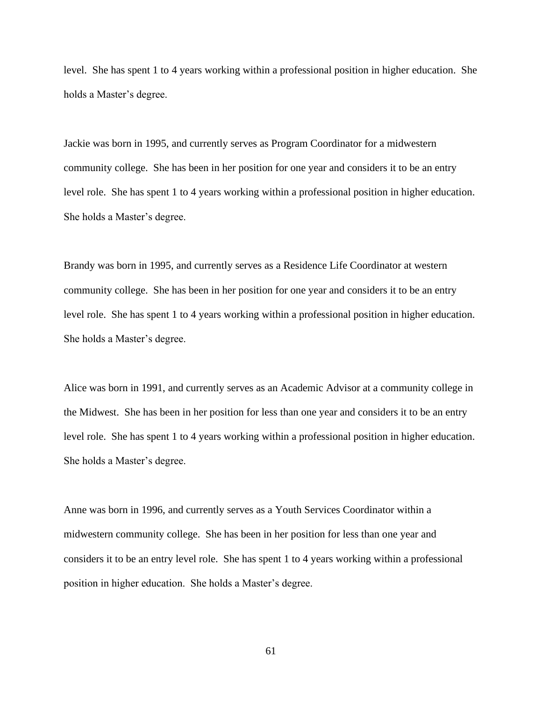level. She has spent 1 to 4 years working within a professional position in higher education. She holds a Master's degree.

Jackie was born in 1995, and currently serves as Program Coordinator for a midwestern community college. She has been in her position for one year and considers it to be an entry level role. She has spent 1 to 4 years working within a professional position in higher education. She holds a Master's degree.

Brandy was born in 1995, and currently serves as a Residence Life Coordinator at western community college. She has been in her position for one year and considers it to be an entry level role. She has spent 1 to 4 years working within a professional position in higher education. She holds a Master's degree.

Alice was born in 1991, and currently serves as an Academic Advisor at a community college in the Midwest. She has been in her position for less than one year and considers it to be an entry level role. She has spent 1 to 4 years working within a professional position in higher education. She holds a Master's degree.

Anne was born in 1996, and currently serves as a Youth Services Coordinator within a midwestern community college. She has been in her position for less than one year and considers it to be an entry level role. She has spent 1 to 4 years working within a professional position in higher education. She holds a Master's degree.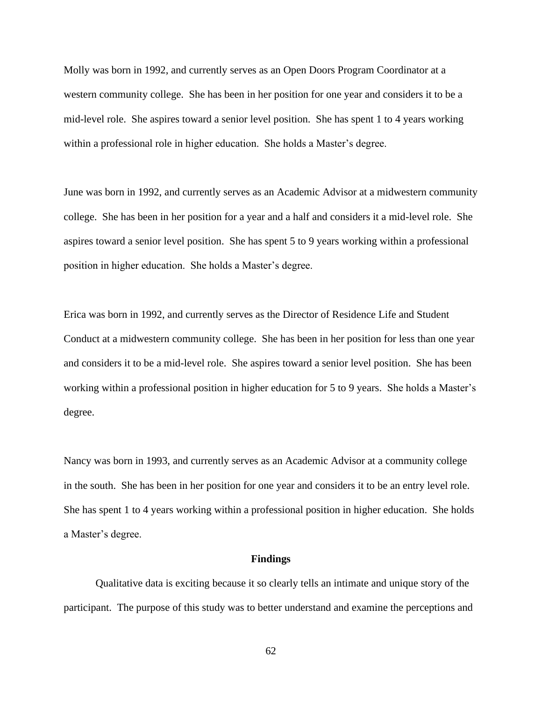Molly was born in 1992, and currently serves as an Open Doors Program Coordinator at a western community college. She has been in her position for one year and considers it to be a mid-level role. She aspires toward a senior level position. She has spent 1 to 4 years working within a professional role in higher education. She holds a Master's degree.

June was born in 1992, and currently serves as an Academic Advisor at a midwestern community college. She has been in her position for a year and a half and considers it a mid-level role. She aspires toward a senior level position. She has spent 5 to 9 years working within a professional position in higher education. She holds a Master's degree.

Erica was born in 1992, and currently serves as the Director of Residence Life and Student Conduct at a midwestern community college. She has been in her position for less than one year and considers it to be a mid-level role. She aspires toward a senior level position. She has been working within a professional position in higher education for 5 to 9 years. She holds a Master's degree.

Nancy was born in 1993, and currently serves as an Academic Advisor at a community college in the south. She has been in her position for one year and considers it to be an entry level role. She has spent 1 to 4 years working within a professional position in higher education. She holds a Master's degree.

#### **Findings**

Qualitative data is exciting because it so clearly tells an intimate and unique story of the participant. The purpose of this study was to better understand and examine the perceptions and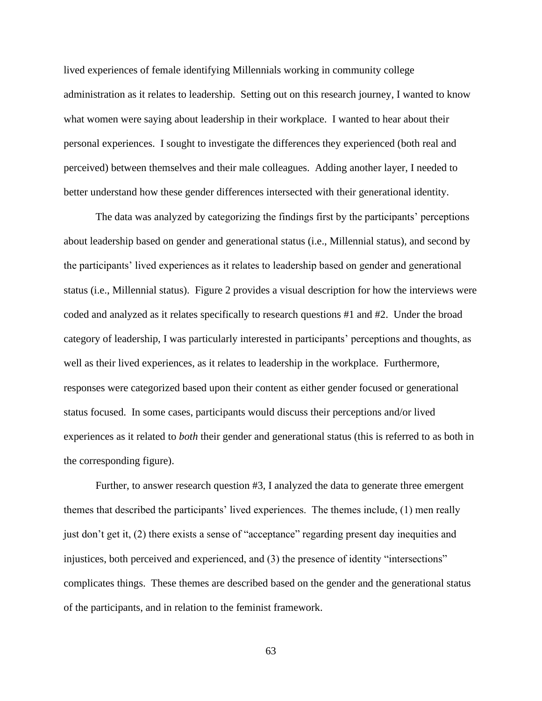lived experiences of female identifying Millennials working in community college administration as it relates to leadership. Setting out on this research journey, I wanted to know what women were saying about leadership in their workplace. I wanted to hear about their personal experiences. I sought to investigate the differences they experienced (both real and perceived) between themselves and their male colleagues. Adding another layer, I needed to better understand how these gender differences intersected with their generational identity.

The data was analyzed by categorizing the findings first by the participants' perceptions about leadership based on gender and generational status (i.e., Millennial status), and second by the participants' lived experiences as it relates to leadership based on gender and generational status (i.e., Millennial status). Figure 2 provides a visual description for how the interviews were coded and analyzed as it relates specifically to research questions #1 and #2. Under the broad category of leadership, I was particularly interested in participants' perceptions and thoughts, as well as their lived experiences, as it relates to leadership in the workplace. Furthermore, responses were categorized based upon their content as either gender focused or generational status focused. In some cases, participants would discuss their perceptions and/or lived experiences as it related to *both* their gender and generational status (this is referred to as both in the corresponding figure).

Further, to answer research question #3, I analyzed the data to generate three emergent themes that described the participants' lived experiences. The themes include, (1) men really just don't get it, (2) there exists a sense of "acceptance" regarding present day inequities and injustices, both perceived and experienced, and (3) the presence of identity "intersections" complicates things. These themes are described based on the gender and the generational status of the participants, and in relation to the feminist framework.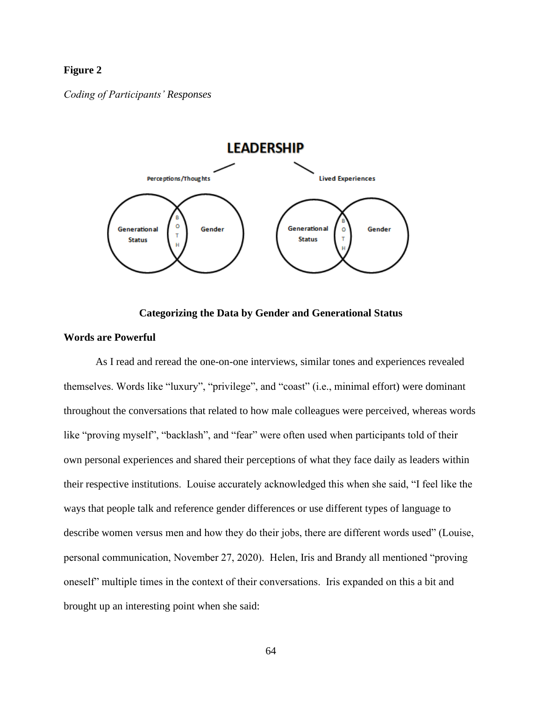# **Figure 2**

*Coding of Participants' Responses* 



## **Categorizing the Data by Gender and Generational Status**

# **Words are Powerful**

As I read and reread the one-on-one interviews, similar tones and experiences revealed themselves. Words like "luxury", "privilege", and "coast" (i.e., minimal effort) were dominant throughout the conversations that related to how male colleagues were perceived, whereas words like "proving myself", "backlash", and "fear" were often used when participants told of their own personal experiences and shared their perceptions of what they face daily as leaders within their respective institutions. Louise accurately acknowledged this when she said, "I feel like the ways that people talk and reference gender differences or use different types of language to describe women versus men and how they do their jobs, there are different words used" (Louise, personal communication, November 27, 2020). Helen, Iris and Brandy all mentioned "proving oneself" multiple times in the context of their conversations. Iris expanded on this a bit and brought up an interesting point when she said: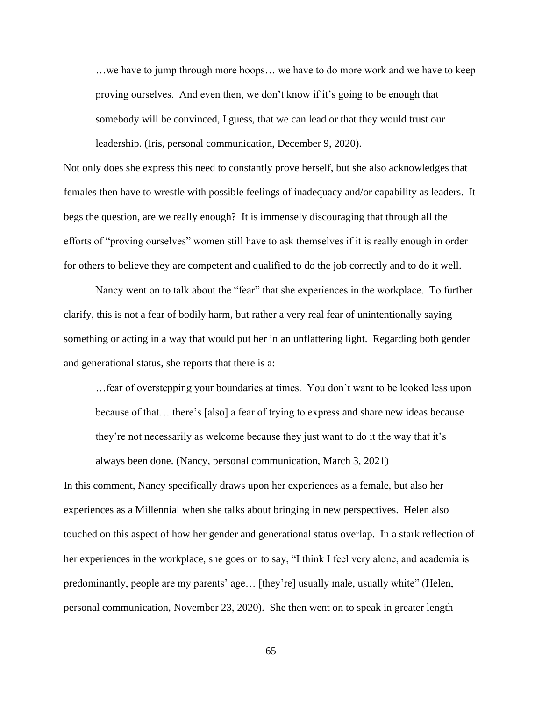…we have to jump through more hoops… we have to do more work and we have to keep proving ourselves. And even then, we don't know if it's going to be enough that somebody will be convinced, I guess, that we can lead or that they would trust our leadership. (Iris, personal communication, December 9, 2020).

Not only does she express this need to constantly prove herself, but she also acknowledges that females then have to wrestle with possible feelings of inadequacy and/or capability as leaders. It begs the question, are we really enough? It is immensely discouraging that through all the efforts of "proving ourselves" women still have to ask themselves if it is really enough in order for others to believe they are competent and qualified to do the job correctly and to do it well.

Nancy went on to talk about the "fear" that she experiences in the workplace. To further clarify, this is not a fear of bodily harm, but rather a very real fear of unintentionally saying something or acting in a way that would put her in an unflattering light. Regarding both gender and generational status, she reports that there is a:

…fear of overstepping your boundaries at times. You don't want to be looked less upon because of that… there's [also] a fear of trying to express and share new ideas because they're not necessarily as welcome because they just want to do it the way that it's always been done. (Nancy, personal communication, March 3, 2021)

In this comment, Nancy specifically draws upon her experiences as a female, but also her experiences as a Millennial when she talks about bringing in new perspectives. Helen also touched on this aspect of how her gender and generational status overlap. In a stark reflection of her experiences in the workplace, she goes on to say, "I think I feel very alone, and academia is predominantly, people are my parents' age… [they're] usually male, usually white" (Helen, personal communication, November 23, 2020). She then went on to speak in greater length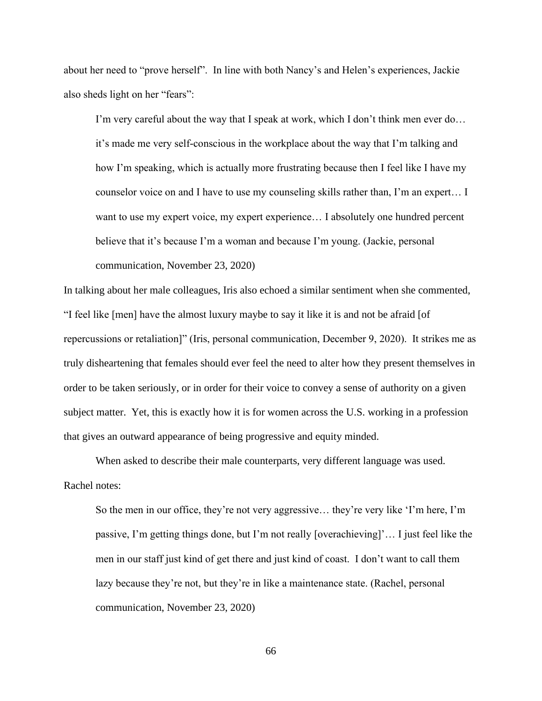about her need to "prove herself". In line with both Nancy's and Helen's experiences, Jackie also sheds light on her "fears":

I'm very careful about the way that I speak at work, which I don't think men ever do… it's made me very self-conscious in the workplace about the way that I'm talking and how I'm speaking, which is actually more frustrating because then I feel like I have my counselor voice on and I have to use my counseling skills rather than, I'm an expert… I want to use my expert voice, my expert experience… I absolutely one hundred percent believe that it's because I'm a woman and because I'm young. (Jackie, personal communication, November 23, 2020)

In talking about her male colleagues, Iris also echoed a similar sentiment when she commented, "I feel like [men] have the almost luxury maybe to say it like it is and not be afraid [of repercussions or retaliation]" (Iris, personal communication, December 9, 2020). It strikes me as truly disheartening that females should ever feel the need to alter how they present themselves in order to be taken seriously, or in order for their voice to convey a sense of authority on a given subject matter. Yet, this is exactly how it is for women across the U.S. working in a profession that gives an outward appearance of being progressive and equity minded.

When asked to describe their male counterparts, very different language was used. Rachel notes:

So the men in our office, they're not very aggressive… they're very like 'I'm here, I'm passive, I'm getting things done, but I'm not really [overachieving]'… I just feel like the men in our staff just kind of get there and just kind of coast. I don't want to call them lazy because they're not, but they're in like a maintenance state. (Rachel, personal communication, November 23, 2020)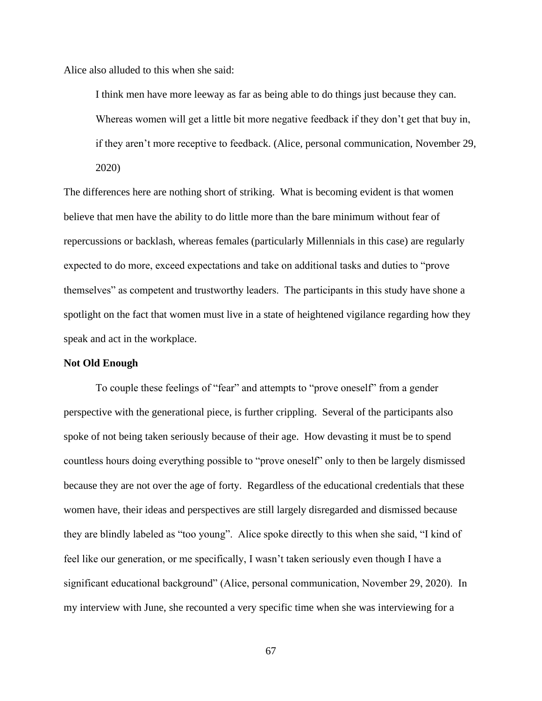Alice also alluded to this when she said:

I think men have more leeway as far as being able to do things just because they can. Whereas women will get a little bit more negative feedback if they don't get that buy in, if they aren't more receptive to feedback. (Alice, personal communication, November 29, 2020)

The differences here are nothing short of striking. What is becoming evident is that women believe that men have the ability to do little more than the bare minimum without fear of repercussions or backlash, whereas females (particularly Millennials in this case) are regularly expected to do more, exceed expectations and take on additional tasks and duties to "prove themselves" as competent and trustworthy leaders. The participants in this study have shone a spotlight on the fact that women must live in a state of heightened vigilance regarding how they speak and act in the workplace.

# **Not Old Enough**

To couple these feelings of "fear" and attempts to "prove oneself" from a gender perspective with the generational piece, is further crippling. Several of the participants also spoke of not being taken seriously because of their age. How devasting it must be to spend countless hours doing everything possible to "prove oneself" only to then be largely dismissed because they are not over the age of forty. Regardless of the educational credentials that these women have, their ideas and perspectives are still largely disregarded and dismissed because they are blindly labeled as "too young". Alice spoke directly to this when she said, "I kind of feel like our generation, or me specifically, I wasn't taken seriously even though I have a significant educational background" (Alice, personal communication, November 29, 2020). In my interview with June, she recounted a very specific time when she was interviewing for a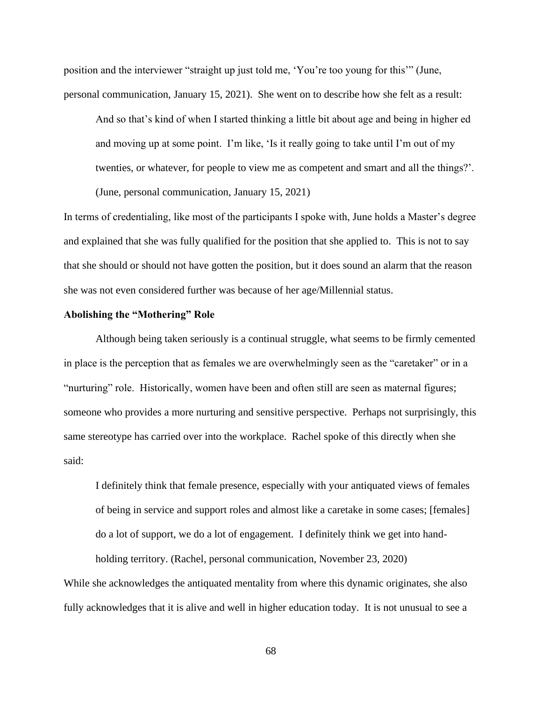position and the interviewer "straight up just told me, 'You're too young for this'" (June, personal communication, January 15, 2021). She went on to describe how she felt as a result:

And so that's kind of when I started thinking a little bit about age and being in higher ed and moving up at some point. I'm like, 'Is it really going to take until I'm out of my twenties, or whatever, for people to view me as competent and smart and all the things?'. (June, personal communication, January 15, 2021)

In terms of credentialing, like most of the participants I spoke with, June holds a Master's degree and explained that she was fully qualified for the position that she applied to. This is not to say that she should or should not have gotten the position, but it does sound an alarm that the reason she was not even considered further was because of her age/Millennial status.

## **Abolishing the "Mothering" Role**

Although being taken seriously is a continual struggle, what seems to be firmly cemented in place is the perception that as females we are overwhelmingly seen as the "caretaker" or in a "nurturing" role. Historically, women have been and often still are seen as maternal figures; someone who provides a more nurturing and sensitive perspective. Perhaps not surprisingly, this same stereotype has carried over into the workplace. Rachel spoke of this directly when she said:

I definitely think that female presence, especially with your antiquated views of females of being in service and support roles and almost like a caretake in some cases; [females] do a lot of support, we do a lot of engagement. I definitely think we get into hand-

holding territory. (Rachel, personal communication, November 23, 2020) While she acknowledges the antiquated mentality from where this dynamic originates, she also fully acknowledges that it is alive and well in higher education today. It is not unusual to see a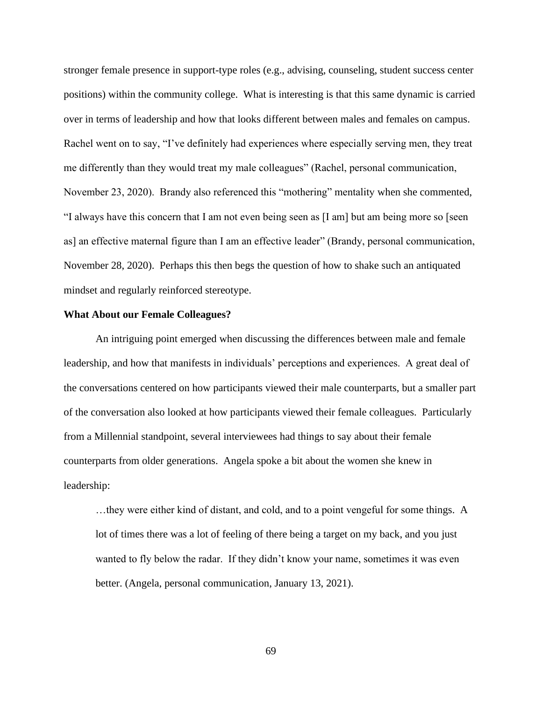stronger female presence in support-type roles (e.g., advising, counseling, student success center positions) within the community college. What is interesting is that this same dynamic is carried over in terms of leadership and how that looks different between males and females on campus. Rachel went on to say, "I've definitely had experiences where especially serving men, they treat me differently than they would treat my male colleagues" (Rachel, personal communication, November 23, 2020). Brandy also referenced this "mothering" mentality when she commented, "I always have this concern that I am not even being seen as [I am] but am being more so [seen as] an effective maternal figure than I am an effective leader" (Brandy, personal communication, November 28, 2020). Perhaps this then begs the question of how to shake such an antiquated mindset and regularly reinforced stereotype.

## **What About our Female Colleagues?**

An intriguing point emerged when discussing the differences between male and female leadership, and how that manifests in individuals' perceptions and experiences. A great deal of the conversations centered on how participants viewed their male counterparts, but a smaller part of the conversation also looked at how participants viewed their female colleagues. Particularly from a Millennial standpoint, several interviewees had things to say about their female counterparts from older generations. Angela spoke a bit about the women she knew in leadership:

…they were either kind of distant, and cold, and to a point vengeful for some things. A lot of times there was a lot of feeling of there being a target on my back, and you just wanted to fly below the radar. If they didn't know your name, sometimes it was even better. (Angela, personal communication, January 13, 2021).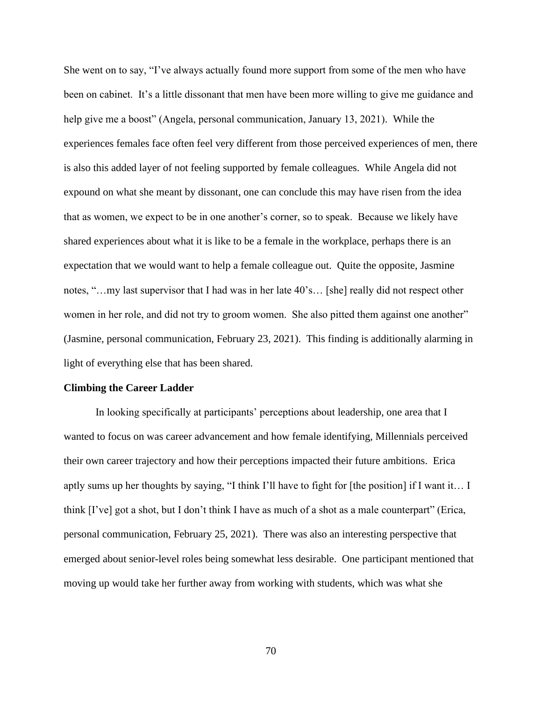She went on to say, "I've always actually found more support from some of the men who have been on cabinet. It's a little dissonant that men have been more willing to give me guidance and help give me a boost" (Angela, personal communication, January 13, 2021). While the experiences females face often feel very different from those perceived experiences of men, there is also this added layer of not feeling supported by female colleagues. While Angela did not expound on what she meant by dissonant, one can conclude this may have risen from the idea that as women, we expect to be in one another's corner, so to speak. Because we likely have shared experiences about what it is like to be a female in the workplace, perhaps there is an expectation that we would want to help a female colleague out. Quite the opposite, Jasmine notes, "…my last supervisor that I had was in her late 40's… [she] really did not respect other women in her role, and did not try to groom women. She also pitted them against one another" (Jasmine, personal communication, February 23, 2021). This finding is additionally alarming in light of everything else that has been shared.

### **Climbing the Career Ladder**

In looking specifically at participants' perceptions about leadership, one area that I wanted to focus on was career advancement and how female identifying, Millennials perceived their own career trajectory and how their perceptions impacted their future ambitions. Erica aptly sums up her thoughts by saying, "I think I'll have to fight for [the position] if I want it… I think [I've] got a shot, but I don't think I have as much of a shot as a male counterpart" (Erica, personal communication, February 25, 2021). There was also an interesting perspective that emerged about senior-level roles being somewhat less desirable. One participant mentioned that moving up would take her further away from working with students, which was what she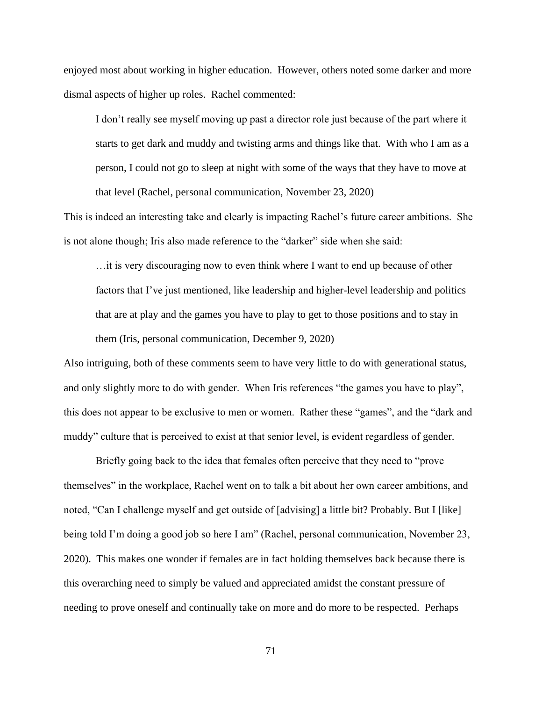enjoyed most about working in higher education. However, others noted some darker and more dismal aspects of higher up roles. Rachel commented:

I don't really see myself moving up past a director role just because of the part where it starts to get dark and muddy and twisting arms and things like that. With who I am as a person, I could not go to sleep at night with some of the ways that they have to move at that level (Rachel, personal communication, November 23, 2020)

This is indeed an interesting take and clearly is impacting Rachel's future career ambitions. She is not alone though; Iris also made reference to the "darker" side when she said:

…it is very discouraging now to even think where I want to end up because of other factors that I've just mentioned, like leadership and higher-level leadership and politics that are at play and the games you have to play to get to those positions and to stay in them (Iris, personal communication, December 9, 2020)

Also intriguing, both of these comments seem to have very little to do with generational status, and only slightly more to do with gender. When Iris references "the games you have to play", this does not appear to be exclusive to men or women. Rather these "games", and the "dark and muddy" culture that is perceived to exist at that senior level, is evident regardless of gender.

Briefly going back to the idea that females often perceive that they need to "prove themselves" in the workplace, Rachel went on to talk a bit about her own career ambitions, and noted, "Can I challenge myself and get outside of [advising] a little bit? Probably. But I [like] being told I'm doing a good job so here I am" (Rachel, personal communication, November 23, 2020). This makes one wonder if females are in fact holding themselves back because there is this overarching need to simply be valued and appreciated amidst the constant pressure of needing to prove oneself and continually take on more and do more to be respected. Perhaps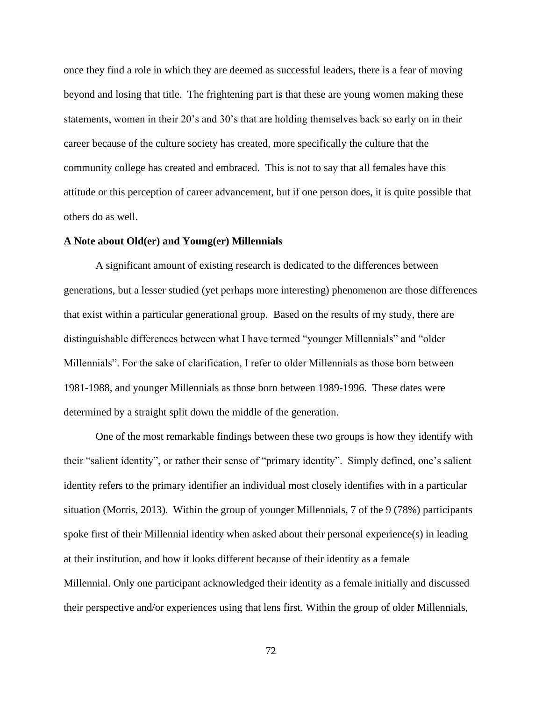once they find a role in which they are deemed as successful leaders, there is a fear of moving beyond and losing that title. The frightening part is that these are young women making these statements, women in their 20's and 30's that are holding themselves back so early on in their career because of the culture society has created, more specifically the culture that the community college has created and embraced. This is not to say that all females have this attitude or this perception of career advancement, but if one person does, it is quite possible that others do as well.

# **A Note about Old(er) and Young(er) Millennials**

A significant amount of existing research is dedicated to the differences between generations, but a lesser studied (yet perhaps more interesting) phenomenon are those differences that exist within a particular generational group. Based on the results of my study, there are distinguishable differences between what I have termed "younger Millennials" and "older Millennials". For the sake of clarification, I refer to older Millennials as those born between 1981-1988, and younger Millennials as those born between 1989-1996. These dates were determined by a straight split down the middle of the generation.

One of the most remarkable findings between these two groups is how they identify with their "salient identity", or rather their sense of "primary identity". Simply defined, one's salient identity refers to the primary identifier an individual most closely identifies with in a particular situation (Morris, 2013). Within the group of younger Millennials, 7 of the 9 (78%) participants spoke first of their Millennial identity when asked about their personal experience(s) in leading at their institution, and how it looks different because of their identity as a female Millennial. Only one participant acknowledged their identity as a female initially and discussed their perspective and/or experiences using that lens first. Within the group of older Millennials,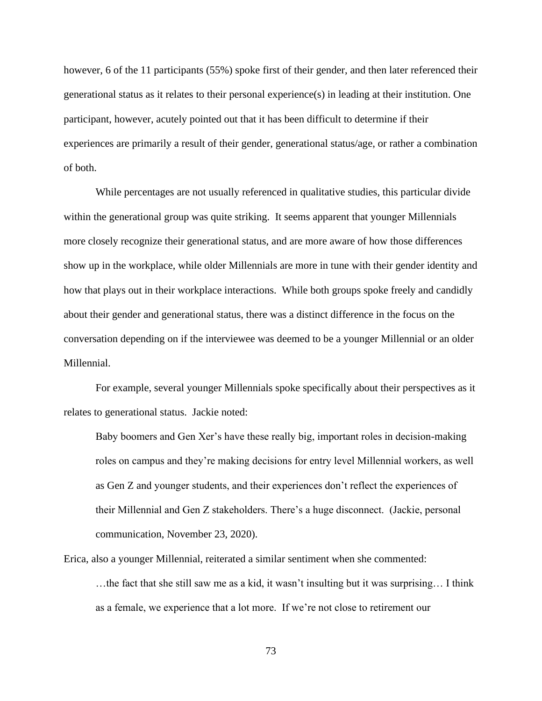however, 6 of the 11 participants (55%) spoke first of their gender, and then later referenced their generational status as it relates to their personal experience(s) in leading at their institution. One participant, however, acutely pointed out that it has been difficult to determine if their experiences are primarily a result of their gender, generational status/age, or rather a combination of both.

While percentages are not usually referenced in qualitative studies, this particular divide within the generational group was quite striking. It seems apparent that younger Millennials more closely recognize their generational status, and are more aware of how those differences show up in the workplace, while older Millennials are more in tune with their gender identity and how that plays out in their workplace interactions. While both groups spoke freely and candidly about their gender and generational status, there was a distinct difference in the focus on the conversation depending on if the interviewee was deemed to be a younger Millennial or an older Millennial.

For example, several younger Millennials spoke specifically about their perspectives as it relates to generational status. Jackie noted:

Baby boomers and Gen Xer's have these really big, important roles in decision-making roles on campus and they're making decisions for entry level Millennial workers, as well as Gen Z and younger students, and their experiences don't reflect the experiences of their Millennial and Gen Z stakeholders. There's a huge disconnect. (Jackie, personal communication, November 23, 2020).

Erica, also a younger Millennial, reiterated a similar sentiment when she commented: …the fact that she still saw me as a kid, it wasn't insulting but it was surprising… I think as a female, we experience that a lot more. If we're not close to retirement our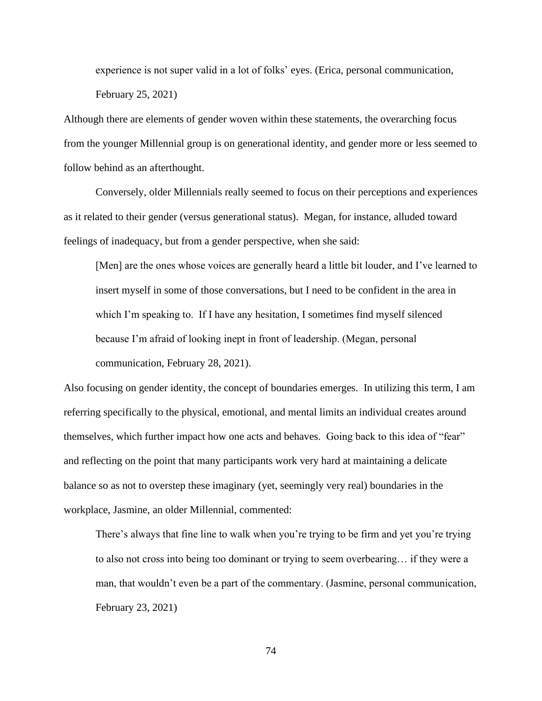experience is not super valid in a lot of folks' eyes. (Erica, personal communication, February 25, 2021)

Although there are elements of gender woven within these statements, the overarching focus from the younger Millennial group is on generational identity, and gender more or less seemed to follow behind as an afterthought.

Conversely, older Millennials really seemed to focus on their perceptions and experiences as it related to their gender (versus generational status). Megan, for instance, alluded toward feelings of inadequacy, but from a gender perspective, when she said:

[Men] are the ones whose voices are generally heard a little bit louder, and I've learned to insert myself in some of those conversations, but I need to be confident in the area in which I'm speaking to. If I have any hesitation, I sometimes find myself silenced because I'm afraid of looking inept in front of leadership. (Megan, personal communication, February 28, 2021).

Also focusing on gender identity, the concept of boundaries emerges. In utilizing this term, I am referring specifically to the physical, emotional, and mental limits an individual creates around themselves, which further impact how one acts and behaves. Going back to this idea of "fear" and reflecting on the point that many participants work very hard at maintaining a delicate balance so as not to overstep these imaginary (yet, seemingly very real) boundaries in the workplace, Jasmine, an older Millennial, commented:

There's always that fine line to walk when you're trying to be firm and yet you're trying to also not cross into being too dominant or trying to seem overbearing… if they were a man, that wouldn't even be a part of the commentary. (Jasmine, personal communication, February 23, 2021)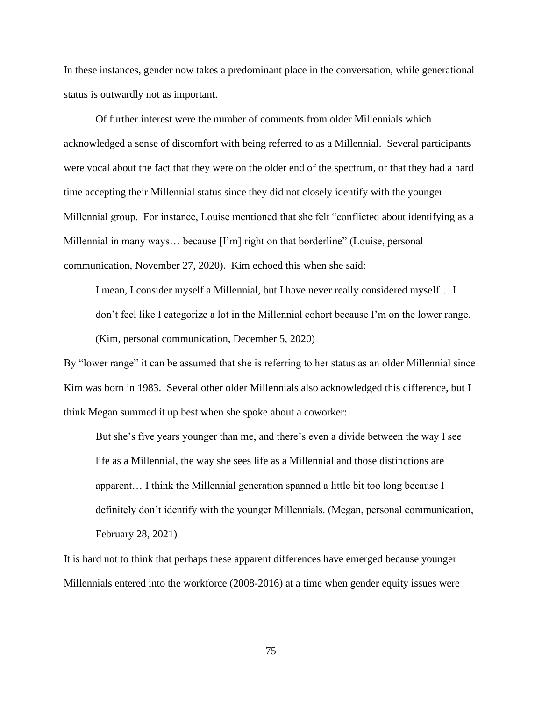In these instances, gender now takes a predominant place in the conversation, while generational status is outwardly not as important.

Of further interest were the number of comments from older Millennials which acknowledged a sense of discomfort with being referred to as a Millennial. Several participants were vocal about the fact that they were on the older end of the spectrum, or that they had a hard time accepting their Millennial status since they did not closely identify with the younger Millennial group. For instance, Louise mentioned that she felt "conflicted about identifying as a Millennial in many ways... because [I'm] right on that borderline" (Louise, personal communication, November 27, 2020). Kim echoed this when she said:

I mean, I consider myself a Millennial, but I have never really considered myself… I don't feel like I categorize a lot in the Millennial cohort because I'm on the lower range. (Kim, personal communication, December 5, 2020)

By "lower range" it can be assumed that she is referring to her status as an older Millennial since Kim was born in 1983. Several other older Millennials also acknowledged this difference, but I think Megan summed it up best when she spoke about a coworker:

But she's five years younger than me, and there's even a divide between the way I see life as a Millennial, the way she sees life as a Millennial and those distinctions are apparent… I think the Millennial generation spanned a little bit too long because I definitely don't identify with the younger Millennials. (Megan, personal communication, February 28, 2021)

It is hard not to think that perhaps these apparent differences have emerged because younger Millennials entered into the workforce (2008-2016) at a time when gender equity issues were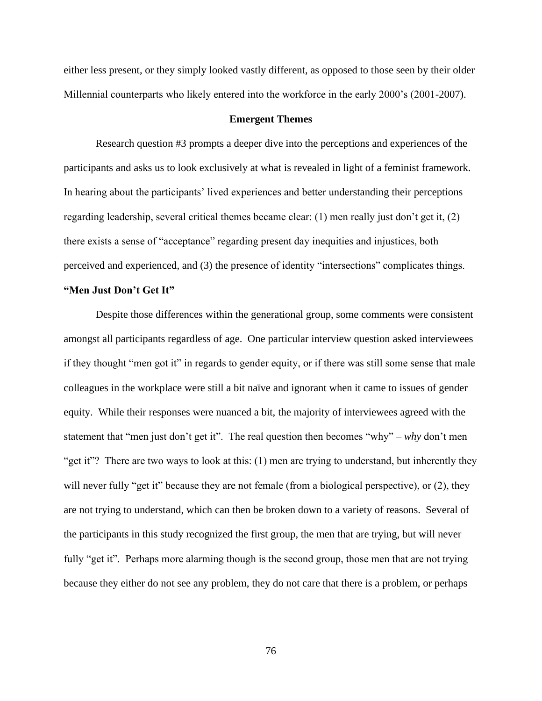either less present, or they simply looked vastly different, as opposed to those seen by their older Millennial counterparts who likely entered into the workforce in the early 2000's (2001-2007).

## **Emergent Themes**

Research question #3 prompts a deeper dive into the perceptions and experiences of the participants and asks us to look exclusively at what is revealed in light of a feminist framework. In hearing about the participants' lived experiences and better understanding their perceptions regarding leadership, several critical themes became clear: (1) men really just don't get it, (2) there exists a sense of "acceptance" regarding present day inequities and injustices, both perceived and experienced, and (3) the presence of identity "intersections" complicates things.

## **"Men Just Don't Get It"**

Despite those differences within the generational group, some comments were consistent amongst all participants regardless of age. One particular interview question asked interviewees if they thought "men got it" in regards to gender equity, or if there was still some sense that male colleagues in the workplace were still a bit naïve and ignorant when it came to issues of gender equity. While their responses were nuanced a bit, the majority of interviewees agreed with the statement that "men just don't get it". The real question then becomes "why" – *why* don't men "get it"? There are two ways to look at this: (1) men are trying to understand, but inherently they will never fully "get it" because they are not female (from a biological perspective), or (2), they are not trying to understand, which can then be broken down to a variety of reasons. Several of the participants in this study recognized the first group, the men that are trying, but will never fully "get it". Perhaps more alarming though is the second group, those men that are not trying because they either do not see any problem, they do not care that there is a problem, or perhaps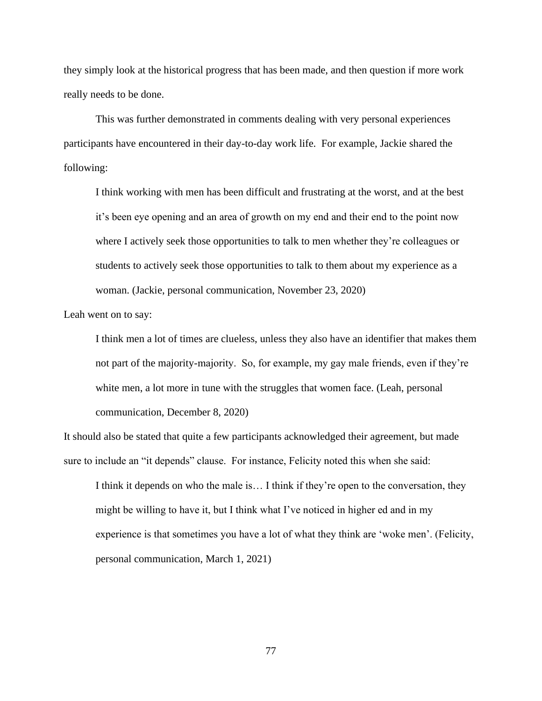they simply look at the historical progress that has been made, and then question if more work really needs to be done.

This was further demonstrated in comments dealing with very personal experiences participants have encountered in their day-to-day work life. For example, Jackie shared the following:

I think working with men has been difficult and frustrating at the worst, and at the best it's been eye opening and an area of growth on my end and their end to the point now where I actively seek those opportunities to talk to men whether they're colleagues or students to actively seek those opportunities to talk to them about my experience as a woman. (Jackie, personal communication, November 23, 2020)

Leah went on to say:

I think men a lot of times are clueless, unless they also have an identifier that makes them not part of the majority-majority. So, for example, my gay male friends, even if they're white men, a lot more in tune with the struggles that women face. (Leah, personal communication, December 8, 2020)

It should also be stated that quite a few participants acknowledged their agreement, but made sure to include an "it depends" clause. For instance, Felicity noted this when she said:

I think it depends on who the male is… I think if they're open to the conversation, they might be willing to have it, but I think what I've noticed in higher ed and in my experience is that sometimes you have a lot of what they think are 'woke men'. (Felicity, personal communication, March 1, 2021)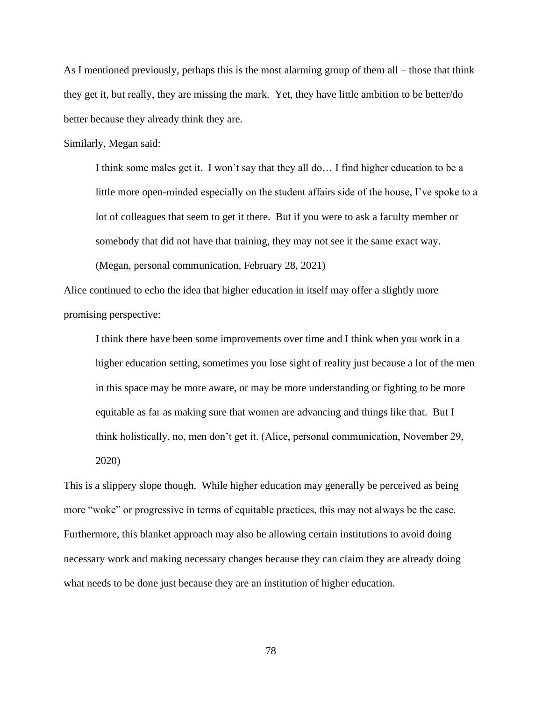As I mentioned previously, perhaps this is the most alarming group of them all – those that think they get it, but really, they are missing the mark. Yet, they have little ambition to be better/do better because they already think they are.

Similarly, Megan said:

I think some males get it. I won't say that they all do… I find higher education to be a little more open-minded especially on the student affairs side of the house, I've spoke to a lot of colleagues that seem to get it there. But if you were to ask a faculty member or somebody that did not have that training, they may not see it the same exact way. (Megan, personal communication, February 28, 2021)

Alice continued to echo the idea that higher education in itself may offer a slightly more promising perspective:

I think there have been some improvements over time and I think when you work in a higher education setting, sometimes you lose sight of reality just because a lot of the men in this space may be more aware, or may be more understanding or fighting to be more equitable as far as making sure that women are advancing and things like that. But I think holistically, no, men don't get it. (Alice, personal communication, November 29, 2020)

This is a slippery slope though. While higher education may generally be perceived as being more "woke" or progressive in terms of equitable practices, this may not always be the case. Furthermore, this blanket approach may also be allowing certain institutions to avoid doing necessary work and making necessary changes because they can claim they are already doing what needs to be done just because they are an institution of higher education.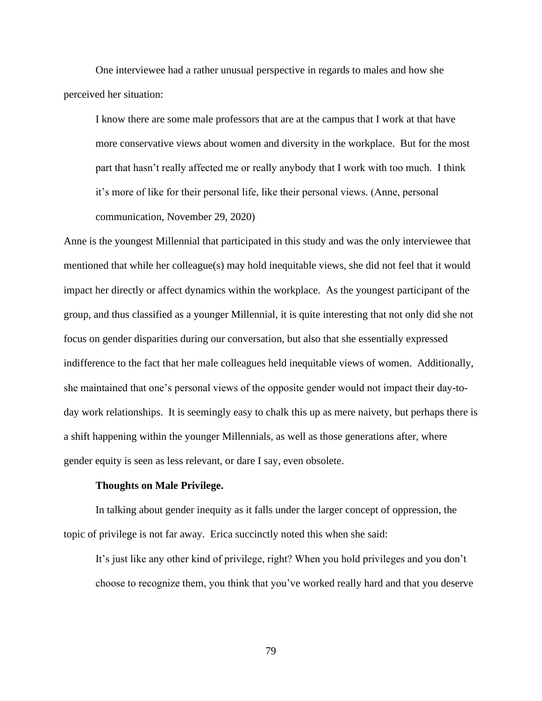One interviewee had a rather unusual perspective in regards to males and how she perceived her situation:

I know there are some male professors that are at the campus that I work at that have more conservative views about women and diversity in the workplace. But for the most part that hasn't really affected me or really anybody that I work with too much. I think it's more of like for their personal life, like their personal views. (Anne, personal communication, November 29, 2020)

Anne is the youngest Millennial that participated in this study and was the only interviewee that mentioned that while her colleague(s) may hold inequitable views, she did not feel that it would impact her directly or affect dynamics within the workplace. As the youngest participant of the group, and thus classified as a younger Millennial, it is quite interesting that not only did she not focus on gender disparities during our conversation, but also that she essentially expressed indifference to the fact that her male colleagues held inequitable views of women. Additionally, she maintained that one's personal views of the opposite gender would not impact their day-today work relationships. It is seemingly easy to chalk this up as mere naivety, but perhaps there is a shift happening within the younger Millennials, as well as those generations after, where gender equity is seen as less relevant, or dare I say, even obsolete.

### **Thoughts on Male Privilege.**

In talking about gender inequity as it falls under the larger concept of oppression, the topic of privilege is not far away. Erica succinctly noted this when she said:

It's just like any other kind of privilege, right? When you hold privileges and you don't choose to recognize them, you think that you've worked really hard and that you deserve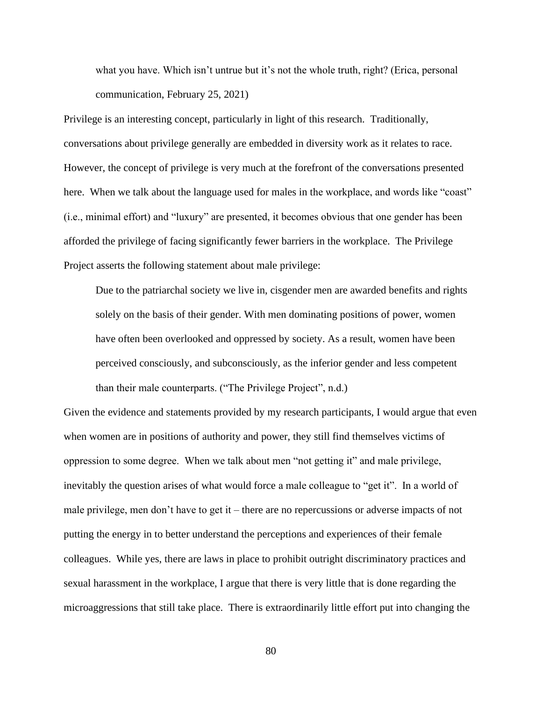what you have. Which isn't untrue but it's not the whole truth, right? (Erica, personal communication, February 25, 2021)

Privilege is an interesting concept, particularly in light of this research. Traditionally, conversations about privilege generally are embedded in diversity work as it relates to race. However, the concept of privilege is very much at the forefront of the conversations presented here. When we talk about the language used for males in the workplace, and words like "coast" (i.e., minimal effort) and "luxury" are presented, it becomes obvious that one gender has been afforded the privilege of facing significantly fewer barriers in the workplace. The Privilege Project asserts the following statement about male privilege:

Due to the patriarchal society we live in, cisgender men are awarded benefits and rights solely on the basis of their gender. With men dominating positions of power, women have often been overlooked and oppressed by society. As a result, women have been perceived consciously, and subconsciously, as the inferior gender and less competent than their male counterparts. ("The Privilege Project", n.d.)

Given the evidence and statements provided by my research participants, I would argue that even when women are in positions of authority and power, they still find themselves victims of oppression to some degree. When we talk about men "not getting it" and male privilege, inevitably the question arises of what would force a male colleague to "get it". In a world of male privilege, men don't have to get it – there are no repercussions or adverse impacts of not putting the energy in to better understand the perceptions and experiences of their female colleagues. While yes, there are laws in place to prohibit outright discriminatory practices and sexual harassment in the workplace, I argue that there is very little that is done regarding the microaggressions that still take place. There is extraordinarily little effort put into changing the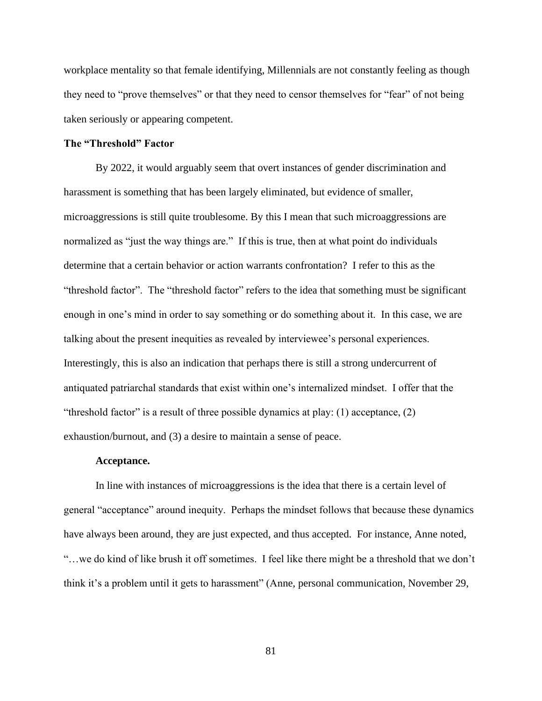workplace mentality so that female identifying, Millennials are not constantly feeling as though they need to "prove themselves" or that they need to censor themselves for "fear" of not being taken seriously or appearing competent.

## **The "Threshold" Factor**

By 2022, it would arguably seem that overt instances of gender discrimination and harassment is something that has been largely eliminated, but evidence of smaller, microaggressions is still quite troublesome. By this I mean that such microaggressions are normalized as "just the way things are." If this is true, then at what point do individuals determine that a certain behavior or action warrants confrontation? I refer to this as the "threshold factor". The "threshold factor" refers to the idea that something must be significant enough in one's mind in order to say something or do something about it. In this case, we are talking about the present inequities as revealed by interviewee's personal experiences. Interestingly, this is also an indication that perhaps there is still a strong undercurrent of antiquated patriarchal standards that exist within one's internalized mindset. I offer that the "threshold factor" is a result of three possible dynamics at play: (1) acceptance, (2) exhaustion/burnout, and (3) a desire to maintain a sense of peace.

#### **Acceptance.**

In line with instances of microaggressions is the idea that there is a certain level of general "acceptance" around inequity. Perhaps the mindset follows that because these dynamics have always been around, they are just expected, and thus accepted. For instance, Anne noted, "…we do kind of like brush it off sometimes. I feel like there might be a threshold that we don't think it's a problem until it gets to harassment" (Anne, personal communication, November 29,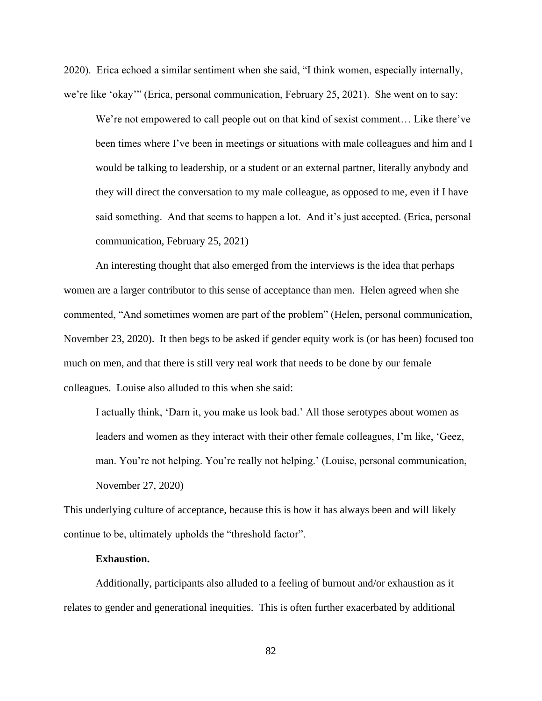2020). Erica echoed a similar sentiment when she said, "I think women, especially internally, we're like 'okay'" (Erica, personal communication, February 25, 2021). She went on to say:

We're not empowered to call people out on that kind of sexist comment… Like there've been times where I've been in meetings or situations with male colleagues and him and I would be talking to leadership, or a student or an external partner, literally anybody and they will direct the conversation to my male colleague, as opposed to me, even if I have said something. And that seems to happen a lot. And it's just accepted. (Erica, personal communication, February 25, 2021)

An interesting thought that also emerged from the interviews is the idea that perhaps women are a larger contributor to this sense of acceptance than men. Helen agreed when she commented, "And sometimes women are part of the problem" (Helen, personal communication, November 23, 2020). It then begs to be asked if gender equity work is (or has been) focused too much on men, and that there is still very real work that needs to be done by our female colleagues. Louise also alluded to this when she said:

I actually think, 'Darn it, you make us look bad.' All those serotypes about women as leaders and women as they interact with their other female colleagues, I'm like, 'Geez, man. You're not helping. You're really not helping.' (Louise, personal communication, November 27, 2020)

This underlying culture of acceptance, because this is how it has always been and will likely continue to be, ultimately upholds the "threshold factor".

#### **Exhaustion.**

Additionally, participants also alluded to a feeling of burnout and/or exhaustion as it relates to gender and generational inequities. This is often further exacerbated by additional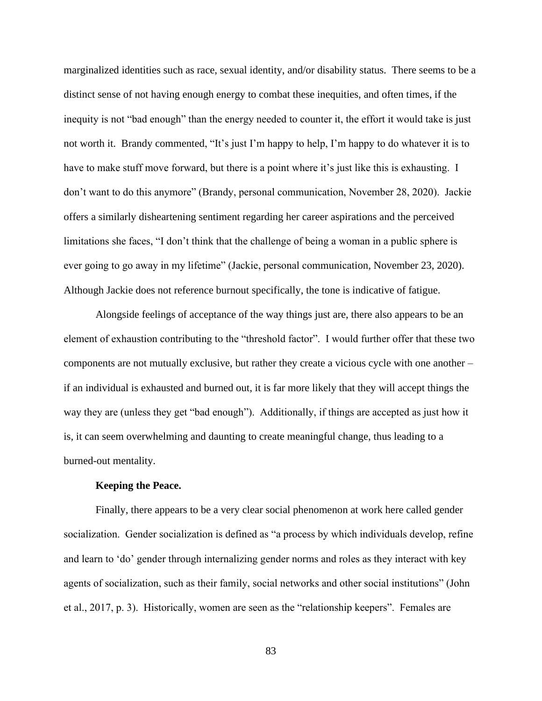marginalized identities such as race, sexual identity, and/or disability status. There seems to be a distinct sense of not having enough energy to combat these inequities, and often times, if the inequity is not "bad enough" than the energy needed to counter it, the effort it would take is just not worth it. Brandy commented, "It's just I'm happy to help, I'm happy to do whatever it is to have to make stuff move forward, but there is a point where it's just like this is exhausting. I don't want to do this anymore" (Brandy, personal communication, November 28, 2020). Jackie offers a similarly disheartening sentiment regarding her career aspirations and the perceived limitations she faces, "I don't think that the challenge of being a woman in a public sphere is ever going to go away in my lifetime" (Jackie, personal communication, November 23, 2020). Although Jackie does not reference burnout specifically, the tone is indicative of fatigue.

Alongside feelings of acceptance of the way things just are, there also appears to be an element of exhaustion contributing to the "threshold factor". I would further offer that these two components are not mutually exclusive, but rather they create a vicious cycle with one another – if an individual is exhausted and burned out, it is far more likely that they will accept things the way they are (unless they get "bad enough"). Additionally, if things are accepted as just how it is, it can seem overwhelming and daunting to create meaningful change, thus leading to a burned-out mentality.

### **Keeping the Peace.**

Finally, there appears to be a very clear social phenomenon at work here called gender socialization. Gender socialization is defined as "a process by which individuals develop, refine and learn to 'do' gender through internalizing gender norms and roles as they interact with key agents of socialization, such as their family, social networks and other social institutions" (John et al., 2017, p. 3). Historically, women are seen as the "relationship keepers". Females are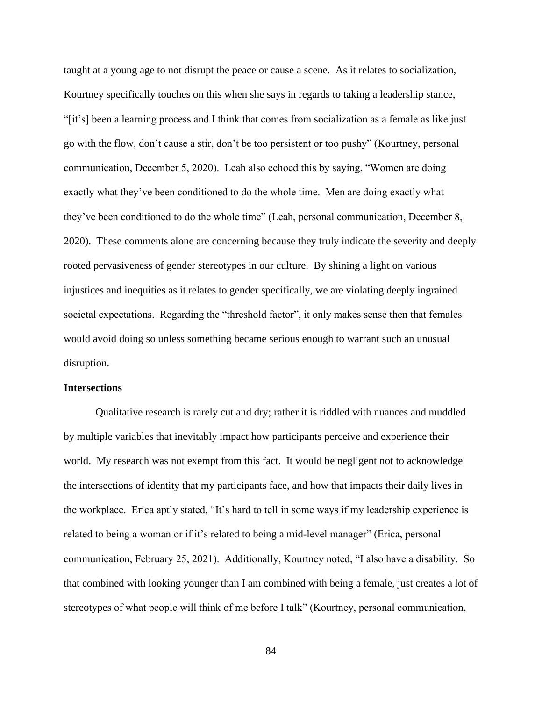taught at a young age to not disrupt the peace or cause a scene. As it relates to socialization, Kourtney specifically touches on this when she says in regards to taking a leadership stance, "[it's] been a learning process and I think that comes from socialization as a female as like just go with the flow, don't cause a stir, don't be too persistent or too pushy" (Kourtney, personal communication, December 5, 2020). Leah also echoed this by saying, "Women are doing exactly what they've been conditioned to do the whole time. Men are doing exactly what they've been conditioned to do the whole time" (Leah, personal communication, December 8, 2020). These comments alone are concerning because they truly indicate the severity and deeply rooted pervasiveness of gender stereotypes in our culture. By shining a light on various injustices and inequities as it relates to gender specifically, we are violating deeply ingrained societal expectations. Regarding the "threshold factor", it only makes sense then that females would avoid doing so unless something became serious enough to warrant such an unusual disruption.

## **Intersections**

Qualitative research is rarely cut and dry; rather it is riddled with nuances and muddled by multiple variables that inevitably impact how participants perceive and experience their world. My research was not exempt from this fact. It would be negligent not to acknowledge the intersections of identity that my participants face, and how that impacts their daily lives in the workplace. Erica aptly stated, "It's hard to tell in some ways if my leadership experience is related to being a woman or if it's related to being a mid-level manager" (Erica, personal communication, February 25, 2021). Additionally, Kourtney noted, "I also have a disability. So that combined with looking younger than I am combined with being a female, just creates a lot of stereotypes of what people will think of me before I talk" (Kourtney, personal communication,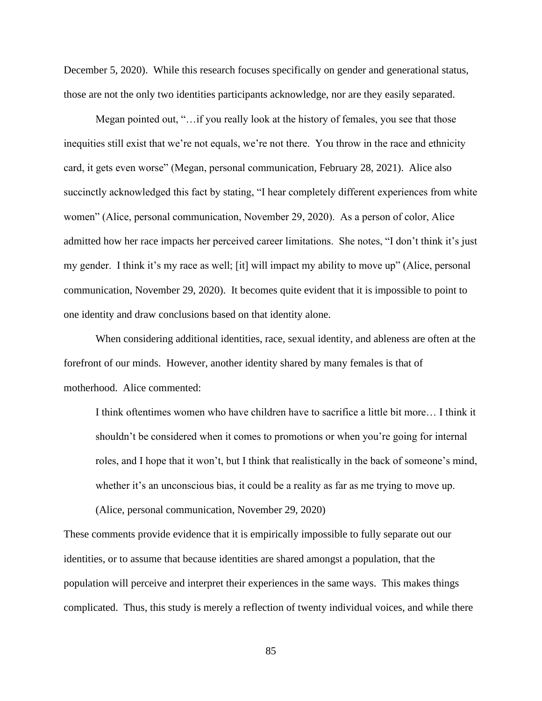December 5, 2020). While this research focuses specifically on gender and generational status, those are not the only two identities participants acknowledge, nor are they easily separated.

Megan pointed out, "…if you really look at the history of females, you see that those inequities still exist that we're not equals, we're not there. You throw in the race and ethnicity card, it gets even worse" (Megan, personal communication, February 28, 2021). Alice also succinctly acknowledged this fact by stating, "I hear completely different experiences from white women" (Alice, personal communication, November 29, 2020). As a person of color, Alice admitted how her race impacts her perceived career limitations. She notes, "I don't think it's just my gender. I think it's my race as well; [it] will impact my ability to move up" (Alice, personal communication, November 29, 2020). It becomes quite evident that it is impossible to point to one identity and draw conclusions based on that identity alone.

When considering additional identities, race, sexual identity, and ableness are often at the forefront of our minds. However, another identity shared by many females is that of motherhood. Alice commented:

I think oftentimes women who have children have to sacrifice a little bit more… I think it shouldn't be considered when it comes to promotions or when you're going for internal roles, and I hope that it won't, but I think that realistically in the back of someone's mind, whether it's an unconscious bias, it could be a reality as far as me trying to move up.

(Alice, personal communication, November 29, 2020)

These comments provide evidence that it is empirically impossible to fully separate out our identities, or to assume that because identities are shared amongst a population, that the population will perceive and interpret their experiences in the same ways. This makes things complicated. Thus, this study is merely a reflection of twenty individual voices, and while there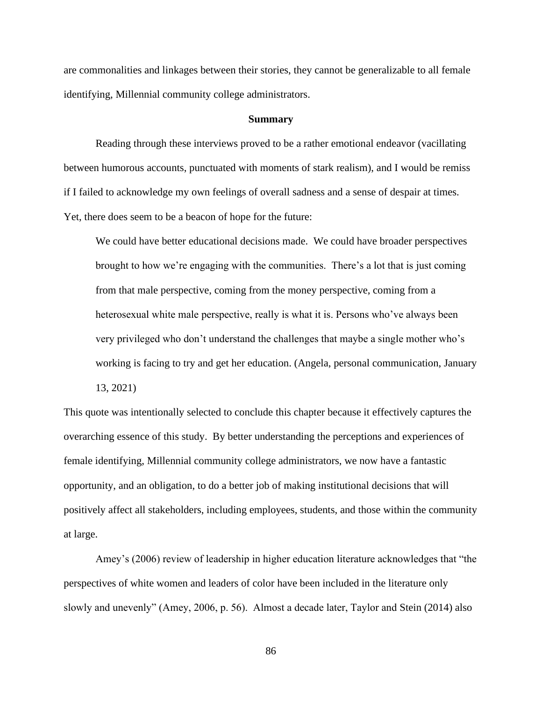are commonalities and linkages between their stories, they cannot be generalizable to all female identifying, Millennial community college administrators.

#### **Summary**

Reading through these interviews proved to be a rather emotional endeavor (vacillating between humorous accounts, punctuated with moments of stark realism), and I would be remiss if I failed to acknowledge my own feelings of overall sadness and a sense of despair at times. Yet, there does seem to be a beacon of hope for the future:

We could have better educational decisions made. We could have broader perspectives brought to how we're engaging with the communities. There's a lot that is just coming from that male perspective, coming from the money perspective, coming from a heterosexual white male perspective, really is what it is. Persons who've always been very privileged who don't understand the challenges that maybe a single mother who's working is facing to try and get her education. (Angela, personal communication, January 13, 2021)

This quote was intentionally selected to conclude this chapter because it effectively captures the overarching essence of this study. By better understanding the perceptions and experiences of female identifying, Millennial community college administrators, we now have a fantastic opportunity, and an obligation, to do a better job of making institutional decisions that will positively affect all stakeholders, including employees, students, and those within the community at large.

Amey's (2006) review of leadership in higher education literature acknowledges that "the perspectives of white women and leaders of color have been included in the literature only slowly and unevenly" (Amey, 2006, p. 56). Almost a decade later, Taylor and Stein (2014) also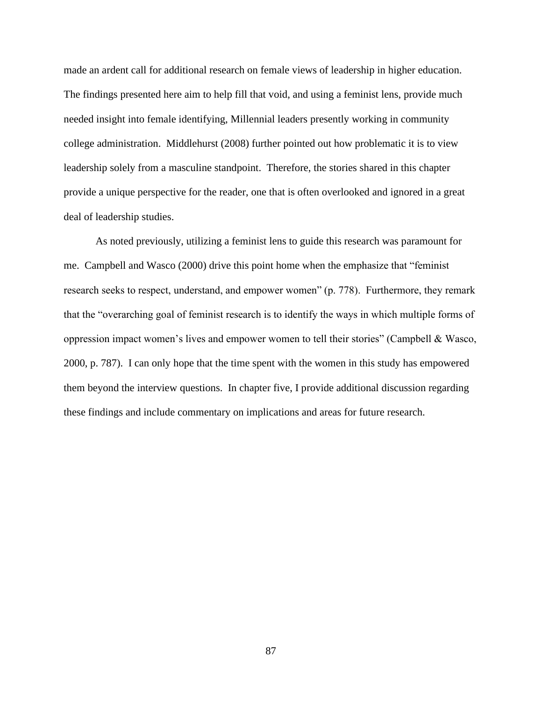made an ardent call for additional research on female views of leadership in higher education. The findings presented here aim to help fill that void, and using a feminist lens, provide much needed insight into female identifying, Millennial leaders presently working in community college administration. Middlehurst (2008) further pointed out how problematic it is to view leadership solely from a masculine standpoint. Therefore, the stories shared in this chapter provide a unique perspective for the reader, one that is often overlooked and ignored in a great deal of leadership studies.

As noted previously, utilizing a feminist lens to guide this research was paramount for me. Campbell and Wasco (2000) drive this point home when the emphasize that "feminist research seeks to respect, understand, and empower women" (p. 778). Furthermore, they remark that the "overarching goal of feminist research is to identify the ways in which multiple forms of oppression impact women's lives and empower women to tell their stories" (Campbell & Wasco, 2000, p. 787). I can only hope that the time spent with the women in this study has empowered them beyond the interview questions. In chapter five, I provide additional discussion regarding these findings and include commentary on implications and areas for future research.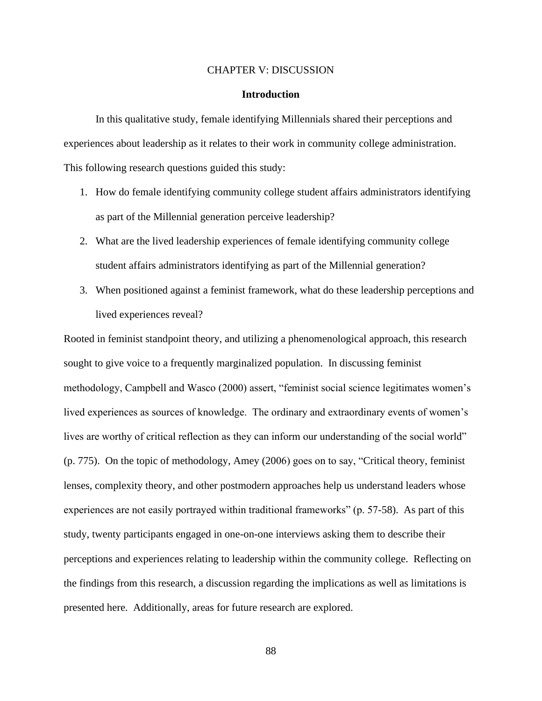## CHAPTER V: DISCUSSION

## **Introduction**

In this qualitative study, female identifying Millennials shared their perceptions and experiences about leadership as it relates to their work in community college administration. This following research questions guided this study:

- 1. How do female identifying community college student affairs administrators identifying as part of the Millennial generation perceive leadership?
- 2. What are the lived leadership experiences of female identifying community college student affairs administrators identifying as part of the Millennial generation?
- 3. When positioned against a feminist framework, what do these leadership perceptions and lived experiences reveal?

Rooted in feminist standpoint theory, and utilizing a phenomenological approach, this research sought to give voice to a frequently marginalized population. In discussing feminist methodology, Campbell and Wasco (2000) assert, "feminist social science legitimates women's lived experiences as sources of knowledge. The ordinary and extraordinary events of women's lives are worthy of critical reflection as they can inform our understanding of the social world" (p. 775). On the topic of methodology, Amey (2006) goes on to say, "Critical theory, feminist lenses, complexity theory, and other postmodern approaches help us understand leaders whose experiences are not easily portrayed within traditional frameworks" (p. 57-58). As part of this study, twenty participants engaged in one-on-one interviews asking them to describe their perceptions and experiences relating to leadership within the community college. Reflecting on the findings from this research, a discussion regarding the implications as well as limitations is presented here. Additionally, areas for future research are explored.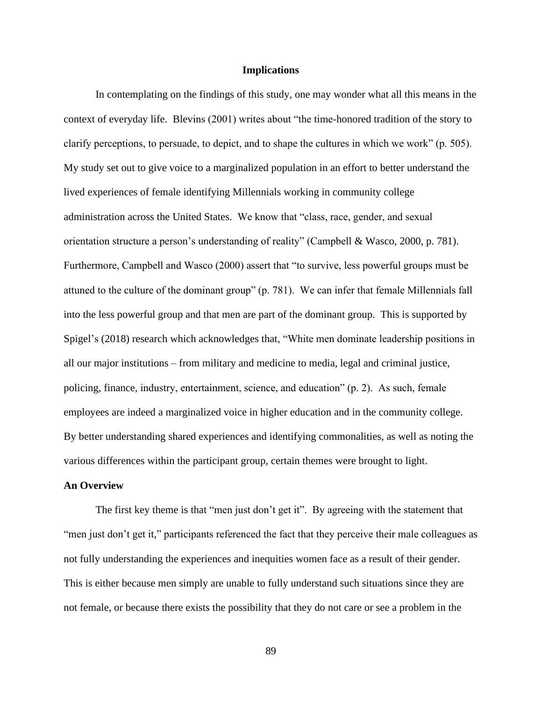## **Implications**

In contemplating on the findings of this study, one may wonder what all this means in the context of everyday life. Blevins (2001) writes about "the time-honored tradition of the story to clarify perceptions, to persuade, to depict, and to shape the cultures in which we work" (p. 505). My study set out to give voice to a marginalized population in an effort to better understand the lived experiences of female identifying Millennials working in community college administration across the United States. We know that "class, race, gender, and sexual orientation structure a person's understanding of reality" (Campbell & Wasco, 2000, p. 781). Furthermore, Campbell and Wasco (2000) assert that "to survive, less powerful groups must be attuned to the culture of the dominant group" (p. 781). We can infer that female Millennials fall into the less powerful group and that men are part of the dominant group. This is supported by Spigel's (2018) research which acknowledges that, "White men dominate leadership positions in all our major institutions – from military and medicine to media, legal and criminal justice, policing, finance, industry, entertainment, science, and education" (p. 2). As such, female employees are indeed a marginalized voice in higher education and in the community college. By better understanding shared experiences and identifying commonalities, as well as noting the various differences within the participant group, certain themes were brought to light.

### **An Overview**

The first key theme is that "men just don't get it". By agreeing with the statement that "men just don't get it," participants referenced the fact that they perceive their male colleagues as not fully understanding the experiences and inequities women face as a result of their gender. This is either because men simply are unable to fully understand such situations since they are not female, or because there exists the possibility that they do not care or see a problem in the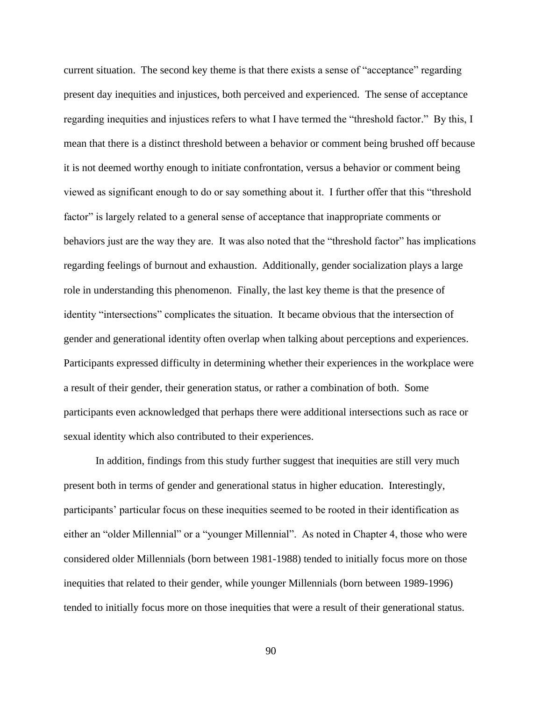current situation. The second key theme is that there exists a sense of "acceptance" regarding present day inequities and injustices, both perceived and experienced. The sense of acceptance regarding inequities and injustices refers to what I have termed the "threshold factor." By this, I mean that there is a distinct threshold between a behavior or comment being brushed off because it is not deemed worthy enough to initiate confrontation, versus a behavior or comment being viewed as significant enough to do or say something about it. I further offer that this "threshold factor" is largely related to a general sense of acceptance that inappropriate comments or behaviors just are the way they are. It was also noted that the "threshold factor" has implications regarding feelings of burnout and exhaustion. Additionally, gender socialization plays a large role in understanding this phenomenon. Finally, the last key theme is that the presence of identity "intersections" complicates the situation. It became obvious that the intersection of gender and generational identity often overlap when talking about perceptions and experiences. Participants expressed difficulty in determining whether their experiences in the workplace were a result of their gender, their generation status, or rather a combination of both. Some participants even acknowledged that perhaps there were additional intersections such as race or sexual identity which also contributed to their experiences.

In addition, findings from this study further suggest that inequities are still very much present both in terms of gender and generational status in higher education. Interestingly, participants' particular focus on these inequities seemed to be rooted in their identification as either an "older Millennial" or a "younger Millennial". As noted in Chapter 4, those who were considered older Millennials (born between 1981-1988) tended to initially focus more on those inequities that related to their gender, while younger Millennials (born between 1989-1996) tended to initially focus more on those inequities that were a result of their generational status.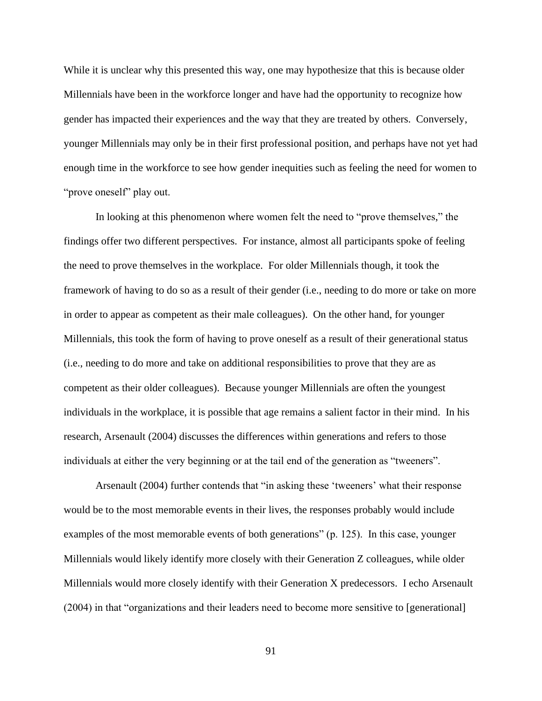While it is unclear why this presented this way, one may hypothesize that this is because older Millennials have been in the workforce longer and have had the opportunity to recognize how gender has impacted their experiences and the way that they are treated by others. Conversely, younger Millennials may only be in their first professional position, and perhaps have not yet had enough time in the workforce to see how gender inequities such as feeling the need for women to "prove oneself" play out.

In looking at this phenomenon where women felt the need to "prove themselves," the findings offer two different perspectives. For instance, almost all participants spoke of feeling the need to prove themselves in the workplace. For older Millennials though, it took the framework of having to do so as a result of their gender (i.e., needing to do more or take on more in order to appear as competent as their male colleagues). On the other hand, for younger Millennials, this took the form of having to prove oneself as a result of their generational status (i.e., needing to do more and take on additional responsibilities to prove that they are as competent as their older colleagues). Because younger Millennials are often the youngest individuals in the workplace, it is possible that age remains a salient factor in their mind. In his research, Arsenault (2004) discusses the differences within generations and refers to those individuals at either the very beginning or at the tail end of the generation as "tweeners".

Arsenault (2004) further contends that "in asking these 'tweeners' what their response would be to the most memorable events in their lives, the responses probably would include examples of the most memorable events of both generations" (p. 125). In this case, younger Millennials would likely identify more closely with their Generation Z colleagues, while older Millennials would more closely identify with their Generation X predecessors. I echo Arsenault (2004) in that "organizations and their leaders need to become more sensitive to [generational]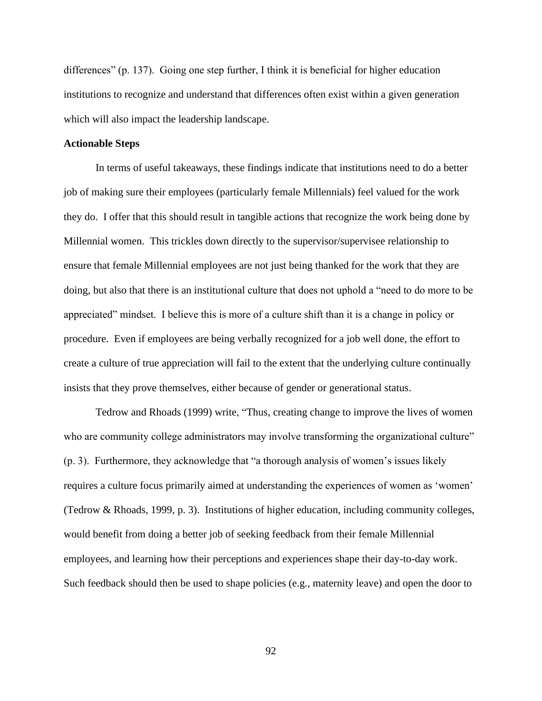differences" (p. 137). Going one step further, I think it is beneficial for higher education institutions to recognize and understand that differences often exist within a given generation which will also impact the leadership landscape.

#### **Actionable Steps**

In terms of useful takeaways, these findings indicate that institutions need to do a better job of making sure their employees (particularly female Millennials) feel valued for the work they do. I offer that this should result in tangible actions that recognize the work being done by Millennial women. This trickles down directly to the supervisor/supervisee relationship to ensure that female Millennial employees are not just being thanked for the work that they are doing, but also that there is an institutional culture that does not uphold a "need to do more to be appreciated" mindset. I believe this is more of a culture shift than it is a change in policy or procedure. Even if employees are being verbally recognized for a job well done, the effort to create a culture of true appreciation will fail to the extent that the underlying culture continually insists that they prove themselves, either because of gender or generational status.

Tedrow and Rhoads (1999) write, "Thus, creating change to improve the lives of women who are community college administrators may involve transforming the organizational culture" (p. 3). Furthermore, they acknowledge that "a thorough analysis of women's issues likely requires a culture focus primarily aimed at understanding the experiences of women as 'women' (Tedrow & Rhoads, 1999, p. 3). Institutions of higher education, including community colleges, would benefit from doing a better job of seeking feedback from their female Millennial employees, and learning how their perceptions and experiences shape their day-to-day work. Such feedback should then be used to shape policies (e.g., maternity leave) and open the door to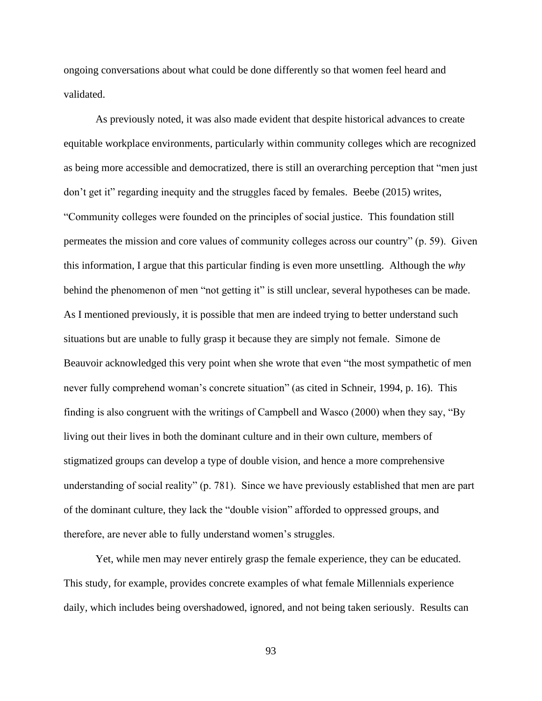ongoing conversations about what could be done differently so that women feel heard and validated.

As previously noted, it was also made evident that despite historical advances to create equitable workplace environments, particularly within community colleges which are recognized as being more accessible and democratized, there is still an overarching perception that "men just don't get it" regarding inequity and the struggles faced by females. Beebe (2015) writes, "Community colleges were founded on the principles of social justice. This foundation still permeates the mission and core values of community colleges across our country" (p. 59). Given this information, I argue that this particular finding is even more unsettling. Although the *why* behind the phenomenon of men "not getting it" is still unclear, several hypotheses can be made. As I mentioned previously, it is possible that men are indeed trying to better understand such situations but are unable to fully grasp it because they are simply not female. Simone de Beauvoir acknowledged this very point when she wrote that even "the most sympathetic of men never fully comprehend woman's concrete situation" (as cited in Schneir, 1994, p. 16). This finding is also congruent with the writings of Campbell and Wasco (2000) when they say, "By living out their lives in both the dominant culture and in their own culture, members of stigmatized groups can develop a type of double vision, and hence a more comprehensive understanding of social reality" (p. 781). Since we have previously established that men are part of the dominant culture, they lack the "double vision" afforded to oppressed groups, and therefore, are never able to fully understand women's struggles.

Yet, while men may never entirely grasp the female experience, they can be educated. This study, for example, provides concrete examples of what female Millennials experience daily, which includes being overshadowed, ignored, and not being taken seriously. Results can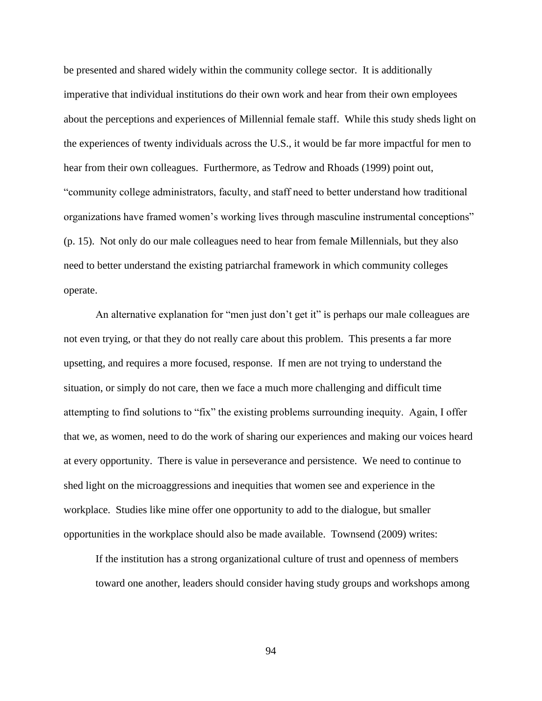be presented and shared widely within the community college sector. It is additionally imperative that individual institutions do their own work and hear from their own employees about the perceptions and experiences of Millennial female staff. While this study sheds light on the experiences of twenty individuals across the U.S., it would be far more impactful for men to hear from their own colleagues. Furthermore, as Tedrow and Rhoads (1999) point out, "community college administrators, faculty, and staff need to better understand how traditional organizations have framed women's working lives through masculine instrumental conceptions" (p. 15). Not only do our male colleagues need to hear from female Millennials, but they also need to better understand the existing patriarchal framework in which community colleges operate.

An alternative explanation for "men just don't get it" is perhaps our male colleagues are not even trying, or that they do not really care about this problem. This presents a far more upsetting, and requires a more focused, response. If men are not trying to understand the situation, or simply do not care, then we face a much more challenging and difficult time attempting to find solutions to "fix" the existing problems surrounding inequity. Again, I offer that we, as women, need to do the work of sharing our experiences and making our voices heard at every opportunity. There is value in perseverance and persistence. We need to continue to shed light on the microaggressions and inequities that women see and experience in the workplace. Studies like mine offer one opportunity to add to the dialogue, but smaller opportunities in the workplace should also be made available. Townsend (2009) writes:

If the institution has a strong organizational culture of trust and openness of members toward one another, leaders should consider having study groups and workshops among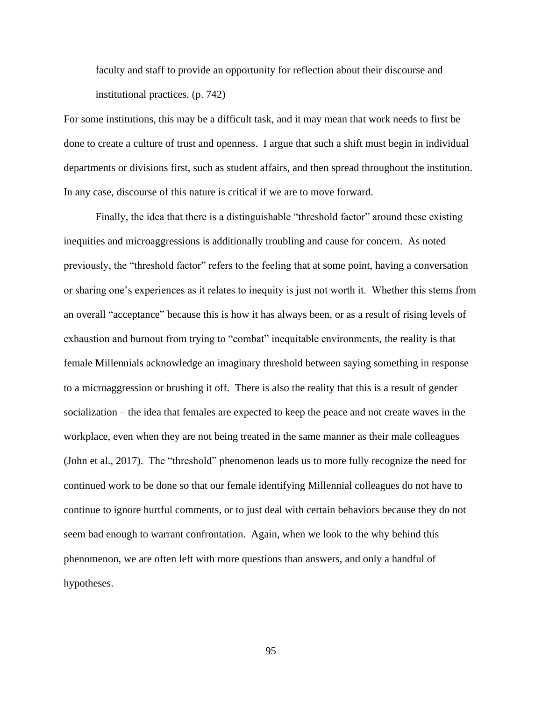faculty and staff to provide an opportunity for reflection about their discourse and institutional practices. (p. 742)

For some institutions, this may be a difficult task, and it may mean that work needs to first be done to create a culture of trust and openness. I argue that such a shift must begin in individual departments or divisions first, such as student affairs, and then spread throughout the institution. In any case, discourse of this nature is critical if we are to move forward.

Finally, the idea that there is a distinguishable "threshold factor" around these existing inequities and microaggressions is additionally troubling and cause for concern. As noted previously, the "threshold factor" refers to the feeling that at some point, having a conversation or sharing one's experiences as it relates to inequity is just not worth it. Whether this stems from an overall "acceptance" because this is how it has always been, or as a result of rising levels of exhaustion and burnout from trying to "combat" inequitable environments, the reality is that female Millennials acknowledge an imaginary threshold between saying something in response to a microaggression or brushing it off. There is also the reality that this is a result of gender socialization – the idea that females are expected to keep the peace and not create waves in the workplace, even when they are not being treated in the same manner as their male colleagues (John et al., 2017). The "threshold" phenomenon leads us to more fully recognize the need for continued work to be done so that our female identifying Millennial colleagues do not have to continue to ignore hurtful comments, or to just deal with certain behaviors because they do not seem bad enough to warrant confrontation. Again, when we look to the why behind this phenomenon, we are often left with more questions than answers, and only a handful of hypotheses.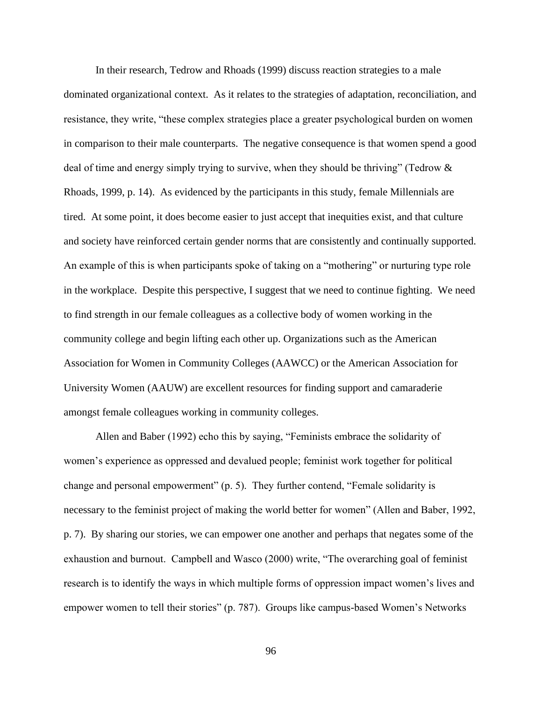In their research, Tedrow and Rhoads (1999) discuss reaction strategies to a male dominated organizational context. As it relates to the strategies of adaptation, reconciliation, and resistance, they write, "these complex strategies place a greater psychological burden on women in comparison to their male counterparts. The negative consequence is that women spend a good deal of time and energy simply trying to survive, when they should be thriving" (Tedrow & Rhoads, 1999, p. 14). As evidenced by the participants in this study, female Millennials are tired. At some point, it does become easier to just accept that inequities exist, and that culture and society have reinforced certain gender norms that are consistently and continually supported. An example of this is when participants spoke of taking on a "mothering" or nurturing type role in the workplace. Despite this perspective, I suggest that we need to continue fighting. We need to find strength in our female colleagues as a collective body of women working in the community college and begin lifting each other up. Organizations such as the American Association for Women in Community Colleges (AAWCC) or the American Association for University Women (AAUW) are excellent resources for finding support and camaraderie amongst female colleagues working in community colleges.

Allen and Baber (1992) echo this by saying, "Feminists embrace the solidarity of women's experience as oppressed and devalued people; feminist work together for political change and personal empowerment" (p. 5). They further contend, "Female solidarity is necessary to the feminist project of making the world better for women" (Allen and Baber, 1992, p. 7). By sharing our stories, we can empower one another and perhaps that negates some of the exhaustion and burnout. Campbell and Wasco (2000) write, "The overarching goal of feminist research is to identify the ways in which multiple forms of oppression impact women's lives and empower women to tell their stories" (p. 787). Groups like campus-based Women's Networks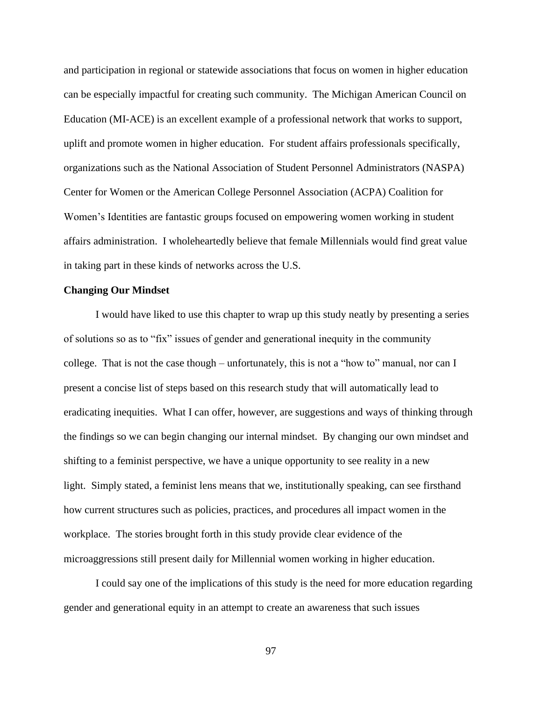and participation in regional or statewide associations that focus on women in higher education can be especially impactful for creating such community. The Michigan American Council on Education (MI-ACE) is an excellent example of a professional network that works to support, uplift and promote women in higher education. For student affairs professionals specifically, organizations such as the National Association of Student Personnel Administrators (NASPA) Center for Women or the American College Personnel Association (ACPA) Coalition for Women's Identities are fantastic groups focused on empowering women working in student affairs administration. I wholeheartedly believe that female Millennials would find great value in taking part in these kinds of networks across the U.S.

#### **Changing Our Mindset**

I would have liked to use this chapter to wrap up this study neatly by presenting a series of solutions so as to "fix" issues of gender and generational inequity in the community college. That is not the case though – unfortunately, this is not a "how to" manual, nor can I present a concise list of steps based on this research study that will automatically lead to eradicating inequities. What I can offer, however, are suggestions and ways of thinking through the findings so we can begin changing our internal mindset. By changing our own mindset and shifting to a feminist perspective, we have a unique opportunity to see reality in a new light. Simply stated, a feminist lens means that we, institutionally speaking, can see firsthand how current structures such as policies, practices, and procedures all impact women in the workplace. The stories brought forth in this study provide clear evidence of the microaggressions still present daily for Millennial women working in higher education.

I could say one of the implications of this study is the need for more education regarding gender and generational equity in an attempt to create an awareness that such issues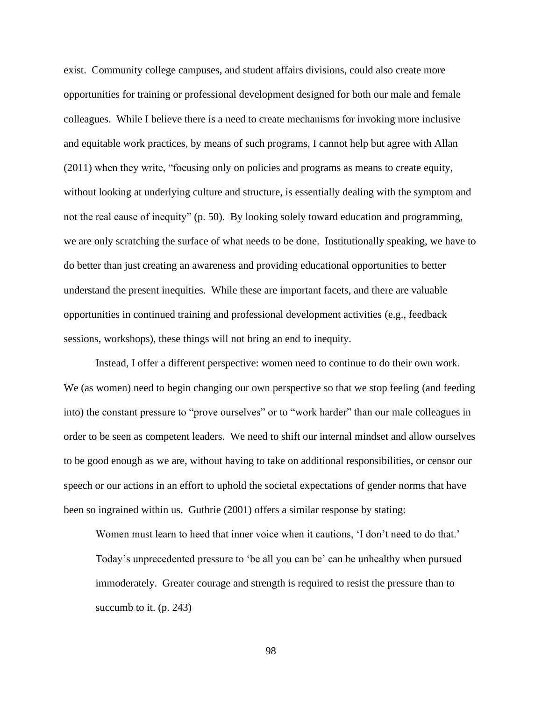exist. Community college campuses, and student affairs divisions, could also create more opportunities for training or professional development designed for both our male and female colleagues. While I believe there is a need to create mechanisms for invoking more inclusive and equitable work practices, by means of such programs, I cannot help but agree with Allan (2011) when they write, "focusing only on policies and programs as means to create equity, without looking at underlying culture and structure, is essentially dealing with the symptom and not the real cause of inequity" (p. 50). By looking solely toward education and programming, we are only scratching the surface of what needs to be done. Institutionally speaking, we have to do better than just creating an awareness and providing educational opportunities to better understand the present inequities. While these are important facets, and there are valuable opportunities in continued training and professional development activities (e.g., feedback sessions, workshops), these things will not bring an end to inequity.

Instead, I offer a different perspective: women need to continue to do their own work. We (as women) need to begin changing our own perspective so that we stop feeling (and feeding into) the constant pressure to "prove ourselves" or to "work harder" than our male colleagues in order to be seen as competent leaders. We need to shift our internal mindset and allow ourselves to be good enough as we are, without having to take on additional responsibilities, or censor our speech or our actions in an effort to uphold the societal expectations of gender norms that have been so ingrained within us. Guthrie (2001) offers a similar response by stating:

Women must learn to heed that inner voice when it cautions, 'I don't need to do that.' Today's unprecedented pressure to 'be all you can be' can be unhealthy when pursued immoderately. Greater courage and strength is required to resist the pressure than to succumb to it. (p. 243)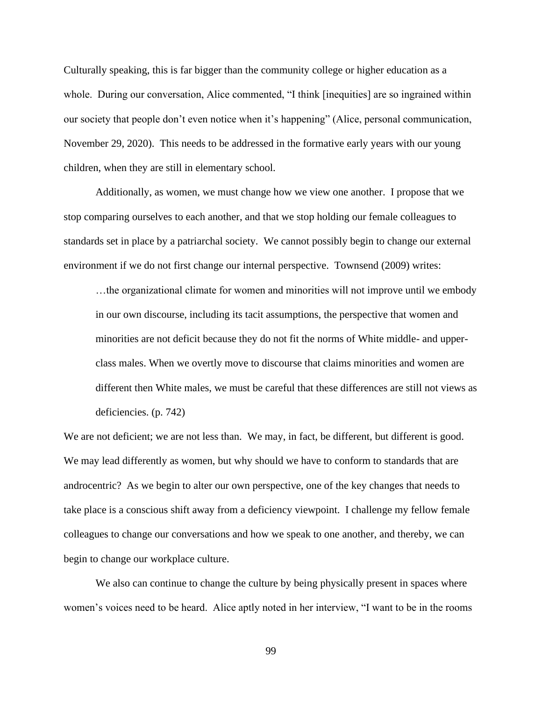Culturally speaking, this is far bigger than the community college or higher education as a whole. During our conversation, Alice commented, "I think [inequities] are so ingrained within our society that people don't even notice when it's happening" (Alice, personal communication, November 29, 2020). This needs to be addressed in the formative early years with our young children, when they are still in elementary school.

Additionally, as women, we must change how we view one another. I propose that we stop comparing ourselves to each another, and that we stop holding our female colleagues to standards set in place by a patriarchal society. We cannot possibly begin to change our external environment if we do not first change our internal perspective. Townsend (2009) writes:

…the organizational climate for women and minorities will not improve until we embody in our own discourse, including its tacit assumptions, the perspective that women and minorities are not deficit because they do not fit the norms of White middle- and upperclass males. When we overtly move to discourse that claims minorities and women are different then White males, we must be careful that these differences are still not views as deficiencies. (p. 742)

We are not deficient; we are not less than. We may, in fact, be different, but different is good. We may lead differently as women, but why should we have to conform to standards that are androcentric? As we begin to alter our own perspective, one of the key changes that needs to take place is a conscious shift away from a deficiency viewpoint. I challenge my fellow female colleagues to change our conversations and how we speak to one another, and thereby, we can begin to change our workplace culture.

We also can continue to change the culture by being physically present in spaces where women's voices need to be heard. Alice aptly noted in her interview, "I want to be in the rooms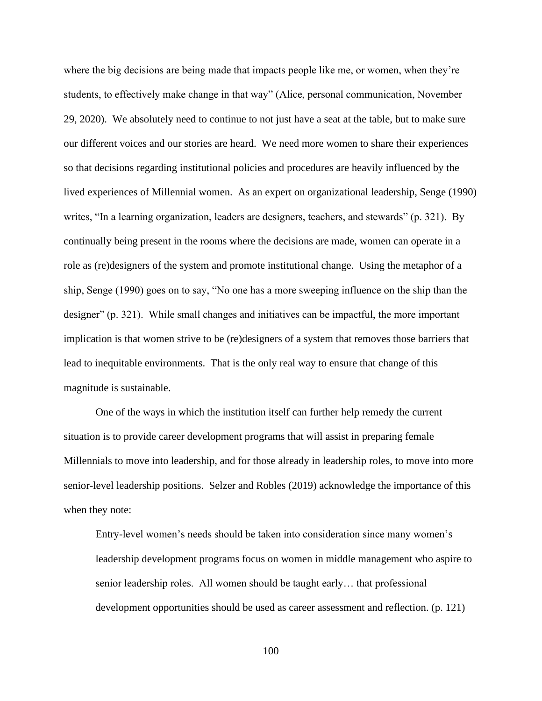where the big decisions are being made that impacts people like me, or women, when they're students, to effectively make change in that way" (Alice, personal communication, November 29, 2020). We absolutely need to continue to not just have a seat at the table, but to make sure our different voices and our stories are heard. We need more women to share their experiences so that decisions regarding institutional policies and procedures are heavily influenced by the lived experiences of Millennial women. As an expert on organizational leadership, Senge (1990) writes, "In a learning organization, leaders are designers, teachers, and stewards" (p. 321). By continually being present in the rooms where the decisions are made, women can operate in a role as (re)designers of the system and promote institutional change. Using the metaphor of a ship, Senge (1990) goes on to say, "No one has a more sweeping influence on the ship than the designer" (p. 321). While small changes and initiatives can be impactful, the more important implication is that women strive to be (re)designers of a system that removes those barriers that lead to inequitable environments. That is the only real way to ensure that change of this magnitude is sustainable.

One of the ways in which the institution itself can further help remedy the current situation is to provide career development programs that will assist in preparing female Millennials to move into leadership, and for those already in leadership roles, to move into more senior-level leadership positions. Selzer and Robles (2019) acknowledge the importance of this when they note:

Entry-level women's needs should be taken into consideration since many women's leadership development programs focus on women in middle management who aspire to senior leadership roles. All women should be taught early… that professional development opportunities should be used as career assessment and reflection. (p. 121)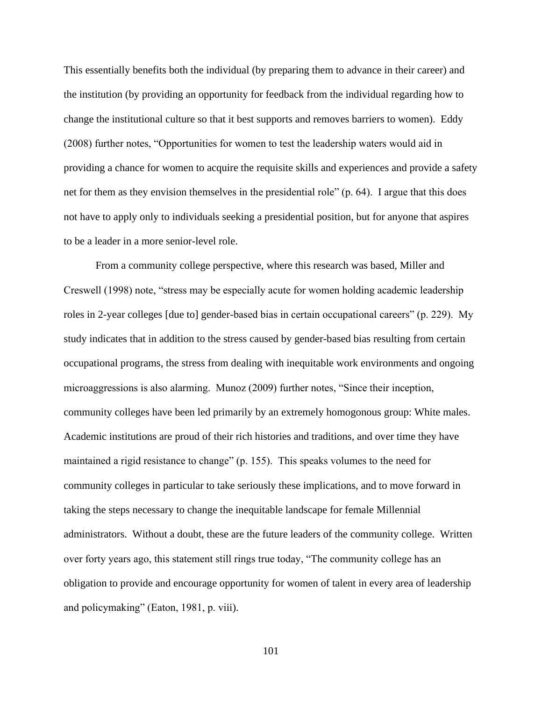This essentially benefits both the individual (by preparing them to advance in their career) and the institution (by providing an opportunity for feedback from the individual regarding how to change the institutional culture so that it best supports and removes barriers to women). Eddy (2008) further notes, "Opportunities for women to test the leadership waters would aid in providing a chance for women to acquire the requisite skills and experiences and provide a safety net for them as they envision themselves in the presidential role" (p. 64). I argue that this does not have to apply only to individuals seeking a presidential position, but for anyone that aspires to be a leader in a more senior-level role.

From a community college perspective, where this research was based, Miller and Creswell (1998) note, "stress may be especially acute for women holding academic leadership roles in 2-year colleges [due to] gender-based bias in certain occupational careers" (p. 229). My study indicates that in addition to the stress caused by gender-based bias resulting from certain occupational programs, the stress from dealing with inequitable work environments and ongoing microaggressions is also alarming. Munoz (2009) further notes, "Since their inception, community colleges have been led primarily by an extremely homogonous group: White males. Academic institutions are proud of their rich histories and traditions, and over time they have maintained a rigid resistance to change" (p. 155). This speaks volumes to the need for community colleges in particular to take seriously these implications, and to move forward in taking the steps necessary to change the inequitable landscape for female Millennial administrators. Without a doubt, these are the future leaders of the community college. Written over forty years ago, this statement still rings true today, "The community college has an obligation to provide and encourage opportunity for women of talent in every area of leadership and policymaking" (Eaton, 1981, p. viii).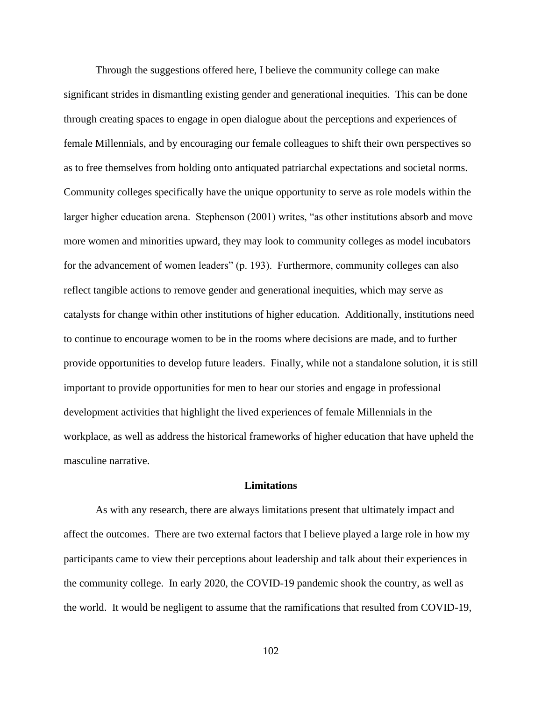Through the suggestions offered here, I believe the community college can make significant strides in dismantling existing gender and generational inequities. This can be done through creating spaces to engage in open dialogue about the perceptions and experiences of female Millennials, and by encouraging our female colleagues to shift their own perspectives so as to free themselves from holding onto antiquated patriarchal expectations and societal norms. Community colleges specifically have the unique opportunity to serve as role models within the larger higher education arena. Stephenson (2001) writes, "as other institutions absorb and move more women and minorities upward, they may look to community colleges as model incubators for the advancement of women leaders" (p. 193). Furthermore, community colleges can also reflect tangible actions to remove gender and generational inequities, which may serve as catalysts for change within other institutions of higher education. Additionally, institutions need to continue to encourage women to be in the rooms where decisions are made, and to further provide opportunities to develop future leaders. Finally, while not a standalone solution, it is still important to provide opportunities for men to hear our stories and engage in professional development activities that highlight the lived experiences of female Millennials in the workplace, as well as address the historical frameworks of higher education that have upheld the masculine narrative.

#### **Limitations**

As with any research, there are always limitations present that ultimately impact and affect the outcomes. There are two external factors that I believe played a large role in how my participants came to view their perceptions about leadership and talk about their experiences in the community college. In early 2020, the COVID-19 pandemic shook the country, as well as the world. It would be negligent to assume that the ramifications that resulted from COVID-19,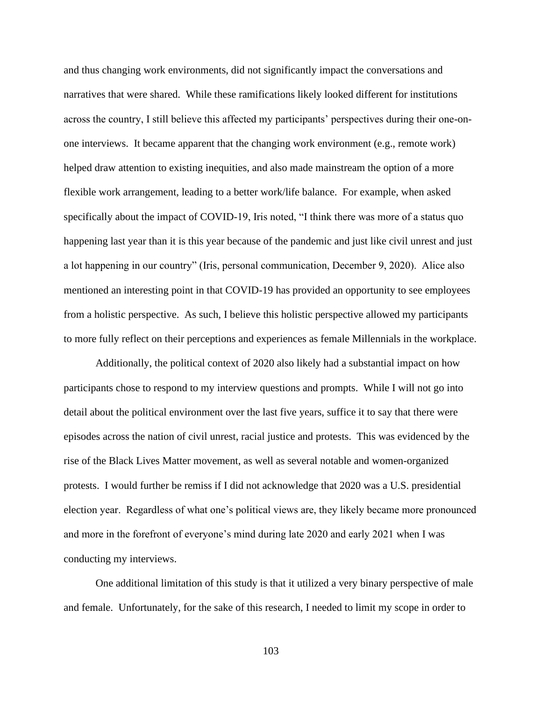and thus changing work environments, did not significantly impact the conversations and narratives that were shared. While these ramifications likely looked different for institutions across the country, I still believe this affected my participants' perspectives during their one-onone interviews. It became apparent that the changing work environment (e.g., remote work) helped draw attention to existing inequities, and also made mainstream the option of a more flexible work arrangement, leading to a better work/life balance. For example, when asked specifically about the impact of COVID-19, Iris noted, "I think there was more of a status quo happening last year than it is this year because of the pandemic and just like civil unrest and just a lot happening in our country" (Iris, personal communication, December 9, 2020). Alice also mentioned an interesting point in that COVID-19 has provided an opportunity to see employees from a holistic perspective. As such, I believe this holistic perspective allowed my participants to more fully reflect on their perceptions and experiences as female Millennials in the workplace.

Additionally, the political context of 2020 also likely had a substantial impact on how participants chose to respond to my interview questions and prompts. While I will not go into detail about the political environment over the last five years, suffice it to say that there were episodes across the nation of civil unrest, racial justice and protests. This was evidenced by the rise of the Black Lives Matter movement, as well as several notable and women-organized protests. I would further be remiss if I did not acknowledge that 2020 was a U.S. presidential election year. Regardless of what one's political views are, they likely became more pronounced and more in the forefront of everyone's mind during late 2020 and early 2021 when I was conducting my interviews.

One additional limitation of this study is that it utilized a very binary perspective of male and female. Unfortunately, for the sake of this research, I needed to limit my scope in order to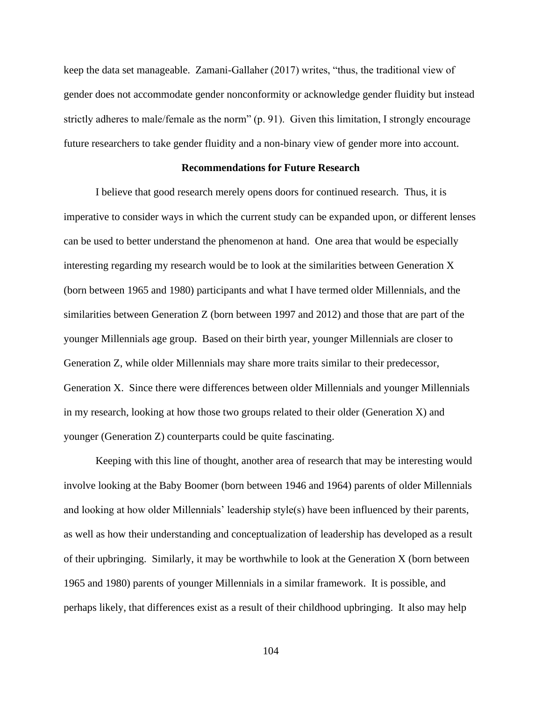keep the data set manageable. Zamani-Gallaher (2017) writes, "thus, the traditional view of gender does not accommodate gender nonconformity or acknowledge gender fluidity but instead strictly adheres to male/female as the norm" (p. 91). Given this limitation, I strongly encourage future researchers to take gender fluidity and a non-binary view of gender more into account.

#### **Recommendations for Future Research**

I believe that good research merely opens doors for continued research. Thus, it is imperative to consider ways in which the current study can be expanded upon, or different lenses can be used to better understand the phenomenon at hand. One area that would be especially interesting regarding my research would be to look at the similarities between Generation X (born between 1965 and 1980) participants and what I have termed older Millennials, and the similarities between Generation Z (born between 1997 and 2012) and those that are part of the younger Millennials age group. Based on their birth year, younger Millennials are closer to Generation Z, while older Millennials may share more traits similar to their predecessor, Generation X.Since there were differences between older Millennials and younger Millennials in my research, looking at how those two groups related to their older (Generation X) and younger (Generation Z) counterparts could be quite fascinating.

Keeping with this line of thought, another area of research that may be interesting would involve looking at the Baby Boomer (born between 1946 and 1964) parents of older Millennials and looking at how older Millennials' leadership style(s) have been influenced by their parents, as well as how their understanding and conceptualization of leadership has developed as a result of their upbringing. Similarly, it may be worthwhile to look at the Generation X (born between 1965 and 1980) parents of younger Millennials in a similar framework. It is possible, and perhaps likely, that differences exist as a result of their childhood upbringing. It also may help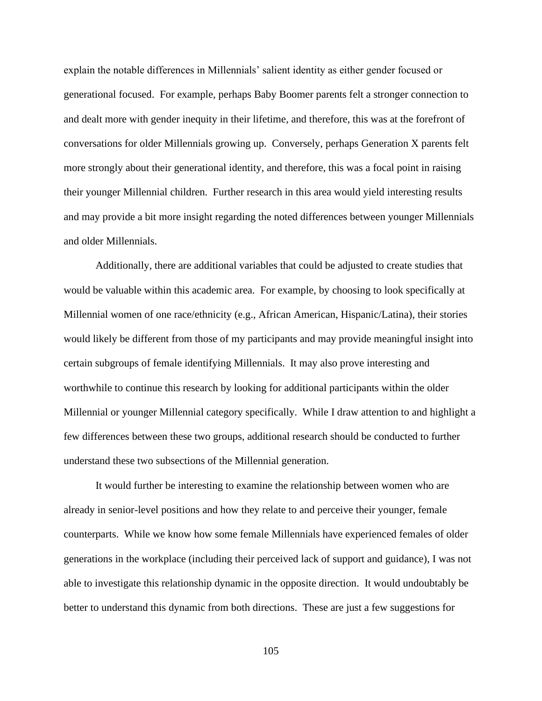explain the notable differences in Millennials' salient identity as either gender focused or generational focused. For example, perhaps Baby Boomer parents felt a stronger connection to and dealt more with gender inequity in their lifetime, and therefore, this was at the forefront of conversations for older Millennials growing up. Conversely, perhaps Generation X parents felt more strongly about their generational identity, and therefore, this was a focal point in raising their younger Millennial children. Further research in this area would yield interesting results and may provide a bit more insight regarding the noted differences between younger Millennials and older Millennials.

Additionally, there are additional variables that could be adjusted to create studies that would be valuable within this academic area. For example, by choosing to look specifically at Millennial women of one race/ethnicity (e.g., African American, Hispanic/Latina), their stories would likely be different from those of my participants and may provide meaningful insight into certain subgroups of female identifying Millennials. It may also prove interesting and worthwhile to continue this research by looking for additional participants within the older Millennial or younger Millennial category specifically. While I draw attention to and highlight a few differences between these two groups, additional research should be conducted to further understand these two subsections of the Millennial generation.

It would further be interesting to examine the relationship between women who are already in senior-level positions and how they relate to and perceive their younger, female counterparts. While we know how some female Millennials have experienced females of older generations in the workplace (including their perceived lack of support and guidance), I was not able to investigate this relationship dynamic in the opposite direction. It would undoubtably be better to understand this dynamic from both directions. These are just a few suggestions for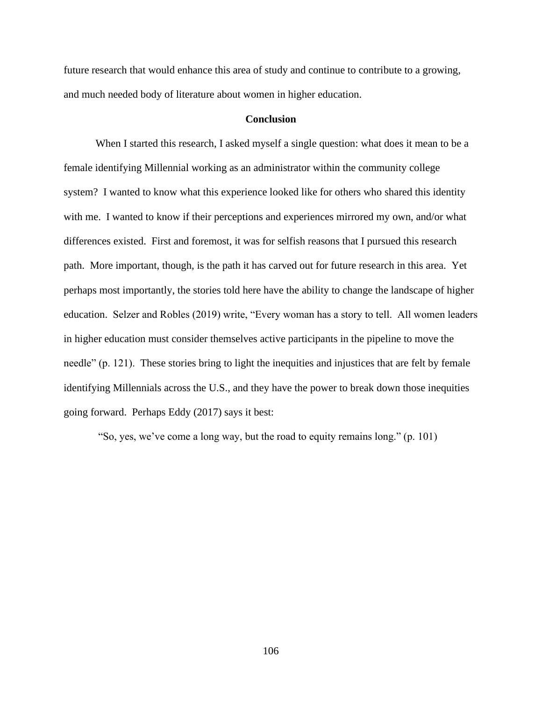future research that would enhance this area of study and continue to contribute to a growing, and much needed body of literature about women in higher education.

#### **Conclusion**

When I started this research, I asked myself a single question: what does it mean to be a female identifying Millennial working as an administrator within the community college system? I wanted to know what this experience looked like for others who shared this identity with me. I wanted to know if their perceptions and experiences mirrored my own, and/or what differences existed. First and foremost, it was for selfish reasons that I pursued this research path. More important, though, is the path it has carved out for future research in this area. Yet perhaps most importantly, the stories told here have the ability to change the landscape of higher education. Selzer and Robles (2019) write, "Every woman has a story to tell. All women leaders in higher education must consider themselves active participants in the pipeline to move the needle" (p. 121). These stories bring to light the inequities and injustices that are felt by female identifying Millennials across the U.S., and they have the power to break down those inequities going forward. Perhaps Eddy (2017) says it best:

"So, yes, we've come a long way, but the road to equity remains long." (p. 101)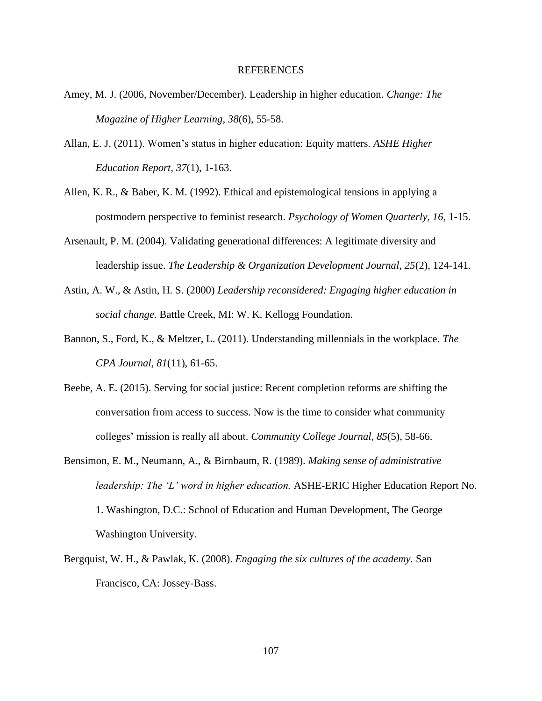#### REFERENCES

- Amey, M. J. (2006, November/December). Leadership in higher education. *Change: The Magazine of Higher Learning, 38*(6), 55-58.
- Allan, E. J. (2011). Women's status in higher education: Equity matters. *ASHE Higher Education Report, 37*(1), 1-163.
- Allen, K. R., & Baber, K. M. (1992). Ethical and epistemological tensions in applying a postmodern perspective to feminist research. *Psychology of Women Quarterly, 16*, 1-15.
- Arsenault, P. M. (2004). Validating generational differences: A legitimate diversity and leadership issue. *The Leadership & Organization Development Journal, 25*(2), 124-141.
- Astin, A. W., & Astin, H. S. (2000) *Leadership reconsidered: Engaging higher education in social change.* Battle Creek, MI: W. K. Kellogg Foundation.
- Bannon, S., Ford, K., & Meltzer, L. (2011). Understanding millennials in the workplace. *The CPA Journal, 81*(11), 61-65.
- Beebe, A. E. (2015). Serving for social justice: Recent completion reforms are shifting the conversation from access to success. Now is the time to consider what community colleges' mission is really all about. *Community College Journal, 85*(5), 58-66.
- Bensimon, E. M., Neumann, A., & Birnbaum, R. (1989). *Making sense of administrative leadership: The 'L' word in higher education.* ASHE-ERIC Higher Education Report No. 1. Washington, D.C.: School of Education and Human Development, The George Washington University.
- Bergquist, W. H., & Pawlak, K. (2008). *Engaging the six cultures of the academy.* San Francisco, CA: Jossey-Bass.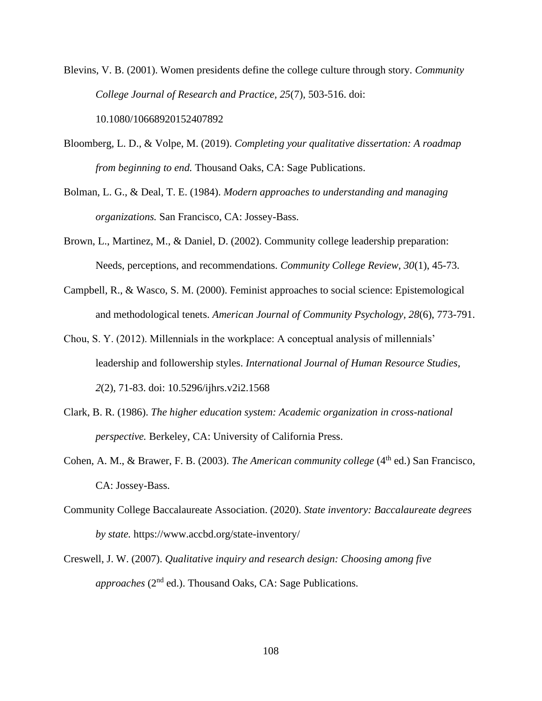Blevins, V. B. (2001). Women presidents define the college culture through story. *Community College Journal of Research and Practice, 25*(7), 503-516. doi: 10.1080/10668920152407892

- Bloomberg, L. D., & Volpe, M. (2019). *Completing your qualitative dissertation: A roadmap from beginning to end.* Thousand Oaks, CA: Sage Publications.
- Bolman, L. G., & Deal, T. E. (1984). *Modern approaches to understanding and managing organizations.* San Francisco, CA: Jossey-Bass.
- Brown, L., Martinez, M., & Daniel, D. (2002). Community college leadership preparation: Needs, perceptions, and recommendations. *Community College Review, 30*(1), 45-73.
- Campbell, R., & Wasco, S. M. (2000). Feminist approaches to social science: Epistemological and methodological tenets. *American Journal of Community Psychology, 28*(6), 773-791.
- Chou, S. Y. (2012). Millennials in the workplace: A conceptual analysis of millennials' leadership and followership styles. *International Journal of Human Resource Studies, 2*(2), 71-83. doi: 10.5296/ijhrs.v2i2.1568
- Clark, B. R. (1986). *The higher education system: Academic organization in cross-national perspective.* Berkeley, CA: University of California Press.
- Cohen, A. M., & Brawer, F. B. (2003). *The American community college* (4<sup>th</sup> ed.) San Francisco, CA: Jossey-Bass.
- Community College Baccalaureate Association. (2020). *State inventory: Baccalaureate degrees by state.* https://www.accbd.org/state-inventory/
- Creswell, J. W. (2007). *Qualitative inquiry and research design: Choosing among five approaches* (2<sup>nd</sup> ed.). Thousand Oaks, CA: Sage Publications.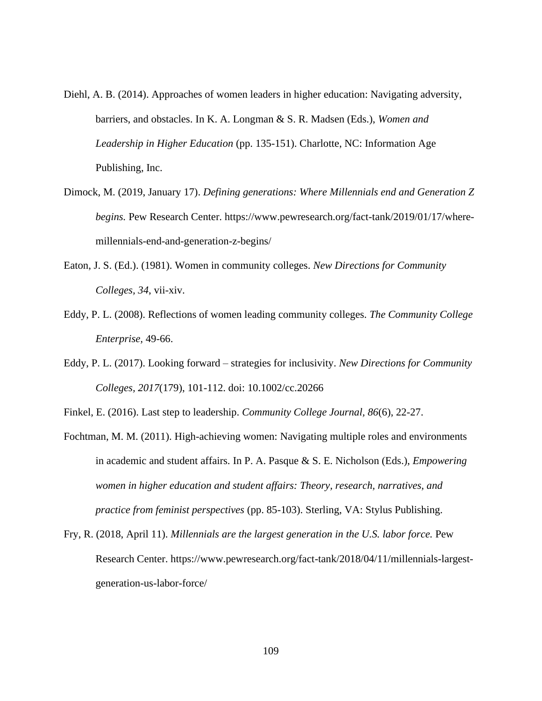- Diehl, A. B. (2014). Approaches of women leaders in higher education: Navigating adversity, barriers, and obstacles. In K. A. Longman & S. R. Madsen (Eds.), *Women and Leadership in Higher Education* (pp. 135-151). Charlotte, NC: Information Age Publishing, Inc.
- Dimock, M. (2019, January 17). *Defining generations: Where Millennials end and Generation Z begins.* Pew Research Center. https://www.pewresearch.org/fact-tank/2019/01/17/wheremillennials-end-and-generation-z-begins/
- Eaton, J. S. (Ed.). (1981). Women in community colleges. *New Directions for Community Colleges, 34*, vii-xiv.
- Eddy, P. L. (2008). Reflections of women leading community colleges. *The Community College Enterprise,* 49-66.
- Eddy, P. L. (2017). Looking forward strategies for inclusivity. *New Directions for Community Colleges, 2017*(179), 101-112. doi: 10.1002/cc.20266

Finkel, E. (2016). Last step to leadership. *Community College Journal, 86*(6), 22-27.

- Fochtman, M. M. (2011). High-achieving women: Navigating multiple roles and environments in academic and student affairs. In P. A. Pasque & S. E. Nicholson (Eds.), *Empowering women in higher education and student affairs: Theory, research, narratives, and practice from feminist perspectives* (pp. 85-103). Sterling, VA: Stylus Publishing.
- Fry, R. (2018, April 11). *Millennials are the largest generation in the U.S. labor force.* Pew Research Center. https://www.pewresearch.org/fact-tank/2018/04/11/millennials-largestgeneration-us-labor-force/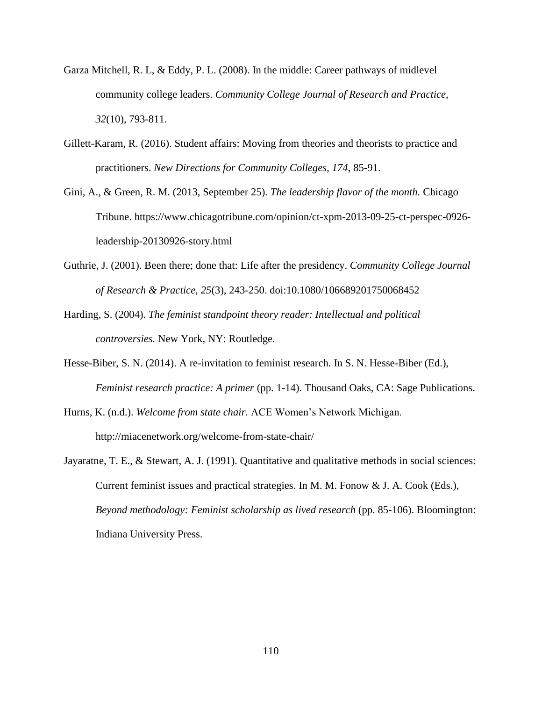- Garza Mitchell, R. L, & Eddy, P. L. (2008). In the middle: Career pathways of midlevel community college leaders. *Community College Journal of Research and Practice, 32*(10), 793-811.
- Gillett-Karam, R. (2016). Student affairs: Moving from theories and theorists to practice and practitioners. *New Directions for Community Colleges, 174*, 85-91.
- Gini, A., & Green, R. M. (2013, September 25). *The leadership flavor of the month.* Chicago Tribune. https://www.chicagotribune.com/opinion/ct-xpm-2013-09-25-ct-perspec-0926 leadership-20130926-story.html
- Guthrie, J. (2001). Been there; done that: Life after the presidency. *Community College Journal of Research & Practice, 25*(3), 243-250. doi:10.1080/106689201750068452
- Harding, S. (2004). *The feminist standpoint theory reader: Intellectual and political controversies.* New York, NY: Routledge.
- Hesse-Biber, S. N. (2014). A re-invitation to feminist research. In S. N. Hesse-Biber (Ed.), *Feminist research practice: A primer* (pp. 1-14). Thousand Oaks, CA: Sage Publications.
- Hurns, K. (n.d.). *Welcome from state chair.* ACE Women's Network Michigan. http://miacenetwork.org/welcome-from-state-chair/
- Jayaratne, T. E., & Stewart, A. J. (1991). Quantitative and qualitative methods in social sciences: Current feminist issues and practical strategies. In M. M. Fonow & J. A. Cook (Eds.), *Beyond methodology: Feminist scholarship as lived research* (pp. 85-106). Bloomington: Indiana University Press.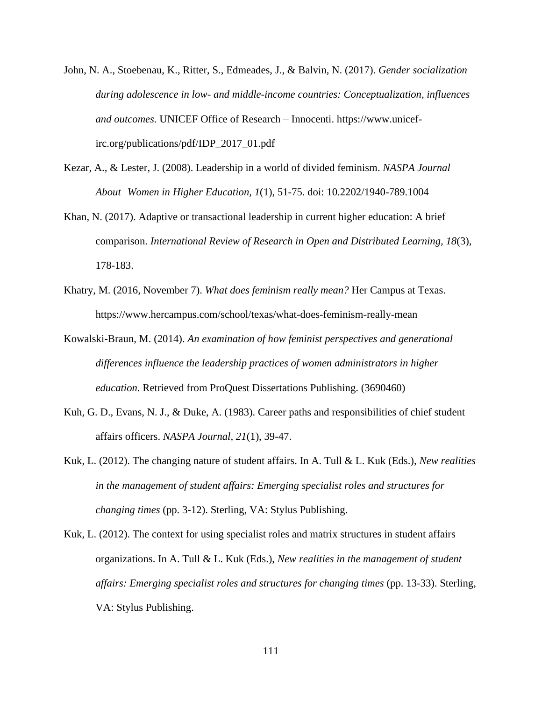- John, N. A., Stoebenau, K., Ritter, S., Edmeades, J., & Balvin, N. (2017). *Gender socialization during adolescence in low- and middle-income countries: Conceptualization, influences and outcomes.* UNICEF Office of Research – Innocenti. https://www.unicefirc.org/publications/pdf/IDP\_2017\_01.pdf
- Kezar, A., & Lester, J. (2008). Leadership in a world of divided feminism. *NASPA Journal About Women in Higher Education, 1*(1), 51-75. doi: 10.2202/1940-789.1004
- Khan, N. (2017). Adaptive or transactional leadership in current higher education: A brief comparison. *International Review of Research in Open and Distributed Learning, 18*(3), 178-183.
- Khatry, M. (2016, November 7). *What does feminism really mean?* Her Campus at Texas. https://www.hercampus.com/school/texas/what-does-feminism-really-mean
- Kowalski-Braun, M. (2014). *An examination of how feminist perspectives and generational differences influence the leadership practices of women administrators in higher education.* Retrieved from ProQuest Dissertations Publishing. (3690460)
- Kuh, G. D., Evans, N. J., & Duke, A. (1983). Career paths and responsibilities of chief student affairs officers. *NASPA Journal, 21*(1), 39-47.
- Kuk, L. (2012). The changing nature of student affairs. In A. Tull & L. Kuk (Eds.), *New realities in the management of student affairs: Emerging specialist roles and structures for changing times* (pp. 3-12). Sterling, VA: Stylus Publishing.
- Kuk, L. (2012). The context for using specialist roles and matrix structures in student affairs organizations. In A. Tull & L. Kuk (Eds.), *New realities in the management of student affairs: Emerging specialist roles and structures for changing times* (pp. 13-33). Sterling, VA: Stylus Publishing.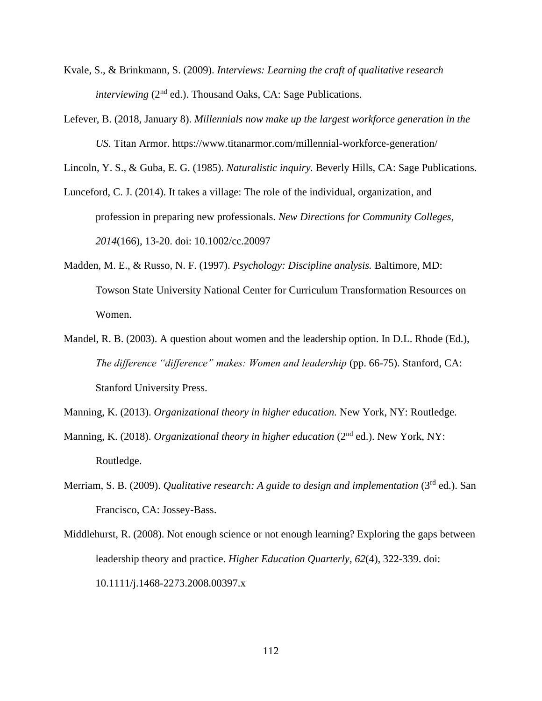- Kvale, S., & Brinkmann, S. (2009). *Interviews: Learning the craft of qualitative research interviewing* (2<sup>nd</sup> ed.). Thousand Oaks, CA: Sage Publications.
- Lefever, B. (2018, January 8). *Millennials now make up the largest workforce generation in the US.* Titan Armor. https://www.titanarmor.com/millennial-workforce-generation/

Lincoln, Y. S., & Guba, E. G. (1985). *Naturalistic inquiry.* Beverly Hills, CA: Sage Publications.

- Lunceford, C. J. (2014). It takes a village: The role of the individual, organization, and profession in preparing new professionals. *New Directions for Community Colleges, 2014*(166), 13-20. doi: 10.1002/cc.20097
- Madden, M. E., & Russo, N. F. (1997). *Psychology: Discipline analysis.* Baltimore, MD: Towson State University National Center for Curriculum Transformation Resources on Women.
- Mandel, R. B. (2003). A question about women and the leadership option. In D.L. Rhode (Ed.), *The difference "difference" makes: Women and leadership* (pp. 66-75). Stanford, CA: Stanford University Press.

Manning, K. (2013). *Organizational theory in higher education.* New York, NY: Routledge.

- Manning, K. (2018). *Organizational theory in higher education* (2<sup>nd</sup> ed.). New York, NY: Routledge.
- Merriam, S. B. (2009). *Qualitative research: A guide to design and implementation* (3<sup>rd</sup> ed.). San Francisco, CA: Jossey-Bass.
- Middlehurst, R. (2008). Not enough science or not enough learning? Exploring the gaps between leadership theory and practice. *Higher Education Quarterly, 62*(4), 322-339. doi: 10.1111/j.1468-2273.2008.00397.x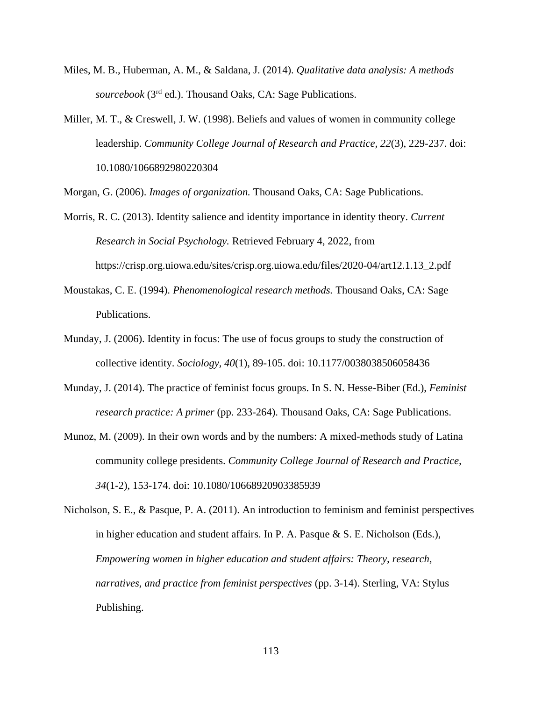- Miles, M. B., Huberman, A. M., & Saldana, J. (2014). *Qualitative data analysis: A methods sourcebook* (3rd ed.). Thousand Oaks, CA: Sage Publications.
- Miller, M. T., & Creswell, J. W. (1998). Beliefs and values of women in community college leadership. *Community College Journal of Research and Practice, 22*(3), 229-237. doi: 10.1080/1066892980220304

Morgan, G. (2006). *Images of organization.* Thousand Oaks, CA: Sage Publications.

- Morris, R. C. (2013). Identity salience and identity importance in identity theory. *Current Research in Social Psychology.* Retrieved February 4, 2022, from https://crisp.org.uiowa.edu/sites/crisp.org.uiowa.edu/files/2020-04/art12.1.13\_2.pdf
- Moustakas, C. E. (1994). *Phenomenological research methods.* Thousand Oaks, CA: Sage Publications.
- Munday, J. (2006). Identity in focus: The use of focus groups to study the construction of collective identity. *Sociology, 40*(1), 89-105. doi: 10.1177/0038038506058436
- Munday, J. (2014). The practice of feminist focus groups. In S. N. Hesse-Biber (Ed.), *Feminist research practice: A primer* (pp. 233-264). Thousand Oaks, CA: Sage Publications.
- Munoz, M. (2009). In their own words and by the numbers: A mixed-methods study of Latina community college presidents. *Community College Journal of Research and Practice, 34*(1-2), 153-174. doi: 10.1080/10668920903385939

Nicholson, S. E., & Pasque, P. A. (2011). An introduction to feminism and feminist perspectives in higher education and student affairs. In P. A. Pasque & S. E. Nicholson (Eds.), *Empowering women in higher education and student affairs: Theory, research, narratives, and practice from feminist perspectives* (pp. 3-14). Sterling, VA: Stylus Publishing.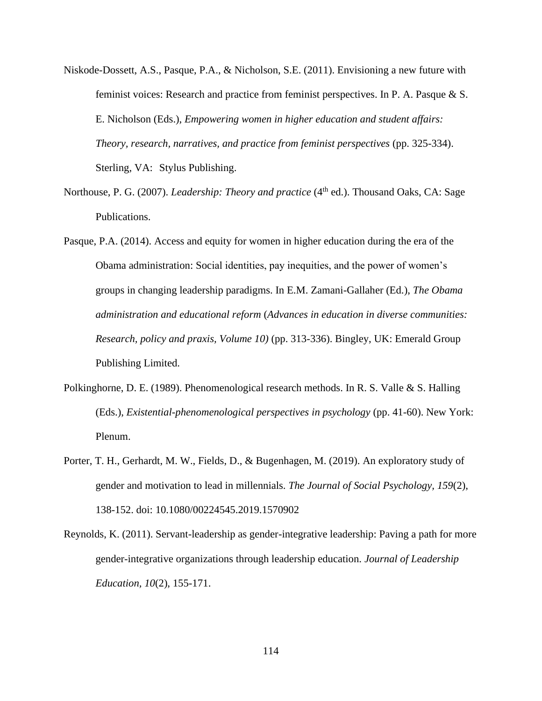- Niskode-Dossett, A.S., Pasque, P.A., & Nicholson, S.E. (2011). Envisioning a new future with feminist voices: Research and practice from feminist perspectives. In P. A. Pasque & S. E. Nicholson (Eds.), *Empowering women in higher education and student affairs: Theory, research, narratives, and practice from feminist perspectives (pp. 325-334).* Sterling, VA: Stylus Publishing.
- Northouse, P. G. (2007). *Leadership: Theory and practice* (4<sup>th</sup> ed.). Thousand Oaks, CA: Sage Publications.
- Pasque, P.A. (2014). Access and equity for women in higher education during the era of the Obama administration: Social identities, pay inequities, and the power of women's groups in changing leadership paradigms. In E.M. Zamani-Gallaher (Ed.), *The Obama administration and educational reform* (*Advances in education in diverse communities: Research, policy and praxis, Volume 10)* (pp. 313-336). Bingley, UK: Emerald Group Publishing Limited.
- Polkinghorne, D. E. (1989). Phenomenological research methods. In R. S. Valle & S. Halling (Eds.), *Existential-phenomenological perspectives in psychology* (pp. 41-60). New York: Plenum.
- Porter, T. H., Gerhardt, M. W., Fields, D., & Bugenhagen, M. (2019). An exploratory study of gender and motivation to lead in millennials. *The Journal of Social Psychology, 159*(2), 138-152. doi: 10.1080/00224545.2019.1570902
- Reynolds, K. (2011). Servant-leadership as gender-integrative leadership: Paving a path for more gender-integrative organizations through leadership education. *Journal of Leadership Education, 10*(2), 155-171.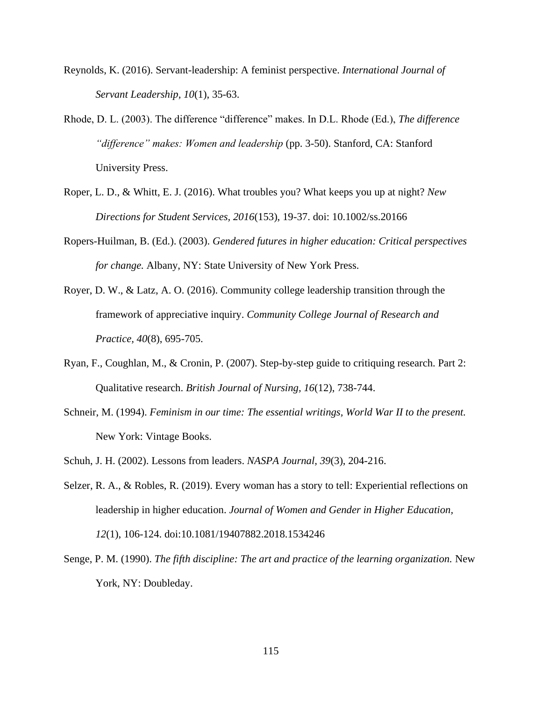- Reynolds, K. (2016). Servant-leadership: A feminist perspective. *International Journal of Servant Leadership, 10*(1), 35-63.
- Rhode, D. L. (2003). The difference "difference" makes. In D.L. Rhode (Ed.), *The difference "difference" makes: Women and leadership* (pp. 3-50). Stanford, CA: Stanford University Press.
- Roper, L. D., & Whitt, E. J. (2016). What troubles you? What keeps you up at night? *New Directions for Student Services, 2016*(153), 19-37. doi: 10.1002/ss.20166
- Ropers-Huilman, B. (Ed.). (2003). *Gendered futures in higher education: Critical perspectives for change.* Albany, NY: State University of New York Press.
- Royer, D. W., & Latz, A. O. (2016). Community college leadership transition through the framework of appreciative inquiry. *Community College Journal of Research and Practice, 40*(8), 695-705.
- Ryan, F., Coughlan, M., & Cronin, P. (2007). Step-by-step guide to critiquing research. Part 2: Qualitative research. *British Journal of Nursing, 16*(12), 738-744.
- Schneir, M. (1994). *Feminism in our time: The essential writings, World War II to the present.* New York: Vintage Books.
- Schuh, J. H. (2002). Lessons from leaders. *NASPA Journal, 39*(3), 204-216.
- Selzer, R. A., & Robles, R. (2019). Every woman has a story to tell: Experiential reflections on leadership in higher education. *Journal of Women and Gender in Higher Education, 12*(1), 106-124. doi:10.1081/19407882.2018.1534246
- Senge, P. M. (1990). *The fifth discipline: The art and practice of the learning organization.* New York, NY: Doubleday.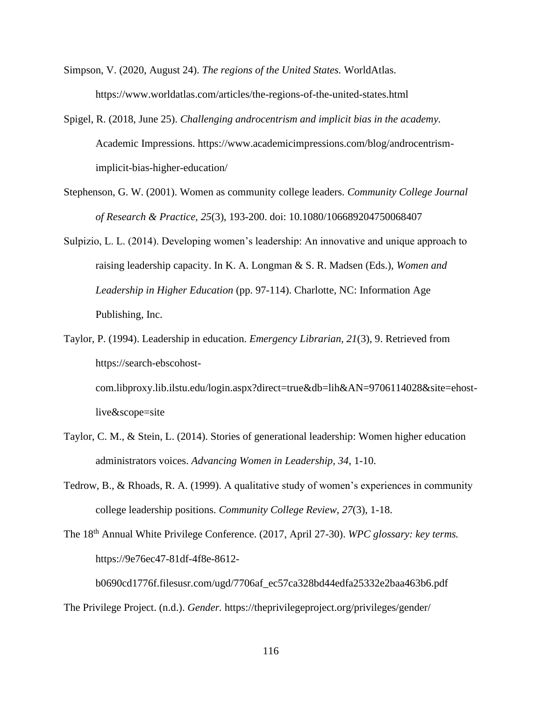- Simpson, V. (2020, August 24). *The regions of the United States.* WorldAtlas. https://www.worldatlas.com/articles/the-regions-of-the-united-states.html
- Spigel, R. (2018, June 25). *Challenging androcentrism and implicit bias in the academy.* Academic Impressions. https://www.academicimpressions.com/blog/androcentrismimplicit-bias-higher-education/
- Stephenson, G. W. (2001). Women as community college leaders. *Community College Journal of Research & Practice, 25*(3), 193-200. doi: 10.1080/106689204750068407
- Sulpizio, L. L. (2014). Developing women's leadership: An innovative and unique approach to raising leadership capacity. In K. A. Longman & S. R. Madsen (Eds.), *Women and Leadership in Higher Education* (pp. 97-114). Charlotte, NC: Information Age Publishing, Inc.
- Taylor, P. (1994). Leadership in education. *Emergency Librarian, 21*(3), 9. Retrieved from https://search-ebscohostcom.libproxy.lib.ilstu.edu/login.aspx?direct=true&db=lih&AN=9706114028&site=ehostlive&scope=site
- Taylor, C. M., & Stein, L. (2014). Stories of generational leadership: Women higher education administrators voices. *Advancing Women in Leadership, 34*, 1-10.
- Tedrow, B., & Rhoads, R. A. (1999). A qualitative study of women's experiences in community college leadership positions. *Community College Review, 27*(3), 1-18.
- The 18th Annual White Privilege Conference. (2017, April 27-30). *WPC glossary: key terms.* https://9e76ec47-81df-4f8e-8612-

```
b0690cd1776f.filesusr.com/ugd/7706af_ec57ca328bd44edfa25332e2baa463b6.pdf
The Privilege Project. (n.d.). Gender. https://theprivilegeproject.org/privileges/gender/
```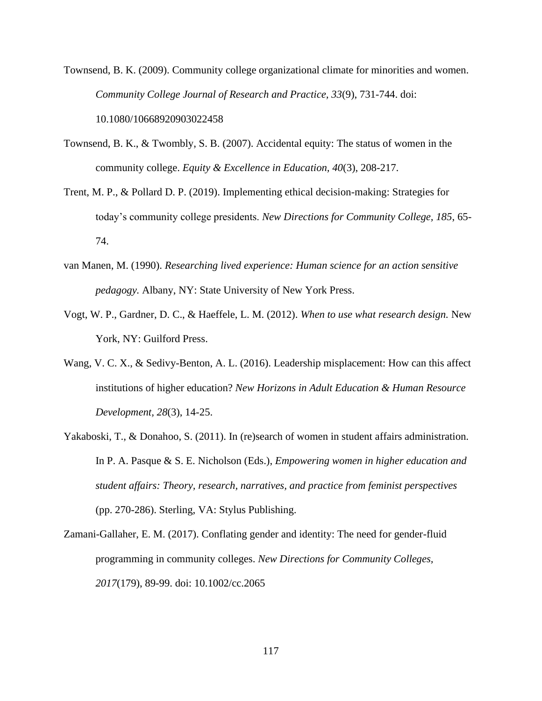Townsend, B. K. (2009). Community college organizational climate for minorities and women. *Community College Journal of Research and Practice, 33*(9), 731-744. doi: 10.1080/10668920903022458

- Townsend, B. K., & Twombly, S. B. (2007). Accidental equity: The status of women in the community college. *Equity & Excellence in Education, 40*(3), 208-217.
- Trent, M. P., & Pollard D. P. (2019). Implementing ethical decision-making: Strategies for today's community college presidents. *New Directions for Community College, 185*, 65- 74.
- van Manen, M. (1990). *Researching lived experience: Human science for an action sensitive pedagogy.* Albany, NY: State University of New York Press.
- Vogt, W. P., Gardner, D. C., & Haeffele, L. M. (2012). *When to use what research design.* New York, NY: Guilford Press.
- Wang, V. C. X., & Sedivy-Benton, A. L. (2016). Leadership misplacement: How can this affect institutions of higher education? *New Horizons in Adult Education & Human Resource Development, 28*(3), 14-25.
- Yakaboski, T., & Donahoo, S. (2011). In (re)search of women in student affairs administration. In P. A. Pasque & S. E. Nicholson (Eds.), *Empowering women in higher education and student affairs: Theory, research, narratives, and practice from feminist perspectives*  (pp. 270-286). Sterling, VA: Stylus Publishing.
- Zamani-Gallaher, E. M. (2017). Conflating gender and identity: The need for gender-fluid programming in community colleges. *New Directions for Community Colleges, 2017*(179), 89-99. doi: 10.1002/cc.2065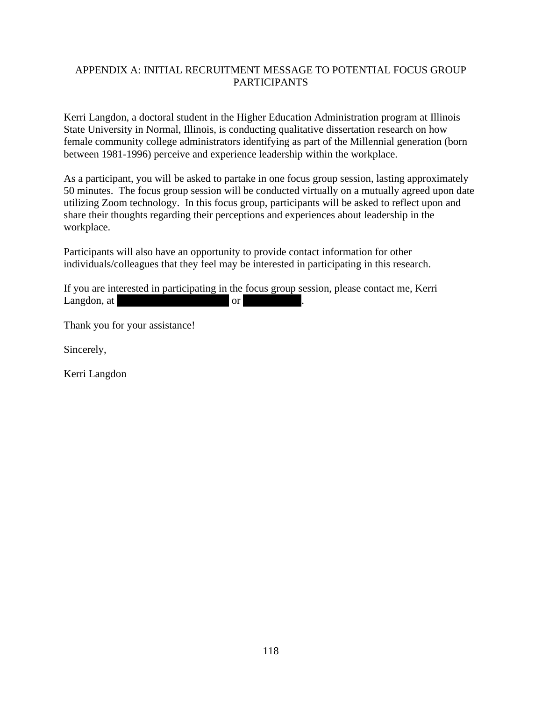# APPENDIX A: INITIAL RECRUITMENT MESSAGE TO POTENTIAL FOCUS GROUP PARTICIPANTS

Kerri Langdon, a doctoral student in the Higher Education Administration program at Illinois State University in Normal, Illinois, is conducting qualitative dissertation research on how female community college administrators identifying as part of the Millennial generation (born between 1981-1996) perceive and experience leadership within the workplace.

As a participant, you will be asked to partake in one focus group session, lasting approximately 50 minutes. The focus group session will be conducted virtually on a mutually agreed upon date utilizing Zoom technology. In this focus group, participants will be asked to reflect upon and share their thoughts regarding their perceptions and experiences about leadership in the workplace.

Participants will also have an opportunity to provide contact information for other individuals/colleagues that they feel may be interested in participating in this research.

If you are interested in participating in the focus group session, please contact me, Kerri Langdon, at kerri.langdon@gmail.com or 815.382.5127.

Thank you for your assistance!

Sincerely,

Kerri Langdon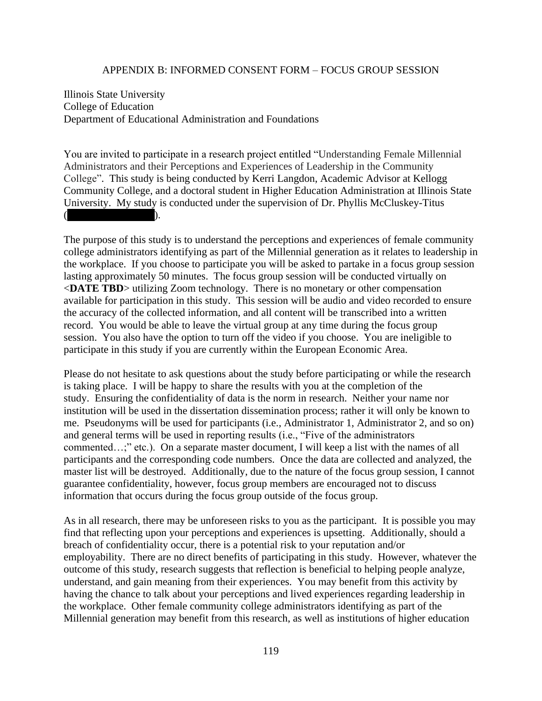## APPENDIX B: INFORMED CONSENT FORM – FOCUS GROUP SESSION

Illinois State University College of Education Department of Educational Administration and Foundations

You are invited to participate in a research project entitled "Understanding Female Millennial Administrators and their Perceptions and Experiences of Leadership in the Community College". This study is being conducted by Kerri Langdon, Academic Advisor at Kellogg Community College, and a doctoral student in Higher Education Administration at Illinois State University. My study is conducted under the supervision of Dr. Phyllis McCluskey-Titus  $($  ).

The purpose of this study is to understand the perceptions and experiences of female community college administrators identifying as part of the Millennial generation as it relates to leadership in the workplace. If you choose to participate you will be asked to partake in a focus group session lasting approximately 50 minutes. The focus group session will be conducted virtually on <**DATE TBD**> utilizing Zoom technology. There is no monetary or other compensation available for participation in this study. This session will be audio and video recorded to ensure the accuracy of the collected information, and all content will be transcribed into a written record. You would be able to leave the virtual group at any time during the focus group session. You also have the option to turn off the video if you choose. You are ineligible to participate in this study if you are currently within the European Economic Area.

Please do not hesitate to ask questions about the study before participating or while the research is taking place. I will be happy to share the results with you at the completion of the study. Ensuring the confidentiality of data is the norm in research. Neither your name nor institution will be used in the dissertation dissemination process; rather it will only be known to me. Pseudonyms will be used for participants (i.e., Administrator 1, Administrator 2, and so on) and general terms will be used in reporting results (i.e., "Five of the administrators commented…;" etc.). On a separate master document, I will keep a list with the names of all participants and the corresponding code numbers. Once the data are collected and analyzed, the master list will be destroyed. Additionally, due to the nature of the focus group session, I cannot guarantee confidentiality, however, focus group members are encouraged not to discuss information that occurs during the focus group outside of the focus group.

As in all research, there may be unforeseen risks to you as the participant. It is possible you may find that reflecting upon your perceptions and experiences is upsetting. Additionally, should a breach of confidentiality occur, there is a potential risk to your reputation and/or employability. There are no direct benefits of participating in this study. However, whatever the outcome of this study, research suggests that reflection is beneficial to helping people analyze, understand, and gain meaning from their experiences. You may benefit from this activity by having the chance to talk about your perceptions and lived experiences regarding leadership in the workplace. Other female community college administrators identifying as part of the Millennial generation may benefit from this research, as well as institutions of higher education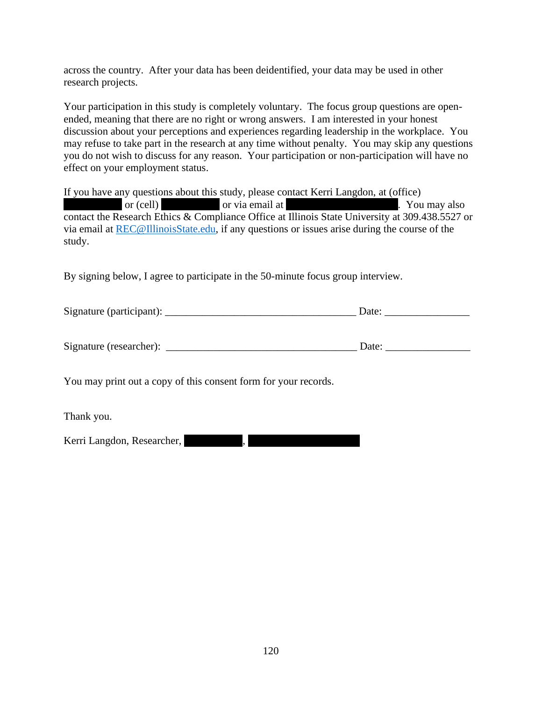across the country. After your data has been deidentified, your data may be used in other research projects.

Your participation in this study is completely voluntary. The focus group questions are openended, meaning that there are no right or wrong answers. I am interested in your honest discussion about your perceptions and experiences regarding leadership in the workplace. You may refuse to take part in the research at any time without penalty. You may skip any questions you do not wish to discuss for any reason. Your participation or non-participation will have no effect on your employment status.

If you have any questions about this study, please contact Kerri Langdon, at (office) or (cell) by example or via email at kerri. Since  $\alpha$  also come or via email at kerri. You may also contact the Research Ethics & Compliance Office at Illinois State University at 309.438.5527 or via email at [REC@IllinoisState.edu,](mailto:REC@IllinoisState.edu) if any questions or issues arise during the course of the study.

By signing below, I agree to participate in the 50-minute focus group interview.

| Signature (participant): | Jate |
|--------------------------|------|
|                          |      |

| Signature (researcher): | Jate |
|-------------------------|------|
|                         |      |

You may print out a copy of this consent form for your records.

Thank you.

Kerri Langdon, Researcher,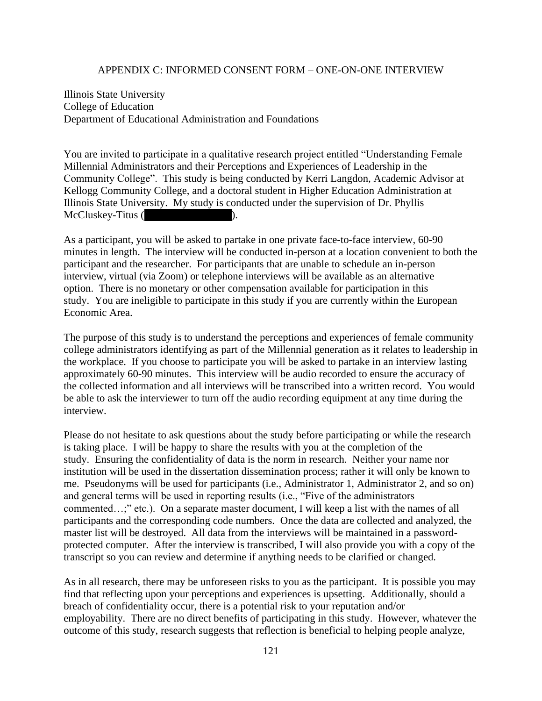#### APPENDIX C: INFORMED CONSENT FORM – ONE-ON-ONE INTERVIEW

Illinois State University College of Education Department of Educational Administration and Foundations

You are invited to participate in a qualitative research project entitled "Understanding Female Millennial Administrators and their Perceptions and Experiences of Leadership in the Community College". This study is being conducted by Kerri Langdon, Academic Advisor at Kellogg Community College, and a doctoral student in Higher Education Administration at Illinois State University. My study is conducted under the supervision of Dr. Phyllis McCluskey-Titus (

As a participant, you will be asked to partake in one private face-to-face interview, 60-90 minutes in length. The interview will be conducted in-person at a location convenient to both the participant and the researcher. For participants that are unable to schedule an in-person interview, virtual (via Zoom) or telephone interviews will be available as an alternative option. There is no monetary or other compensation available for participation in this study. You are ineligible to participate in this study if you are currently within the European Economic Area.

The purpose of this study is to understand the perceptions and experiences of female community college administrators identifying as part of the Millennial generation as it relates to leadership in the workplace. If you choose to participate you will be asked to partake in an interview lasting approximately 60-90 minutes. This interview will be audio recorded to ensure the accuracy of the collected information and all interviews will be transcribed into a written record. You would be able to ask the interviewer to turn off the audio recording equipment at any time during the interview.

Please do not hesitate to ask questions about the study before participating or while the research is taking place. I will be happy to share the results with you at the completion of the study. Ensuring the confidentiality of data is the norm in research. Neither your name nor institution will be used in the dissertation dissemination process; rather it will only be known to me. Pseudonyms will be used for participants (i.e., Administrator 1, Administrator 2, and so on) and general terms will be used in reporting results (i.e., "Five of the administrators commented…;" etc.). On a separate master document, I will keep a list with the names of all participants and the corresponding code numbers. Once the data are collected and analyzed, the master list will be destroyed. All data from the interviews will be maintained in a passwordprotected computer. After the interview is transcribed, I will also provide you with a copy of the transcript so you can review and determine if anything needs to be clarified or changed.

As in all research, there may be unforeseen risks to you as the participant. It is possible you may find that reflecting upon your perceptions and experiences is upsetting. Additionally, should a breach of confidentiality occur, there is a potential risk to your reputation and/or employability. There are no direct benefits of participating in this study. However, whatever the outcome of this study, research suggests that reflection is beneficial to helping people analyze,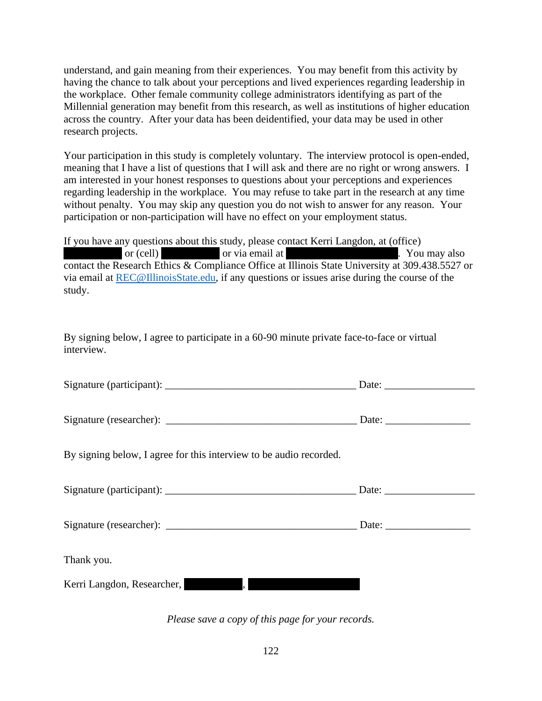understand, and gain meaning from their experiences. You may benefit from this activity by having the chance to talk about your perceptions and lived experiences regarding leadership in the workplace. Other female community college administrators identifying as part of the Millennial generation may benefit from this research, as well as institutions of higher education across the country. After your data has been deidentified, your data may be used in other research projects.

Your participation in this study is completely voluntary. The interview protocol is open-ended, meaning that I have a list of questions that I will ask and there are no right or wrong answers. I am interested in your honest responses to questions about your perceptions and experiences regarding leadership in the workplace. You may refuse to take part in the research at any time without penalty. You may skip any question you do not wish to answer for any reason. Your participation or non-participation will have no effect on your employment status.

If you have any questions about this study, please contact Kerri Langdon, at (office) or (cell) by example or via email at kerri. Since  $\alpha$  also come or via email at kerri. You may also contact the Research Ethics & Compliance Office at Illinois State University at 309.438.5527 or via email at [REC@IllinoisState.edu,](mailto:REC@IllinoisState.edu) if any questions or issues arise during the course of the study.

By signing below, I agree to participate in a 60-90 minute private face-to-face or virtual interview.

| Signature (participant): |  | Jate |
|--------------------------|--|------|
|                          |  |      |

Signature (researcher): \_\_\_\_\_\_\_\_\_\_\_\_\_\_\_\_\_\_\_\_\_\_\_\_\_\_\_\_\_\_\_\_\_\_\_\_ Date: \_\_\_\_\_\_\_\_\_\_\_\_\_\_\_\_

By signing below, I agree for this interview to be audio recorded.

|                            | Date: $\frac{1}{\sqrt{1-\frac{1}{2}} \cdot \frac{1}{2}}$ |
|----------------------------|----------------------------------------------------------|
|                            |                                                          |
| Thank you.                 |                                                          |
| Kerri Langdon, Researcher, |                                                          |

*Please save a copy of this page for your records.*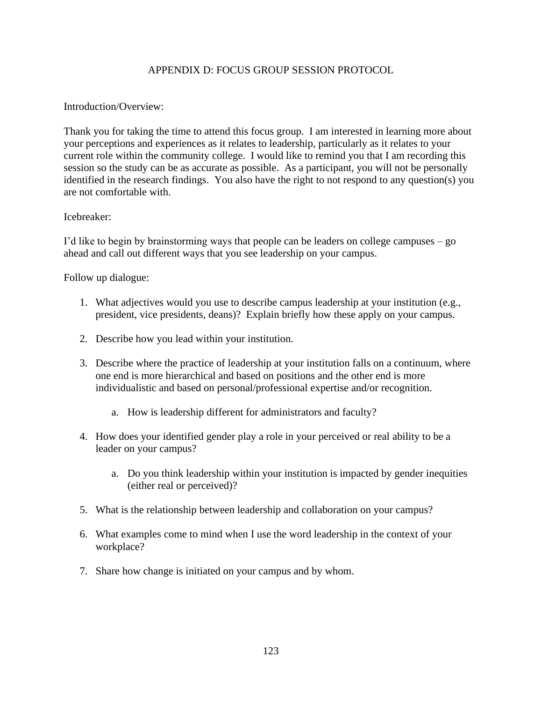# APPENDIX D: FOCUS GROUP SESSION PROTOCOL

### Introduction/Overview:

Thank you for taking the time to attend this focus group. I am interested in learning more about your perceptions and experiences as it relates to leadership, particularly as it relates to your current role within the community college. I would like to remind you that I am recording this session so the study can be as accurate as possible. As a participant, you will not be personally identified in the research findings. You also have the right to not respond to any question(s) you are not comfortable with.

#### Icebreaker:

I'd like to begin by brainstorming ways that people can be leaders on college campuses – go ahead and call out different ways that you see leadership on your campus.

Follow up dialogue:

- 1. What adjectives would you use to describe campus leadership at your institution (e.g., president, vice presidents, deans)? Explain briefly how these apply on your campus.
- 2. Describe how you lead within your institution.
- 3. Describe where the practice of leadership at your institution falls on a continuum, where one end is more hierarchical and based on positions and the other end is more individualistic and based on personal/professional expertise and/or recognition.
	- a. How is leadership different for administrators and faculty?
- 4. How does your identified gender play a role in your perceived or real ability to be a leader on your campus?
	- a. Do you think leadership within your institution is impacted by gender inequities (either real or perceived)?
- 5. What is the relationship between leadership and collaboration on your campus?
- 6. What examples come to mind when I use the word leadership in the context of your workplace?
- 7. Share how change is initiated on your campus and by whom.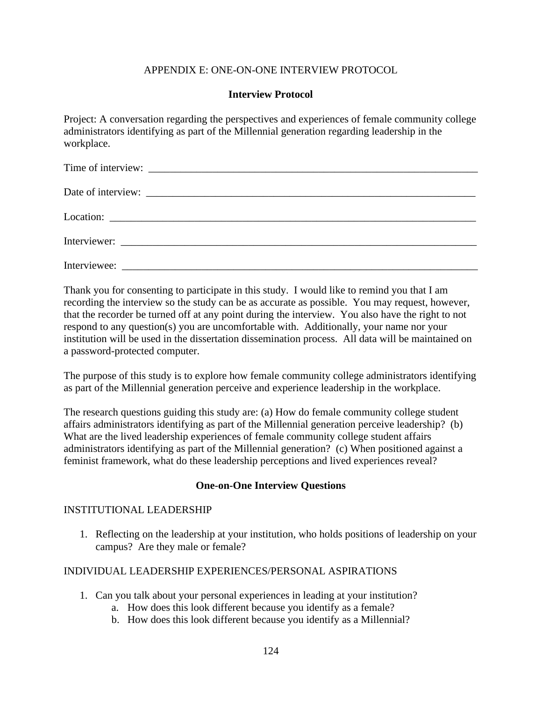# APPENDIX E: ONE-ON-ONE INTERVIEW PROTOCOL

## **Interview Protocol**

Project: A conversation regarding the perspectives and experiences of female community college administrators identifying as part of the Millennial generation regarding leadership in the workplace.

Thank you for consenting to participate in this study. I would like to remind you that I am recording the interview so the study can be as accurate as possible. You may request, however, that the recorder be turned off at any point during the interview. You also have the right to not respond to any question(s) you are uncomfortable with. Additionally, your name nor your institution will be used in the dissertation dissemination process. All data will be maintained on a password-protected computer.

The purpose of this study is to explore how female community college administrators identifying as part of the Millennial generation perceive and experience leadership in the workplace.

The research questions guiding this study are: (a) How do female community college student affairs administrators identifying as part of the Millennial generation perceive leadership? (b) What are the lived leadership experiences of female community college student affairs administrators identifying as part of the Millennial generation? (c) When positioned against a feminist framework, what do these leadership perceptions and lived experiences reveal?

## **One-on-One Interview Questions**

## INSTITUTIONAL LEADERSHIP

1. Reflecting on the leadership at your institution, who holds positions of leadership on your campus? Are they male or female?

## INDIVIDUAL LEADERSHIP EXPERIENCES/PERSONAL ASPIRATIONS

- 1. Can you talk about your personal experiences in leading at your institution?
	- a. How does this look different because you identify as a female?
	- b. How does this look different because you identify as a Millennial?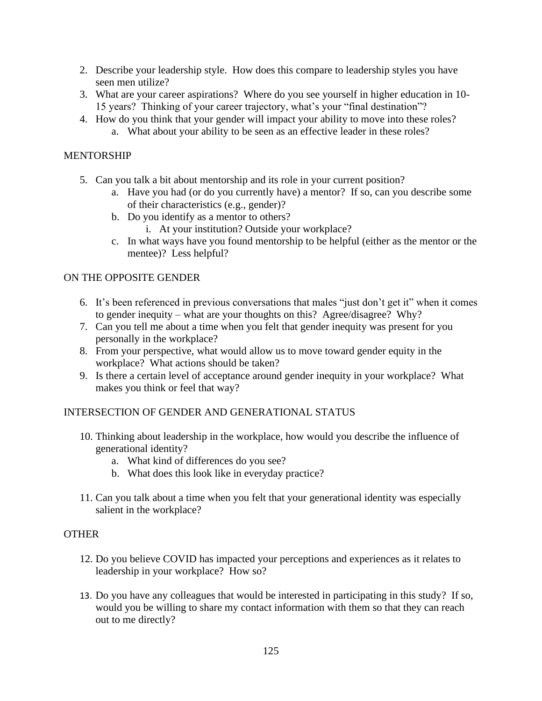- 2. Describe your leadership style. How does this compare to leadership styles you have seen men utilize?
- 3. What are your career aspirations? Where do you see yourself in higher education in 10- 15 years? Thinking of your career trajectory, what's your "final destination"?
- 4. How do you think that your gender will impact your ability to move into these roles?
	- a. What about your ability to be seen as an effective leader in these roles?

# MENTORSHIP

- 5. Can you talk a bit about mentorship and its role in your current position?
	- a. Have you had (or do you currently have) a mentor? If so, can you describe some of their characteristics (e.g., gender)?
	- b. Do you identify as a mentor to others?
		- i. At your institution? Outside your workplace?
	- c. In what ways have you found mentorship to be helpful (either as the mentor or the mentee)? Less helpful?

# ON THE OPPOSITE GENDER

- 6. It's been referenced in previous conversations that males "just don't get it" when it comes to gender inequity – what are your thoughts on this? Agree/disagree? Why?
- 7. Can you tell me about a time when you felt that gender inequity was present for you personally in the workplace?
- 8. From your perspective, what would allow us to move toward gender equity in the workplace? What actions should be taken?
- 9. Is there a certain level of acceptance around gender inequity in your workplace? What makes you think or feel that way?

# INTERSECTION OF GENDER AND GENERATIONAL STATUS

- 10. Thinking about leadership in the workplace, how would you describe the influence of generational identity?
	- a. What kind of differences do you see?
	- b. What does this look like in everyday practice?
- 11. Can you talk about a time when you felt that your generational identity was especially salient in the workplace?

# **OTHER**

- 12. Do you believe COVID has impacted your perceptions and experiences as it relates to leadership in your workplace? How so?
- 13. Do you have any colleagues that would be interested in participating in this study? If so, would you be willing to share my contact information with them so that they can reach out to me directly?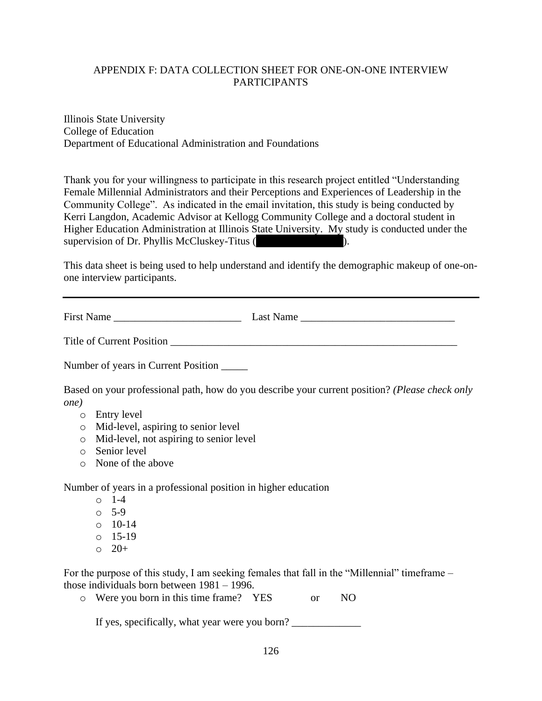# APPENDIX F: DATA COLLECTION SHEET FOR ONE-ON-ONE INTERVIEW PARTICIPANTS

Illinois State University College of Education Department of Educational Administration and Foundations

Thank you for your willingness to participate in this research project entitled "Understanding Female Millennial Administrators and their Perceptions and Experiences of Leadership in the Community College". As indicated in the email invitation, this study is being conducted by Kerri Langdon, Academic Advisor at Kellogg Community College and a doctoral student in Higher Education Administration at Illinois State University. My study is conducted under the supervision of Dr. Phyllis McCluskey-Titus  $($ 

This data sheet is being used to help understand and identify the demographic makeup of one-onone interview participants.

First Name \_\_\_\_\_\_\_\_\_\_\_\_\_\_\_\_\_\_\_\_\_\_\_\_ Last Name \_\_\_\_\_\_\_\_\_\_\_\_\_\_\_\_\_\_\_\_\_\_\_\_\_\_\_\_\_

Title of Current Position

Number of years in Current Position \_\_\_\_\_

Based on your professional path, how do you describe your current position? *(Please check only one)*

- o Entry level
- o Mid-level, aspiring to senior level
- o Mid-level, not aspiring to senior level
- o Senior level
- o None of the above

Number of years in a professional position in higher education

- o 1-4
- o 5-9
- o 10-14
- o 15-19
- $0 20 +$

For the purpose of this study, I am seeking females that fall in the "Millennial" timeframe – those individuals born between 1981 – 1996.

o Were you born in this time frame? YES or NO

If yes, specifically, what year were you born? \_\_\_\_\_\_\_\_\_\_\_\_\_\_\_\_\_\_\_\_\_\_\_\_\_\_\_\_\_\_\_\_\_\_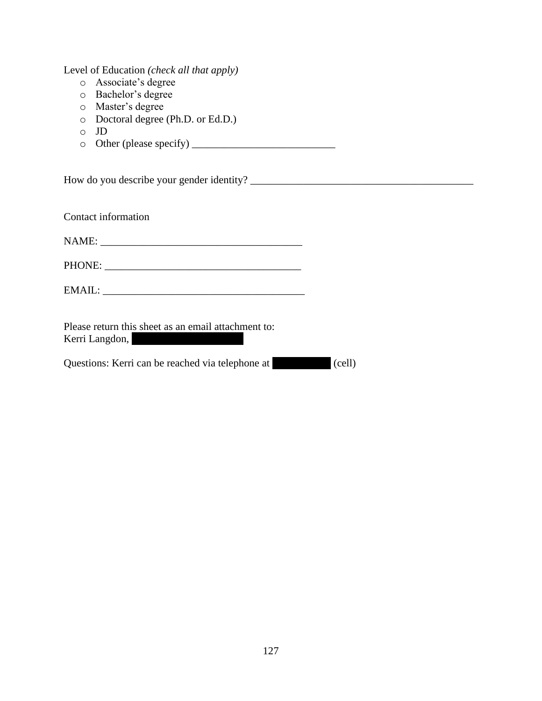Level of Education *(check all that apply)*

- o Associate's degree
- o Bachelor's degree
- o Master's degree
- o Doctoral degree (Ph.D. or Ed.D.)
- o JD
- $\circ$  Other (please specify)  $\qquad \qquad$

How do you describe your gender identity? \_\_\_\_\_\_\_\_\_\_\_\_\_\_\_\_\_\_\_\_\_\_\_\_\_\_\_\_\_\_\_\_\_\_\_\_\_\_\_\_\_\_

Contact information

NAME: \_\_\_\_\_\_\_\_\_\_\_\_\_\_\_\_\_\_\_\_\_\_\_\_\_\_\_\_\_\_\_\_\_\_\_\_\_\_

PHONE: \_\_\_\_\_\_\_\_\_\_\_\_\_\_\_\_\_\_\_\_\_\_\_\_\_\_\_\_\_\_\_\_\_\_\_\_\_

EMAIL: \_\_\_\_\_\_\_\_\_\_\_\_\_\_\_\_\_\_\_\_\_\_\_\_\_\_\_\_\_\_\_\_\_\_\_\_\_\_

Please return this sheet as an email attachment to: Kerri Langdon,

Questions: Kerri can be reached via telephone at (cell)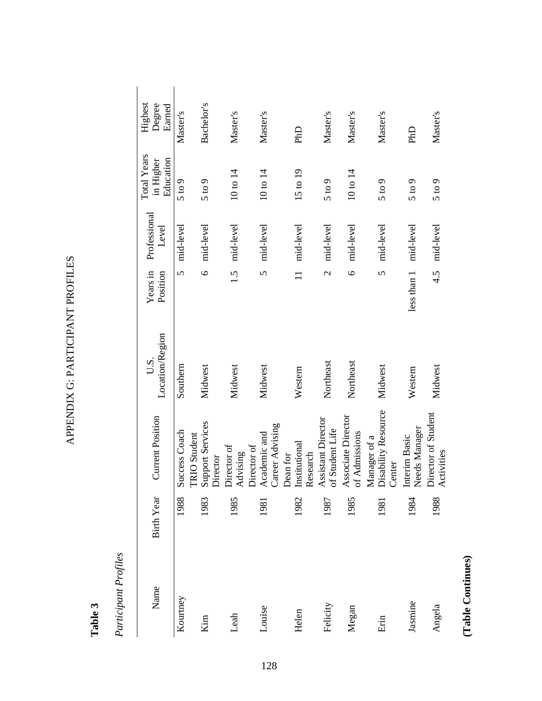APPENDIX G: PARTICIPANT PROFILES APPENDIX G: PARTICIPANT PROFILES

# **Table 3**

Participant Profiles *Participant Profiles*

| Name     | <b>Birth Year</b> | <b>Current Position</b>                                                                                                                                                                                                    | Location/Region<br>U.S. | Years in<br>Position     | Professional<br>Level | <b>Total Years</b><br>Education<br>in Higher | Highest<br>Degree<br>Earned |
|----------|-------------------|----------------------------------------------------------------------------------------------------------------------------------------------------------------------------------------------------------------------------|-------------------------|--------------------------|-----------------------|----------------------------------------------|-----------------------------|
| Kourtney | 1988              | Success Coach                                                                                                                                                                                                              | Southern                | $\overline{S}$           | mid-level             | 5 to 9                                       | Master's                    |
| Kim      | 1983              |                                                                                                                                                                                                                            | Midwest                 |                          | 6 mid-level           | 5 to 9                                       | Bachelor's                  |
| Leah     | 1985              |                                                                                                                                                                                                                            | Midwest                 |                          | 1.5 mid-level         | 10 to 14                                     | Master's                    |
| Louise   | 1981              |                                                                                                                                                                                                                            | Midwest                 |                          | 5 mid-level           | 10 to 14                                     | Master's                    |
| Helen    | 1982              | TRIO Student<br>Support Services<br>Director<br>Director of<br>Advising<br>Director of<br>Academic and<br>Career Advising<br>Dean for<br>Dean for<br>Institutional<br>Research<br>Assistant Director<br>Assistant Director | Western                 | $\equiv$                 | mid-level             | 15 to 19                                     | PhD                         |
| Felicity | 1987              |                                                                                                                                                                                                                            | Northeast               | $\overline{\mathcal{C}}$ | mid-level             | $5$ to $9$                                   | Master's                    |
| Megan    | 1985              | Associate Director<br>of Admissions                                                                                                                                                                                        | Northeast               | $\circ$                  | mid-level             | 10 to 14                                     | Master's                    |
| Erin     | 1981              | Manager of a<br>Disability Resource<br>Center                                                                                                                                                                              | Midwest                 |                          | 5 mid-level           | 5 to 9                                       | Master's                    |
| Jasmine  | 1984              | Interim Basic<br>Needs Manager<br>Director of Student<br>Activities                                                                                                                                                        | Western                 | less than 1 mid-level    |                       | 5 to 9                                       | <b>PhD</b>                  |
| Angela   | 1988              |                                                                                                                                                                                                                            | Midwest                 |                          | 4.5 mid-level         | 5 to 9                                       | Master's                    |

(Table Continues) **(Table Continues)**